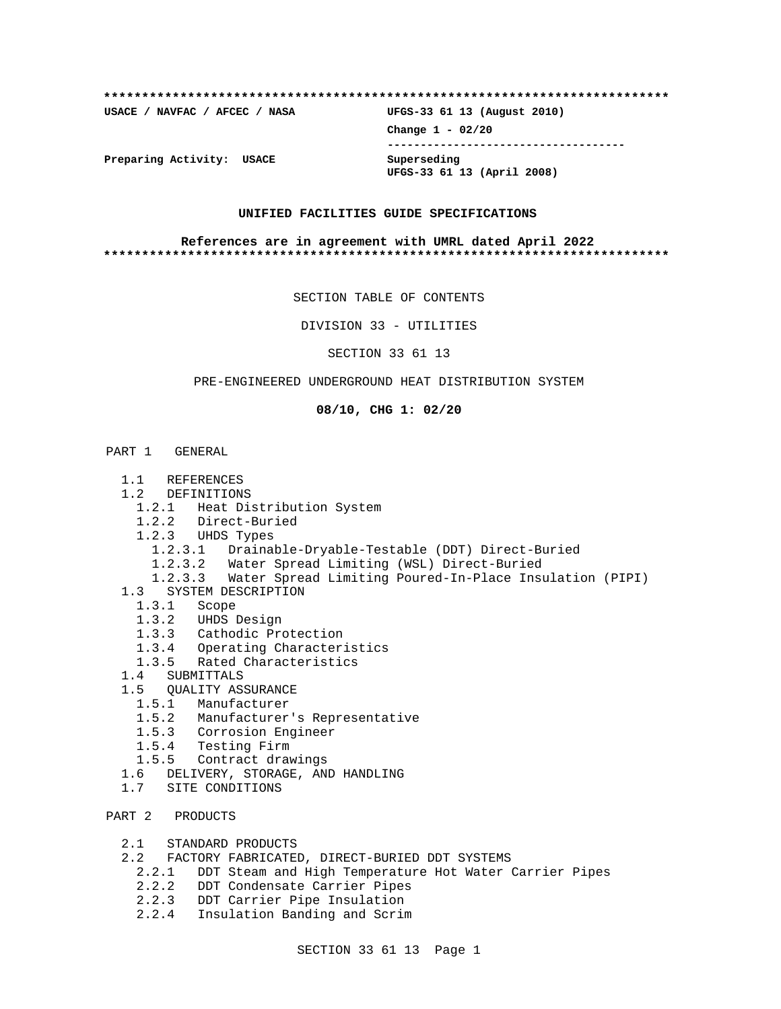# **\*\*\*\*\*\*\*\*\*\*\*\*\*\*\*\*\*\*\*\*\*\*\*\*\*\*\*\*\*\*\*\*\*\*\*\*\*\*\*\*\*\*\*\*\*\*\*\*\*\*\*\*\*\*\*\*\*\*\*\*\*\*\*\*\*\*\*\*\*\*\*\*\*\* USACE / NAVFAC / AFCEC / NASA UFGS-33 61 13 (August 2010) Change 1 - 02/20 ------------------------------------ Preparing Activity: USACE Superseding**

**UFGS-33 61 13 (April 2008)**

### **UNIFIED FACILITIES GUIDE SPECIFICATIONS**

### **References are in agreement with UMRL dated April 2022 \*\*\*\*\*\*\*\*\*\*\*\*\*\*\*\*\*\*\*\*\*\*\*\*\*\*\*\*\*\*\*\*\*\*\*\*\*\*\*\*\*\*\*\*\*\*\*\*\*\*\*\*\*\*\*\*\*\*\*\*\*\*\*\*\*\*\*\*\*\*\*\*\*\***

SECTION TABLE OF CONTENTS

DIVISION 33 - UTILITIES

SECTION 33 61 13

## PRE-ENGINEERED UNDERGROUND HEAT DISTRIBUTION SYSTEM

#### **08/10, CHG 1: 02/20**

#### PART 1 GENERAL

- 1.1 REFERENCES
- 1.2 DEFINITIONS
	- 1.2.1 Heat Distribution System
	- 1.2.2 Direct-Buried
	- 1.2.3 UHDS Types
		- 1.2.3.1 Drainable-Dryable-Testable (DDT) Direct-Buried
		- 1.2.3.2 Water Spread Limiting (WSL) Direct-Buried
		- 1.2.3.3 Water Spread Limiting Poured-In-Place Insulation (PIPI)
- 1.3 SYSTEM DESCRIPTION
	- 1.3.1 Scope
	- 1.3.2 UHDS Design
	- 1.3.3 Cathodic Protection
	- 1.3.4 Operating Characteristics
	- 1.3.5 Rated Characteristics
- 1.4 SUBMITTALS
- 1.5 QUALITY ASSURANCE
	- 1.5.1 Manufacturer
	- 1.5.2 Manufacturer's Representative
	- 1.5.3 Corrosion Engineer
	- 1.5.4 Testing Firm
- 1.5.5 Contract drawings
- 1.6 DELIVERY, STORAGE, AND HANDLING
- 1.7 SITE CONDITIONS
- PART 2 PRODUCTS
	- 2.1 STANDARD PRODUCTS
	- 2.2 FACTORY FABRICATED, DIRECT-BURIED DDT SYSTEMS
		- 2.2.1 DDT Steam and High Temperature Hot Water Carrier Pipes
		- 2.2.2 DDT Condensate Carrier Pipes
		- 2.2.3 DDT Carrier Pipe Insulation
		- 2.2.4 Insulation Banding and Scrim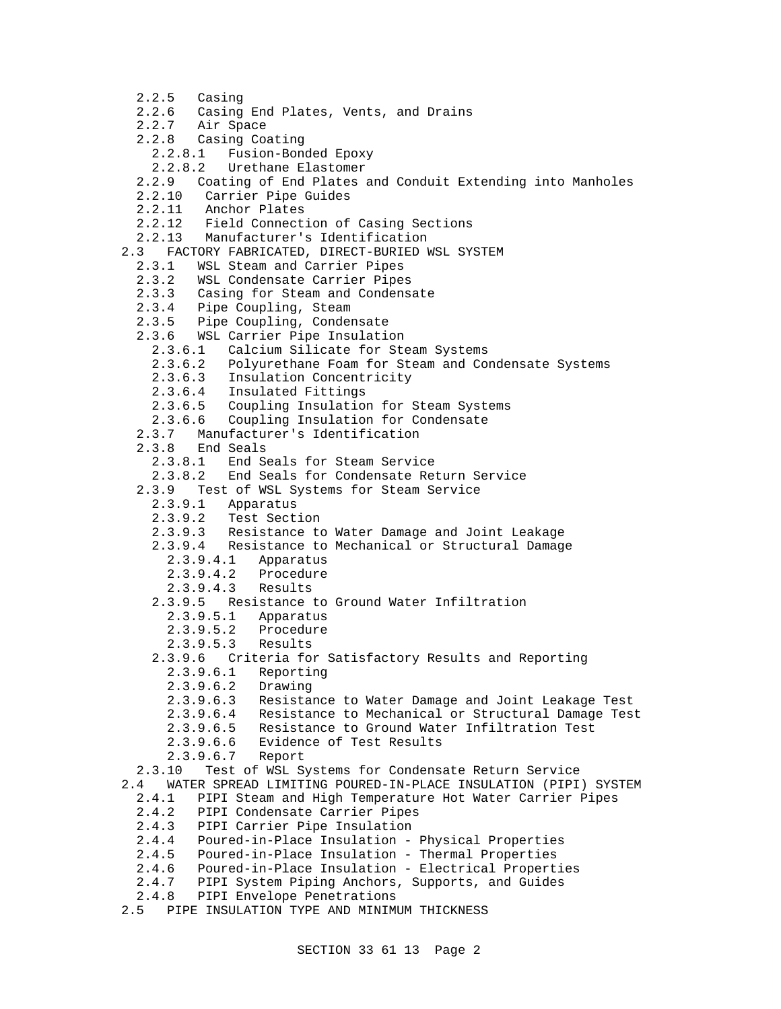2.2.5 Casing 2.2.6 Casing End Plates, Vents, and Drains<br>2.2.7 Air Space Air Space 2.2.8 Casing Coating 2.2.8.1 Fusion-Bonded Epoxy 2.2.8.2 Urethane Elastomer 2.2.9 Coating of End Plates and Conduit Extending into Manholes 2.2.10 Carrier Pipe Guides 2.2.11 Anchor Plates 2.2.12 Field Connection of Casing Sections 2.2.13 Manufacturer's Identification 2.3 FACTORY FABRICATED, DIRECT-BURIED WSL SYSTEM 2.3.1 WSL Steam and Carrier Pipes 2.3.2 WSL Condensate Carrier Pipes 2.3.3 Casing for Steam and Condensate 2.3.4 Pipe Coupling, Steam 2.3.5 Pipe Coupling, Condensate 2.3.6 WSL Carrier Pipe Insulation 2.3.6.1 Calcium Silicate for Steam Systems 2.3.6.2 Polyurethane Foam for Steam and Condensate Systems 2.3.6.3 Insulation Concentricity 2.3.6.4 Insulated Fittings 2.3.6.5 Coupling Insulation for Steam Systems 2.3.6.6 Coupling Insulation for Condensate 2.3.7 Manufacturer's Identification 2.3.8 End Seals 2.3.8.1 End Seals for Steam Service 2.3.8.2 End Seals for Condensate Return Service 2.3.9 Test of WSL Systems for Steam Service 2.3.9.1 Apparatus 2.3.9.2 Test Section 2.3.9.3 Resistance to Water Damage and Joint Leakage 2.3.9.4 Resistance to Mechanical or Structural Damage 2.3.9.4.1 Apparatus 2.3.9.4.2 Procedure 2.3.9.4.3 Results 2.3.9.5 Resistance to Ground Water Infiltration 2.3.9.5.1 Apparatus 2.3.9.5.2 Procedure 2.3.9.5.3 Results 2.3.9.6 Criteria for Satisfactory Results and Reporting 2.3.9.6.1 Reporting 2.3.9.6.2 Drawing 2.3.9.6.3 Resistance to Water Damage and Joint Leakage Test 2.3.9.6.4 Resistance to Mechanical or Structural Damage Test 2.3.9.6.5 Resistance to Ground Water Infiltration Test 2.3.9.6.6 Evidence of Test Results 2.3.9.6.7 Report 2.3.10 Test of WSL Systems for Condensate Return Service 2.4 WATER SPREAD LIMITING POURED-IN-PLACE INSULATION (PIPI) SYSTEM 2.4.1 PIPI Steam and High Temperature Hot Water Carrier Pipes 2.4.2 PIPI Condensate Carrier Pipes 2.4.3 PIPI Carrier Pipe Insulation 2.4.4 Poured-in-Place Insulation - Physical Properties 2.4.5 Poured-in-Place Insulation - Thermal Properties 2.4.6 Poured-in-Place Insulation - Electrical Properties 2.4.7 PIPI System Piping Anchors, Supports, and Guides 2.4.8 PIPI Envelope Penetrations 2.5 PIPE INSULATION TYPE AND MINIMUM THICKNESS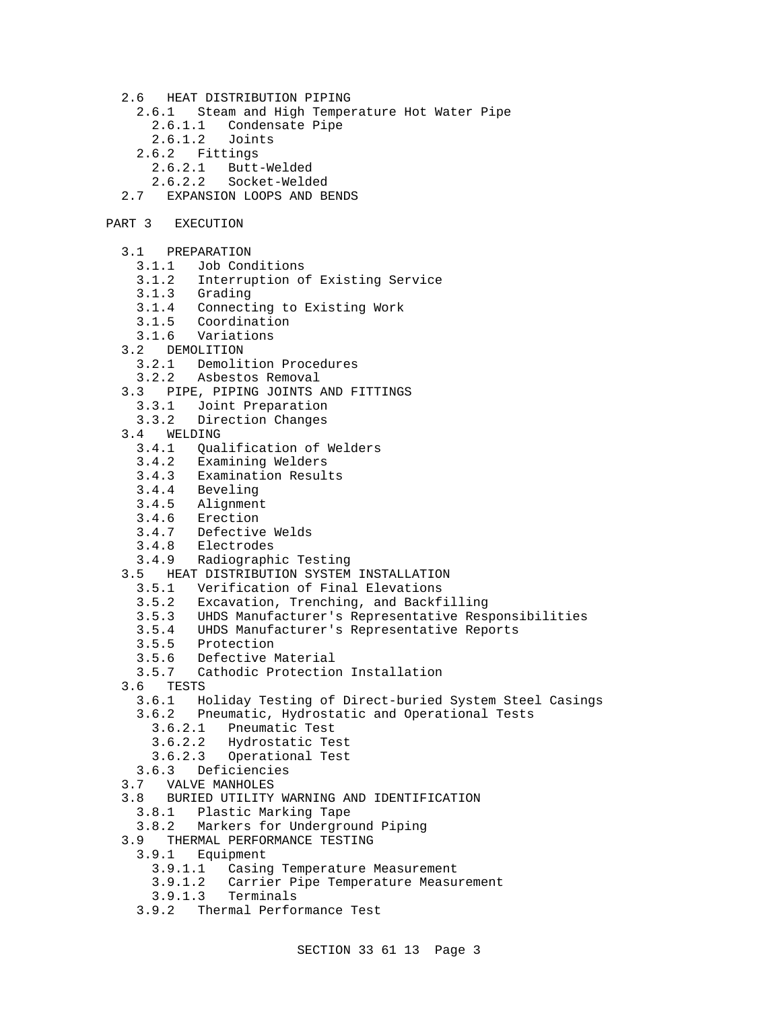- 2.6 HEAT DISTRIBUTION PIPING
	- 2.6.1 Steam and High Temperature Hot Water Pipe
		- 2.6.1.1 Condensate Pipe
		- 2.6.1.2 Joints
	- 2.6.2 Fittings
		- 2.6.2.1 Butt-Welded
		- 2.6.2.2 Socket-Welded
- 2.7 EXPANSION LOOPS AND BENDS
- PART 3 EXECUTION
	- 3.1 PREPARATION
		- 3.1.1 Job Conditions
		- 3.1.2 Interruption of Existing Service
		- 3.1.3 Grading
		- 3.1.4 Connecting to Existing Work
		- 3.1.5 Coordination
		- 3.1.6 Variations
	- 3.2 DEMOLITION
		- 3.2.1 Demolition Procedures
	- 3.2.2 Asbestos Removal
	- 3.3 PIPE, PIPING JOINTS AND FITTINGS
		- 3.3.1 Joint Preparation
		- 3.3.2 Direction Changes
	- 3.4 WELDING
		- 3.4.1 Qualification of Welders
		- 3.4.2 Examining Welders
		- 3.4.3 Examination Results
		- 3.4.4 Beveling
- 3.4.5 Alignment
- 3.4.6 Erection
	- 3.4.7 Defective Welds
	- 3.4.8 Electrodes
	- 3.4.9 Radiographic Testing
	- 3.5 HEAT DISTRIBUTION SYSTEM INSTALLATION
		- 3.5.1 Verification of Final Elevations
		- 3.5.2 Excavation, Trenching, and Backfilling
		- 3.5.3 UHDS Manufacturer's Representative Responsibilities
		- 3.5.4 UHDS Manufacturer's Representative Reports
		- 3.5.5 Protection
		- 3.5.6 Defective Material
		- 3.5.7 Cathodic Protection Installation
	- 3.6 TESTS
		- 3.6.1 Holiday Testing of Direct-buried System Steel Casings
		- 3.6.2 Pneumatic, Hydrostatic and Operational Tests
			- 3.6.2.1 Pneumatic Test
			- 3.6.2.2 Hydrostatic Test
		- 3.6.2.3 Operational Test
		- 3.6.3 Deficiencies
	- 3.7 VALVE MANHOLES
	- 3.8 BURIED UTILITY WARNING AND IDENTIFICATION
	- 3.8.1 Plastic Marking Tape
	- 3.8.2 Markers for Underground Piping
	- 3.9 THERMAL PERFORMANCE TESTING
	- 3.9.1 Equipment
		- 3.9.1.1 Casing Temperature Measurement
		- Carrier Pipe Temperature Measurement
		- 3.9.1.3 Terminals
		- 3.9.2 Thermal Performance Test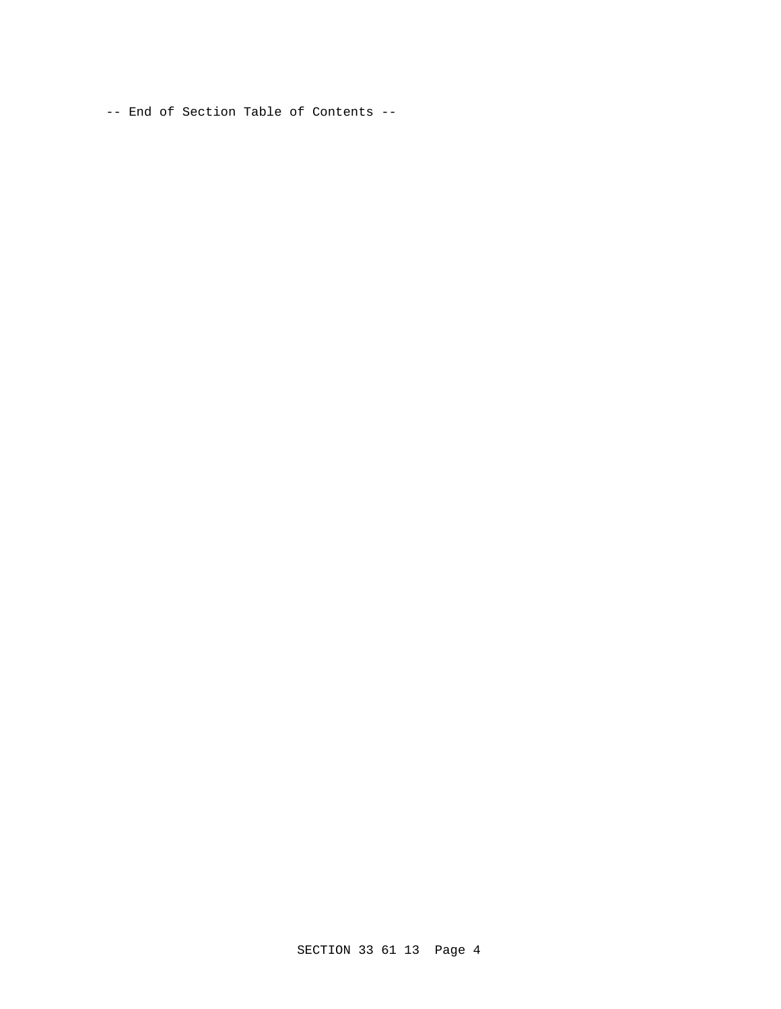-- End of Section Table of Contents --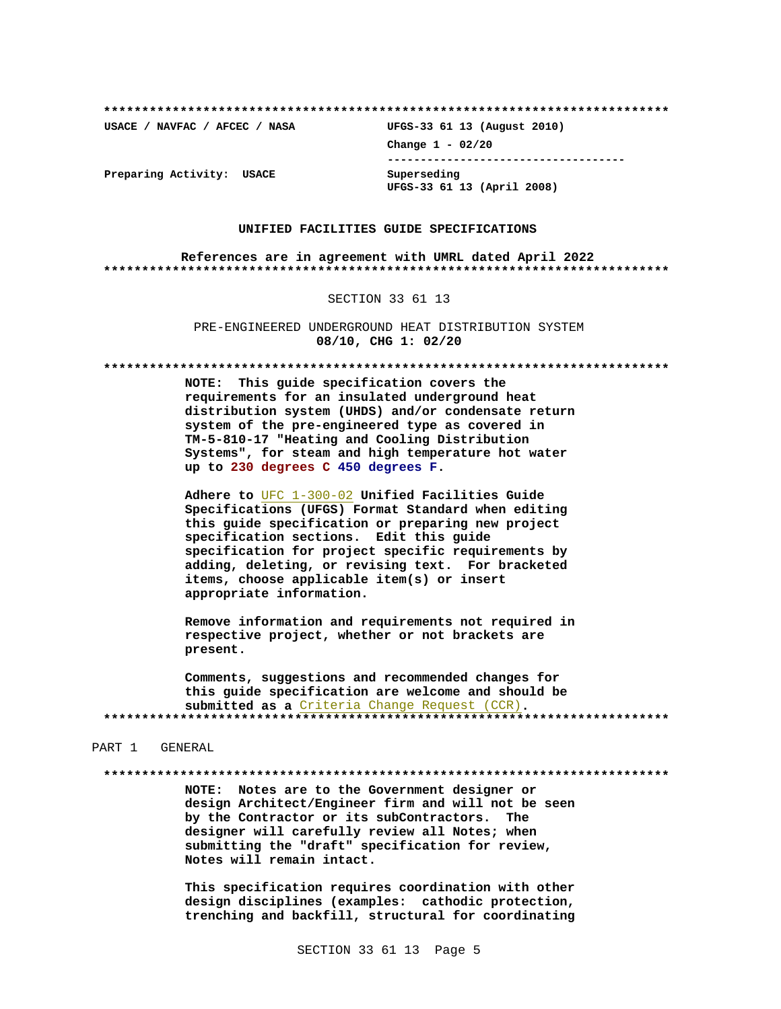**\*\*\*\*\*\*\*\*\*\*\*\*\*\*\*\*\*\*\*\*\*\*\*\*\*\*\*\*\*\*\*\*\*\*\*\*\*\*\*\*\*\*\*\*\*\*\*\*\*\*\*\*\*\*\*\*\*\*\*\*\*\*\*\*\*\*\*\*\*\*\*\*\*\***

**USACE / NAVFAC / AFCEC / NASA UFGS-33 61 13 (August 2010) Change 1 - 02/20 ------------------------------------ UFGS-33 61 13 (April 2008)**

**Preparing Activity: USACE Superseding**

### **UNIFIED FACILITIES GUIDE SPECIFICATIONS**

**References are in agreement with UMRL dated April 2022 \*\*\*\*\*\*\*\*\*\*\*\*\*\*\*\*\*\*\*\*\*\*\*\*\*\*\*\*\*\*\*\*\*\*\*\*\*\*\*\*\*\*\*\*\*\*\*\*\*\*\*\*\*\*\*\*\*\*\*\*\*\*\*\*\*\*\*\*\*\*\*\*\*\***

#### SECTION 33 61 13

PRE-ENGINEERED UNDERGROUND HEAT DISTRIBUTION SYSTEM **08/10, CHG 1: 02/20**

**\*\*\*\*\*\*\*\*\*\*\*\*\*\*\*\*\*\*\*\*\*\*\*\*\*\*\*\*\*\*\*\*\*\*\*\*\*\*\*\*\*\*\*\*\*\*\*\*\*\*\*\*\*\*\*\*\*\*\*\*\*\*\*\*\*\*\*\*\*\*\*\*\*\***

**NOTE: This guide specification covers the requirements for an insulated underground heat distribution system (UHDS) and/or condensate return system of the pre-engineered type as covered in TM-5-810-17 "Heating and Cooling Distribution Systems", for steam and high temperature hot water up to 230 degrees C 450 degrees F.**

**Adhere to** UFC 1-300-02 **Unified Facilities Guide Specifications (UFGS) Format Standard when editing this guide specification or preparing new project specification sections. Edit this guide specification for project specific requirements by adding, deleting, or revising text. For bracketed items, choose applicable item(s) or insert appropriate information.**

**Remove information and requirements not required in respective project, whether or not brackets are present.**

**Comments, suggestions and recommended changes for this guide specification are welcome and should be submitted as a** Criteria Change Request (CCR)**. \*\*\*\*\*\*\*\*\*\*\*\*\*\*\*\*\*\*\*\*\*\*\*\*\*\*\*\*\*\*\*\*\*\*\*\*\*\*\*\*\*\*\*\*\*\*\*\*\*\*\*\*\*\*\*\*\*\*\*\*\*\*\*\*\*\*\*\*\*\*\*\*\*\***

#### PART 1 GENERAL

**\*\*\*\*\*\*\*\*\*\*\*\*\*\*\*\*\*\*\*\*\*\*\*\*\*\*\*\*\*\*\*\*\*\*\*\*\*\*\*\*\*\*\*\*\*\*\*\*\*\*\*\*\*\*\*\*\*\*\*\*\*\*\*\*\*\*\*\*\*\*\*\*\*\***

**NOTE: Notes are to the Government designer or design Architect/Engineer firm and will not be seen by the Contractor or its subContractors. The designer will carefully review all Notes; when submitting the "draft" specification for review, Notes will remain intact.**

**This specification requires coordination with other design disciplines (examples: cathodic protection, trenching and backfill, structural for coordinating**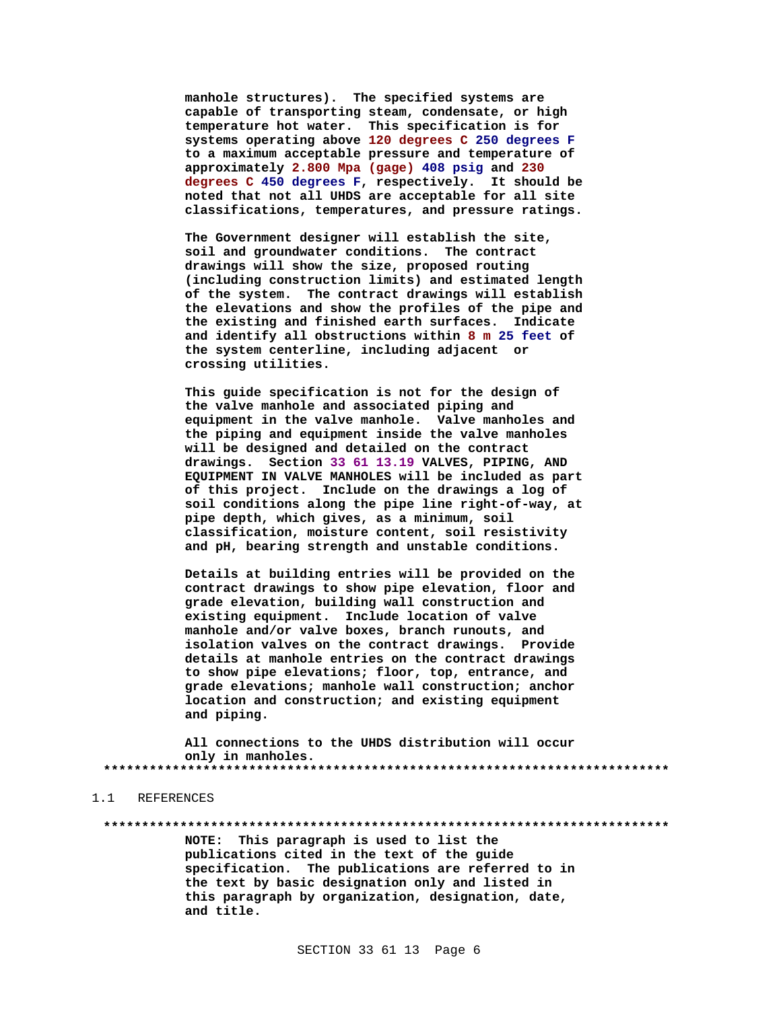manhole structures). The specified systems are capable of transporting steam, condensate, or high temperature hot water. This specification is for systems operating above 120 degrees C 250 degrees F to a maximum acceptable pressure and temperature of approximately 2.800 Mpa (gage) 408 psig and 230 degrees C 450 degrees F, respectively. It should be noted that not all UHDS are acceptable for all site classifications, temperatures, and pressure ratings.

The Government designer will establish the site, soil and groundwater conditions. The contract drawings will show the size, proposed routing (including construction limits) and estimated length of the system. The contract drawings will establish the elevations and show the profiles of the pipe and the existing and finished earth surfaces. Indicate and identify all obstructions within 8 m 25 feet of the system centerline, including adjacent or crossing utilities.

This guide specification is not for the design of the valve manhole and associated piping and equipment in the valve manhole. Valve manholes and the piping and equipment inside the valve manholes will be designed and detailed on the contract drawings. Section 33 61 13.19 VALVES, PIPING, AND EQUIPMENT IN VALVE MANHOLES will be included as part of this project. Include on the drawings a log of soil conditions along the pipe line right-of-way, at pipe depth, which gives, as a minimum, soil classification, moisture content, soil resistivity and pH, bearing strength and unstable conditions.

Details at building entries will be provided on the contract drawings to show pipe elevation, floor and grade elevation, building wall construction and existing equipment. Include location of valve manhole and/or valve boxes, branch runouts, and isolation valves on the contract drawings. Provide details at manhole entries on the contract drawings to show pipe elevations; floor, top, entrance, and grade elevations; manhole wall construction; anchor location and construction; and existing equipment and piping.

All connections to the UHDS distribution will occur only in manholes. 

#### REFERENCES  $1.1$

\*\*\*\*\*\*\*\*\*\*\*\*\*\*\*\*\*\*\*\*\*\*\*\*\*\*\*\*\*\*\*\*\*\*\* \*\*\*\*\*\*\*\*\*\*\*\*\*\*\*\*\*\*\*\*\*\*\*\*\*\*\*\*\*\*\*\*\*

> NOTE: This paragraph is used to list the publications cited in the text of the guide specification. The publications are referred to in the text by basic designation only and listed in this paragraph by organization, designation, date, and title.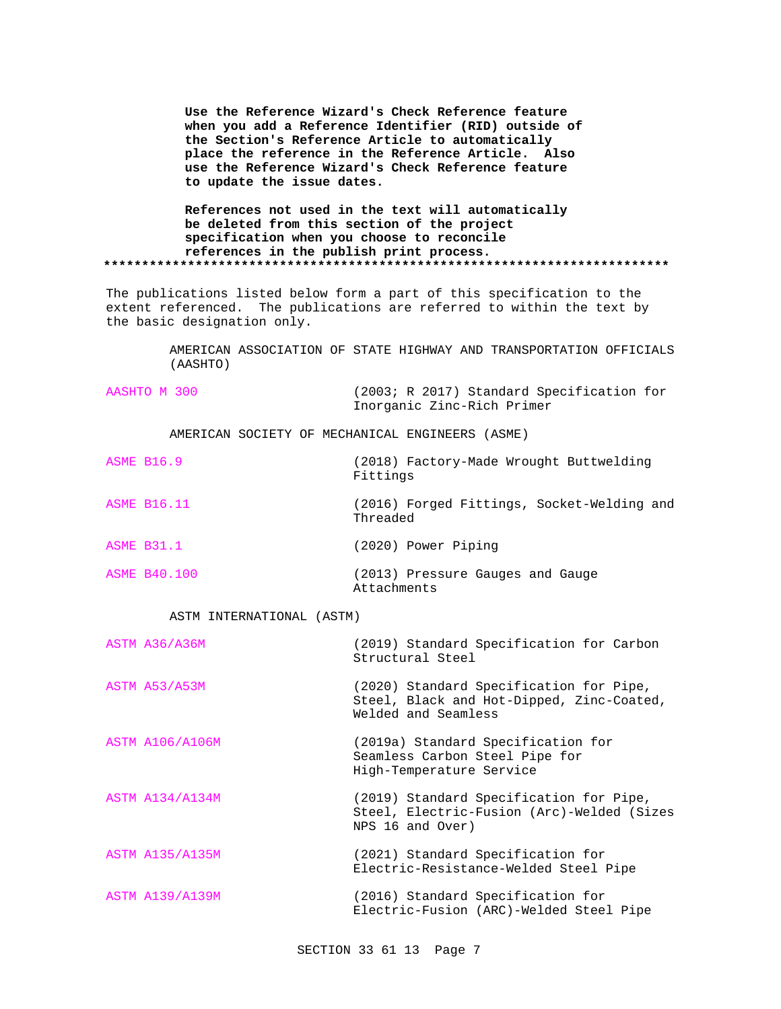**Use the Reference Wizard's Check Reference feature when you add a Reference Identifier (RID) outside of the Section's Reference Article to automatically place the reference in the Reference Article. Also use the Reference Wizard's Check Reference feature to update the issue dates.**

**References not used in the text will automatically be deleted from this section of the project specification when you choose to reconcile references in the publish print process. \*\*\*\*\*\*\*\*\*\*\*\*\*\*\*\*\*\*\*\*\*\*\*\*\*\*\*\*\*\*\*\*\*\*\*\*\*\*\*\*\*\*\*\*\*\*\*\*\*\*\*\*\*\*\*\*\*\*\*\*\*\*\*\*\*\*\*\*\*\*\*\*\*\***

The publications listed below form a part of this specification to the extent referenced. The publications are referred to within the text by the basic designation only.

> AMERICAN ASSOCIATION OF STATE HIGHWAY AND TRANSPORTATION OFFICIALS (AASHTO)

| AASHTO M 300 |  |                            | (2003; R 2017) Standard Specification for |  |
|--------------|--|----------------------------|-------------------------------------------|--|
|              |  | Inorganic Zinc-Rich Primer |                                           |  |

AMERICAN SOCIETY OF MECHANICAL ENGINEERS (ASME)

| <b>ASME B16.9</b>  | (2018) Factory-Made Wrought Buttwelding<br>Fittings    |
|--------------------|--------------------------------------------------------|
| <b>ASME B16.11</b> | (2016) Forged Fittings, Socket-Welding and<br>Threaded |

ASME B31.1 (2020) Power Piping

ASME B40.100 (2013) Pressure Gauges and Gauge Attachments

## ASTM INTERNATIONAL (ASTM)

| ASTM A36/A36M          | (2019) Standard Specification for Carbon<br>Structural Steel                                                |
|------------------------|-------------------------------------------------------------------------------------------------------------|
| ASTM A53/A53M          | (2020) Standard Specification for Pipe,<br>Steel, Black and Hot-Dipped, Zinc-Coated,<br>Welded and Seamless |
| <b>ASTM A106/A106M</b> | (2019a) Standard Specification for<br>Seamless Carbon Steel Pipe for<br>High-Temperature Service            |
| <b>ASTM A134/A134M</b> | (2019) Standard Specification for Pipe,<br>Steel, Electric-Fusion (Arc)-Welded (Sizes<br>NPS 16 and Over)   |
| <b>ASTM A135/A135M</b> | (2021) Standard Specification for<br>Electric-Resistance-Welded Steel Pipe                                  |
| <b>ASTM A139/A139M</b> | (2016) Standard Specification for<br>Electric-Fusion (ARC)-Welded Steel Pipe                                |

SECTION 33 61 13 Page 7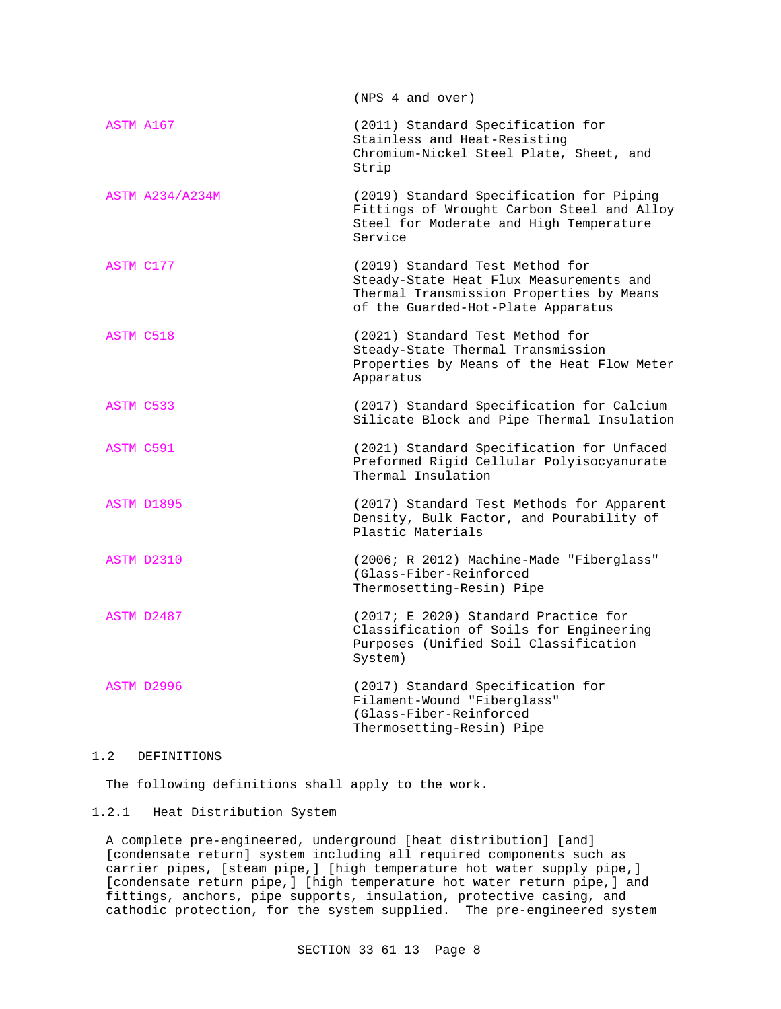|                        | (NPS 4 and over)                                                                                                                                             |
|------------------------|--------------------------------------------------------------------------------------------------------------------------------------------------------------|
| ASTM A167              | (2011) Standard Specification for<br>Stainless and Heat-Resisting<br>Chromium-Nickel Steel Plate, Sheet, and<br>Strip                                        |
| <b>ASTM A234/A234M</b> | (2019) Standard Specification for Piping<br>Fittings of Wrought Carbon Steel and Alloy<br>Steel for Moderate and High Temperature<br>Service                 |
| ASTM C177              | (2019) Standard Test Method for<br>Steady-State Heat Flux Measurements and<br>Thermal Transmission Properties by Means<br>of the Guarded-Hot-Plate Apparatus |
| <b>ASTM C518</b>       | (2021) Standard Test Method for<br>Steady-State Thermal Transmission<br>Properties by Means of the Heat Flow Meter<br>Apparatus                              |
| ASTM C533              | (2017) Standard Specification for Calcium<br>Silicate Block and Pipe Thermal Insulation                                                                      |
| ASTM C591              | (2021) Standard Specification for Unfaced<br>Preformed Rigid Cellular Polyisocyanurate<br>Thermal Insulation                                                 |
| ASTM D1895             | (2017) Standard Test Methods for Apparent<br>Density, Bulk Factor, and Pourability of<br>Plastic Materials                                                   |
| ASTM D2310             | (2006; R 2012) Machine-Made "Fiberglass"<br>(Glass-Fiber-Reinforced<br>Thermosetting-Resin) Pipe                                                             |
| ASTM D2487             | (2017; E 2020) Standard Practice for<br>Classification of Soils for Engineering<br>Purposes (Unified Soil Classification<br>System)                          |
| ASTM D2996             | (2017) Standard Specification for<br>Filament-Wound "Fiberglass"<br>(Glass-Fiber-Reinforced<br>Thermosetting-Resin) Pipe                                     |

## 1.2 DEFINITIONS

The following definitions shall apply to the work.

## 1.2.1 Heat Distribution System

A complete pre-engineered, underground [heat distribution] [and] [condensate return] system including all required components such as carrier pipes, [steam pipe,] [high temperature hot water supply pipe,] [condensate return pipe,] [high temperature hot water return pipe,] and fittings, anchors, pipe supports, insulation, protective casing, and cathodic protection, for the system supplied. The pre-engineered system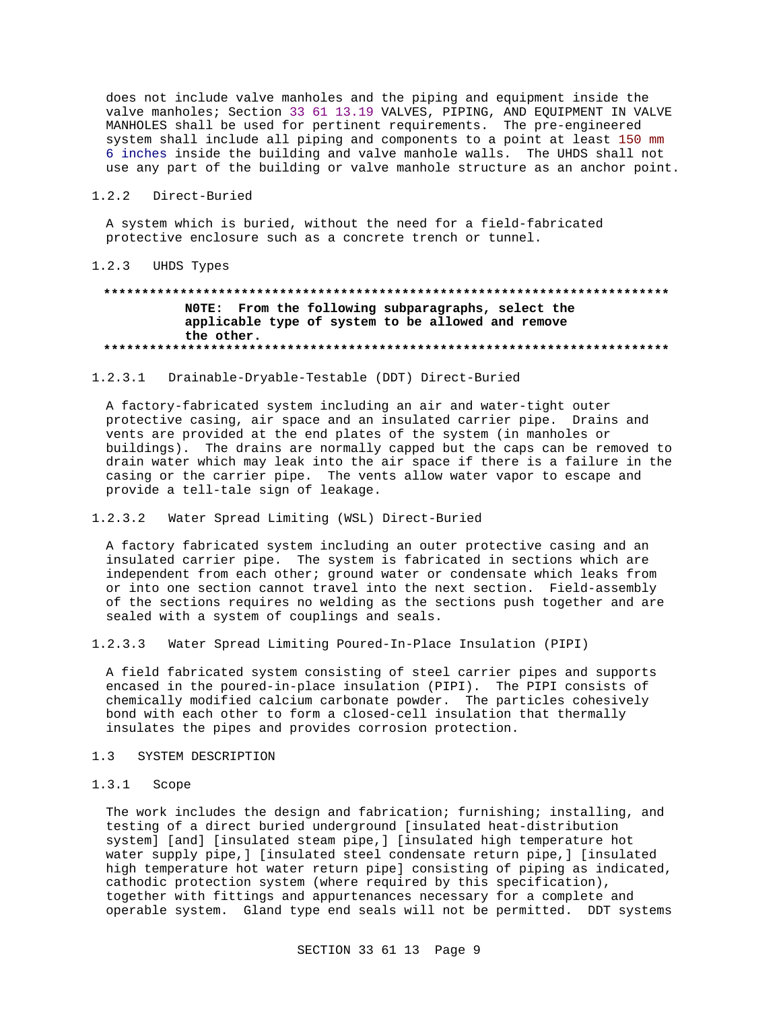does not include valve manholes and the piping and equipment inside the valve manholes; Section 33 61 13.19 VALVES, PIPING, AND EQUIPMENT IN VALVE MANHOLES shall be used for pertinent requirements. The pre-engineered system shall include all piping and components to a point at least 150 mm 6 inches inside the building and valve manhole walls. The UHDS shall not use any part of the building or valve manhole structure as an anchor point.

#### $1.2.2$ Direct-Buried

A system which is buried, without the need for a field-fabricated protective enclosure such as a concrete trench or tunnel.

#### $1.2.3$ **UHDS Types**

## NOTE: From the following subparagraphs, select the applicable type of system to be allowed and remove the other.

#### $1.2.3.1$ Drainable-Dryable-Testable (DDT) Direct-Buried

A factory-fabricated system including an air and water-tight outer protective casing, air space and an insulated carrier pipe. Drains and vents are provided at the end plates of the system (in manholes or buildings). The drains are normally capped but the caps can be removed to drain water which may leak into the air space if there is a failure in the casing or the carrier pipe. The vents allow water vapor to escape and provide a tell-tale sign of leakage.

#### $1.2.3.2$ Water Spread Limiting (WSL) Direct-Buried

A factory fabricated system including an outer protective casing and an insulated carrier pipe. The system is fabricated in sections which are independent from each other; ground water or condensate which leaks from or into one section cannot travel into the next section. Field-assembly of the sections requires no welding as the sections push together and are sealed with a system of couplings and seals.

Water Spread Limiting Poured-In-Place Insulation (PIPI)  $1.2.3.3$ 

A field fabricated system consisting of steel carrier pipes and supports encased in the poured-in-place insulation (PIPI). The PIPI consists of chemically modified calcium carbonate powder. The particles cohesively bond with each other to form a closed-cell insulation that thermally insulates the pipes and provides corrosion protection.

#### $1.3$ SYSTEM DESCRIPTION

#### $1.3.1$ Scope

The work includes the design and fabrication; furnishing; installing, and testing of a direct buried underground [insulated heat-distribution system] [and] [insulated steam pipe,] [insulated high temperature hot water supply pipe, ] [insulated steel condensate return pipe, ] [insulated high temperature hot water return pipe] consisting of piping as indicated, cathodic protection system (where required by this specification), together with fittings and appurtenances necessary for a complete and operable system. Gland type end seals will not be permitted. DDT systems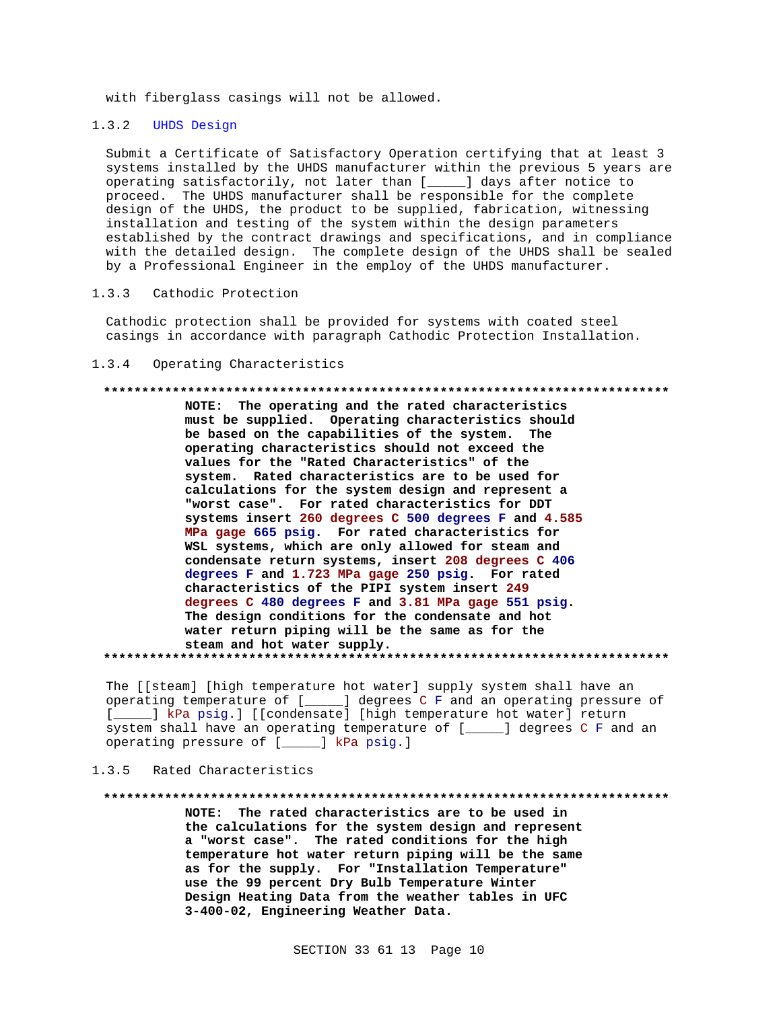with fiberglass casings will not be allowed.

#### $1.3.2$ **UHDS** Design

Submit a Certificate of Satisfactory Operation certifying that at least 3 systems installed by the UHDS manufacturer within the previous 5 years are operating satisfactorily, not later than [\_\_\_\_] days after notice to proceed. The UHDS manufacturer shall be responsible for the complete design of the UHDS, the product to be supplied, fabrication, witnessing installation and testing of the system within the design parameters established by the contract drawings and specifications, and in compliance with the detailed design. The complete design of the UHDS shall be sealed by a Professional Engineer in the employ of the UHDS manufacturer.

#### $1.3.3$ Cathodic Protection

Cathodic protection shall be provided for systems with coated steel casings in accordance with paragraph Cathodic Protection Installation.

#### $1.3.4$ Operating Characteristics

### 

NOTE: The operating and the rated characteristics must be supplied. Operating characteristics should be based on the capabilities of the system. The operating characteristics should not exceed the values for the "Rated Characteristics" of the system. Rated characteristics are to be used for calculations for the system design and represent a "worst case". For rated characteristics for DDT systems insert 260 degrees C 500 degrees F and 4.585 MPa gage 665 psig. For rated characteristics for WSL systems, which are only allowed for steam and condensate return systems, insert 208 degrees C 406 degrees F and 1.723 MPa gage 250 psig. For rated characteristics of the PIPI system insert 249 degrees C 480 degrees F and 3.81 MPa gage 551 psig. The design conditions for the condensate and hot water return piping will be the same as for the steam and hot water supply. 

The [[steam] [high temperature hot water] supply system shall have an operating temperature of [\_\_\_\_] degrees C F and an operating pressure of [\_\_\_\_\_] kPa psig.] [[condensate] [high temperature hot water] return system shall have an operating temperature of [\_\_\_\_] degrees C F and an operating pressure of [\_\_\_\_\_] kPa psig.]

#### Rated Characteristics  $1.3.5$

#### 

NOTE: The rated characteristics are to be used in the calculations for the system design and represent a "worst case". The rated conditions for the high temperature hot water return piping will be the same as for the supply. For "Installation Temperature" use the 99 percent Dry Bulb Temperature Winter Design Heating Data from the weather tables in UFC 3-400-02, Engineering Weather Data.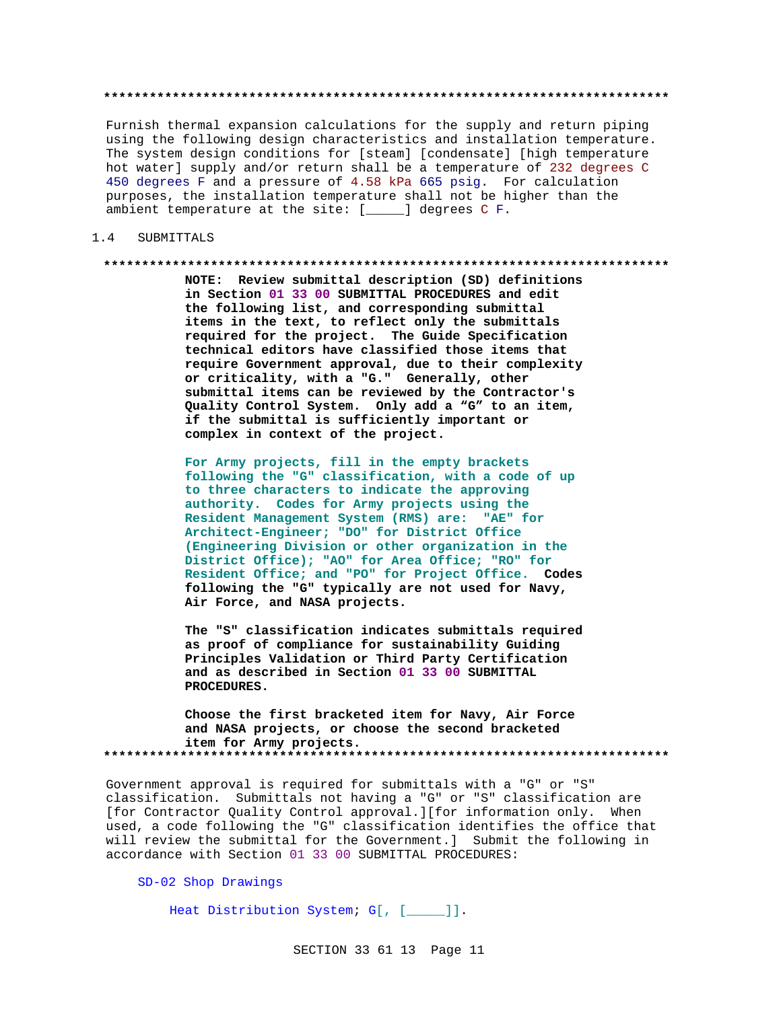Furnish thermal expansion calculations for the supply and return piping using the following design characteristics and installation temperature. The system design conditions for [steam] [condensate] [high temperature hot water] supply and/or return shall be a temperature of 232 degrees C 450 degrees F and a pressure of 4.58 kPa 665 psig. For calculation purposes, the installation temperature shall not be higher than the ambient temperature at the site: [\_\_\_\_] degrees C F.

#### $1.4$ SUBMITTALS

#### 

NOTE: Review submittal description (SD) definitions in Section 01 33 00 SUBMITTAL PROCEDURES and edit the following list, and corresponding submittal items in the text, to reflect only the submittals required for the project. The Guide Specification technical editors have classified those items that require Government approval, due to their complexity or criticality, with a "G." Generally, other submittal items can be reviewed by the Contractor's Quality Control System. Only add a "G" to an item, if the submittal is sufficiently important or complex in context of the project.

For Army projects, fill in the empty brackets following the "G" classification, with a code of up to three characters to indicate the approving authority. Codes for Army projects using the Resident Management System (RMS) are: "AE" for Architect-Engineer; "DO" for District Office (Engineering Division or other organization in the District Office); "AO" for Area Office; "RO" for Resident Office; and "PO" for Project Office. Codes following the "G" typically are not used for Navy, Air Force, and NASA projects.

The "S" classification indicates submittals required as proof of compliance for sustainability Guiding Principles Validation or Third Party Certification and as described in Section 01 33 00 SUBMITTAL PROCEDURES.

Choose the first bracketed item for Navy, Air Force and NASA projects, or choose the second bracketed item for Army projects. 

Government approval is required for submittals with a "G" or "S" classification. Submittals not having a "G" or "S" classification are [for Contractor Quality Control approval.][for information only. When used, a code following the "G" classification identifies the office that will review the submittal for the Government.] Submit the following in accordance with Section 01 33 00 SUBMITTAL PROCEDURES:

SD-02 Shop Drawings

Heat Distribution System; G[, [\_\_\_\_]].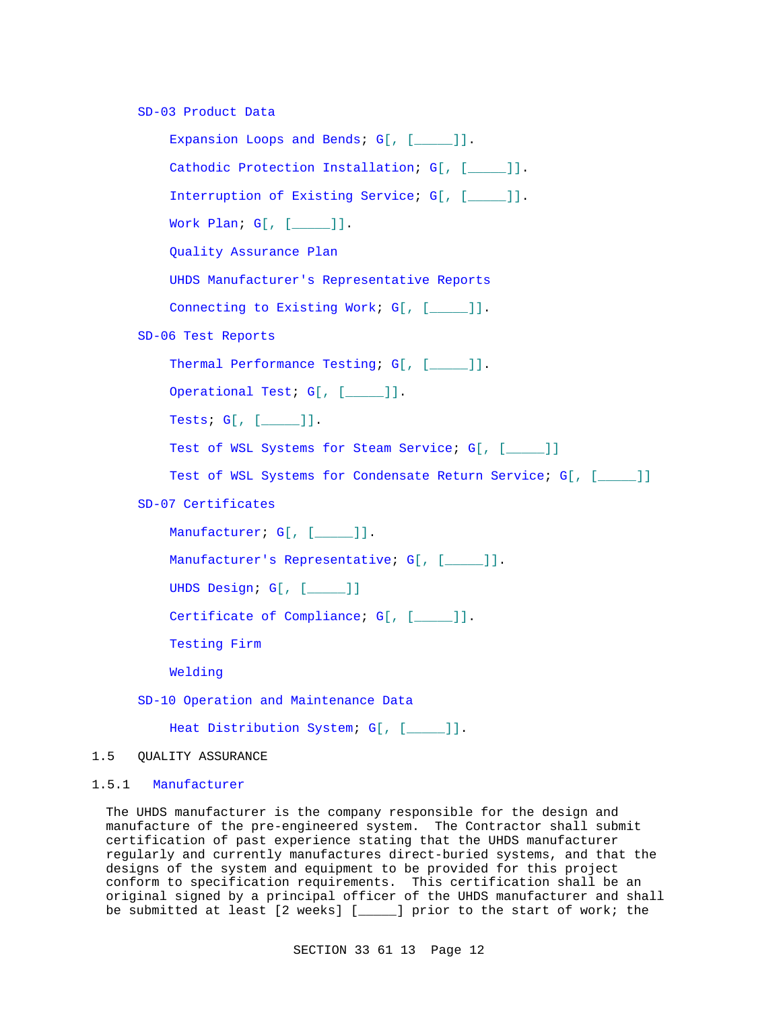```
SD-03 Product Data
    Expansion Loops and Bends; G[, [____]].
    Cathodic Protection Installation; G[, [_____]].
    Interruption of Existing Service; G[, [_____]].
    Work Plan; G[, [_____]].
    Quality Assurance Plan
    UHDS Manufacturer's Representative Reports
    Connecting to Existing Work; G[, [____]].
SD-06 Test Reports
    Thermal Performance Testing; G[, [____]].
    Operational Test; G[, [_____]].
    Tests; G[, [_____]].
    Test of WSL Systems for Steam Service; G[, [____]]
    Test of WSL Systems for Condensate Return Service; G[, [____]]
SD-07 Certificates
    Manufacturer; G[, [____]].
    Manufacturer's Representative; G[, [____]].
    UHDS Design; G[, [_____]]
    Certificate of Compliance; G[, [____]].
    Testing Firm
    Welding
SD-10 Operation and Maintenance Data
    Heat Distribution System; G[, [____]].
```
## 1.5 QUALITY ASSURANCE

## 1.5.1 Manufacturer

The UHDS manufacturer is the company responsible for the design and manufacture of the pre-engineered system. The Contractor shall submit certification of past experience stating that the UHDS manufacturer regularly and currently manufactures direct-buried systems, and that the designs of the system and equipment to be provided for this project conform to specification requirements. This certification shall be an original signed by a principal officer of the UHDS manufacturer and shall be submitted at least [2 weeks] [\_\_\_\_\_] prior to the start of work; the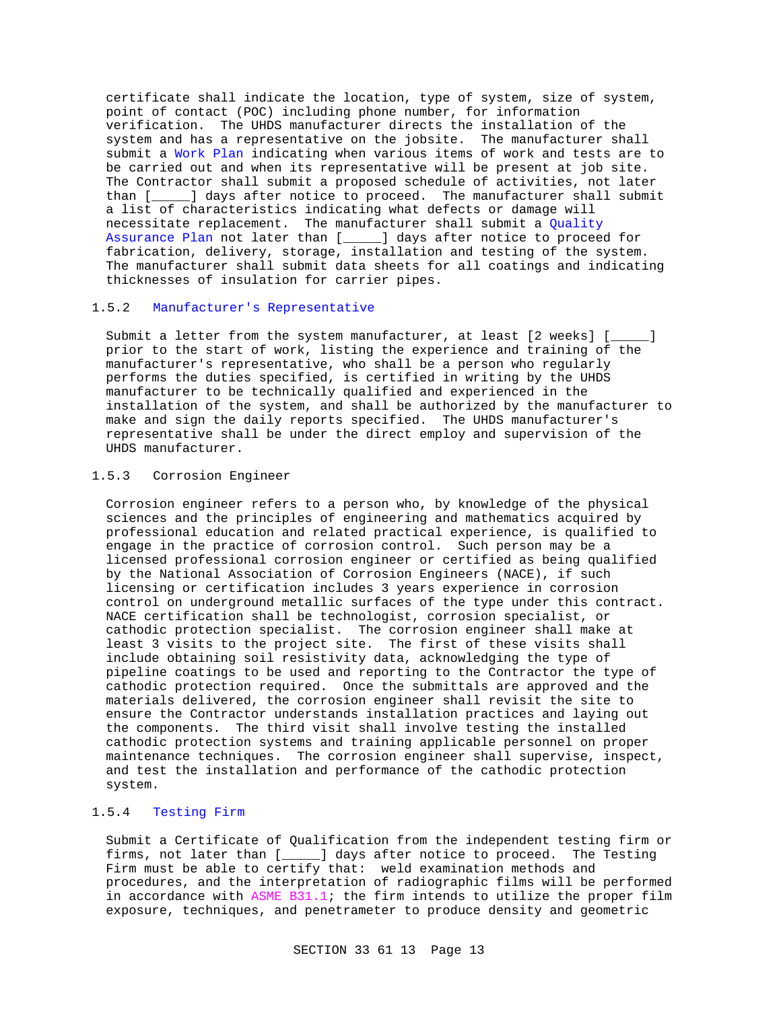certificate shall indicate the location, type of system, size of system, point of contact (POC) including phone number, for information verification. The UHDS manufacturer directs the installation of the system and has a representative on the jobsite. The manufacturer shall submit a Work Plan indicating when various items of work and tests are to be carried out and when its representative will be present at job site. The Contractor shall submit a proposed schedule of activities, not later than [\_\_\_\_\_] days after notice to proceed. The manufacturer shall submit a list of characteristics indicating what defects or damage will necessitate replacement. The manufacturer shall submit a Quality Assurance Plan not later than [\_\_\_\_\_] days after notice to proceed for fabrication, delivery, storage, installation and testing of the system. The manufacturer shall submit data sheets for all coatings and indicating thicknesses of insulation for carrier pipes.

## 1.5.2 Manufacturer's Representative

Submit a letter from the system manufacturer, at least [2 weeks] [\_\_\_\_\_] prior to the start of work, listing the experience and training of the manufacturer's representative, who shall be a person who regularly performs the duties specified, is certified in writing by the UHDS manufacturer to be technically qualified and experienced in the installation of the system, and shall be authorized by the manufacturer to make and sign the daily reports specified. The UHDS manufacturer's representative shall be under the direct employ and supervision of the UHDS manufacturer.

## 1.5.3 Corrosion Engineer

Corrosion engineer refers to a person who, by knowledge of the physical sciences and the principles of engineering and mathematics acquired by professional education and related practical experience, is qualified to engage in the practice of corrosion control. Such person may be a licensed professional corrosion engineer or certified as being qualified by the National Association of Corrosion Engineers (NACE), if such licensing or certification includes 3 years experience in corrosion control on underground metallic surfaces of the type under this contract. NACE certification shall be technologist, corrosion specialist, or cathodic protection specialist. The corrosion engineer shall make at least 3 visits to the project site. The first of these visits shall include obtaining soil resistivity data, acknowledging the type of pipeline coatings to be used and reporting to the Contractor the type of cathodic protection required. Once the submittals are approved and the materials delivered, the corrosion engineer shall revisit the site to ensure the Contractor understands installation practices and laying out the components. The third visit shall involve testing the installed cathodic protection systems and training applicable personnel on proper maintenance techniques. The corrosion engineer shall supervise, inspect, and test the installation and performance of the cathodic protection system.

## 1.5.4 Testing Firm

Submit a Certificate of Qualification from the independent testing firm or firms, not later than [\_\_\_\_\_] days after notice to proceed. The Testing Firm must be able to certify that: weld examination methods and procedures, and the interpretation of radiographic films will be performed in accordance with  $ASME$  B31.1; the firm intends to utilize the proper film exposure, techniques, and penetrameter to produce density and geometric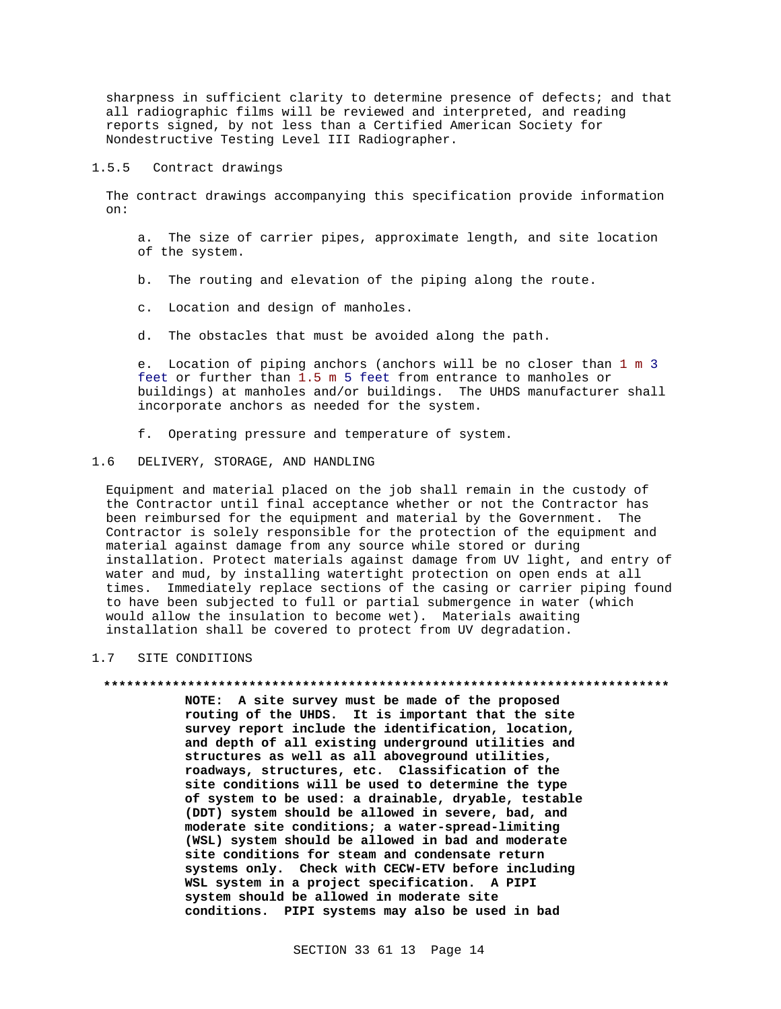sharpness in sufficient clarity to determine presence of defects; and that all radiographic films will be reviewed and interpreted, and reading reports signed, by not less than a Certified American Society for Nondestructive Testing Level III Radiographer.

## 1.5.5 Contract drawings

The contract drawings accompanying this specification provide information on:

a. The size of carrier pipes, approximate length, and site location of the system.

- b. The routing and elevation of the piping along the route.
- c. Location and design of manholes.
- d. The obstacles that must be avoided along the path.

e. Location of piping anchors (anchors will be no closer than 1 m 3 feet or further than 1.5 m 5 feet from entrance to manholes or buildings) at manholes and/or buildings. The UHDS manufacturer shall incorporate anchors as needed for the system.

f. Operating pressure and temperature of system.

1.6 DELIVERY, STORAGE, AND HANDLING

Equipment and material placed on the job shall remain in the custody of the Contractor until final acceptance whether or not the Contractor has been reimbursed for the equipment and material by the Government. The Contractor is solely responsible for the protection of the equipment and material against damage from any source while stored or during installation. Protect materials against damage from UV light, and entry of water and mud, by installing watertight protection on open ends at all times. Immediately replace sections of the casing or carrier piping found to have been subjected to full or partial submergence in water (which would allow the insulation to become wet). Materials awaiting installation shall be covered to protect from UV degradation.

### 1.7 SITE CONDITIONS

#### **\*\*\*\*\*\*\*\*\*\*\*\*\*\*\*\*\*\*\*\*\*\*\*\*\*\*\*\*\*\*\*\*\*\*\*\*\*\*\*\*\*\*\*\*\*\*\*\*\*\*\*\*\*\*\*\*\*\*\*\*\*\*\*\*\*\*\*\*\*\*\*\*\*\***

**NOTE: A site survey must be made of the proposed routing of the UHDS. It is important that the site survey report include the identification, location, and depth of all existing underground utilities and structures as well as all aboveground utilities, roadways, structures, etc. Classification of the site conditions will be used to determine the type of system to be used: a drainable, dryable, testable (DDT) system should be allowed in severe, bad, and moderate site conditions; a water-spread-limiting (WSL) system should be allowed in bad and moderate site conditions for steam and condensate return systems only. Check with CECW-ETV before including WSL system in a project specification. A PIPI system should be allowed in moderate site conditions. PIPI systems may also be used in bad**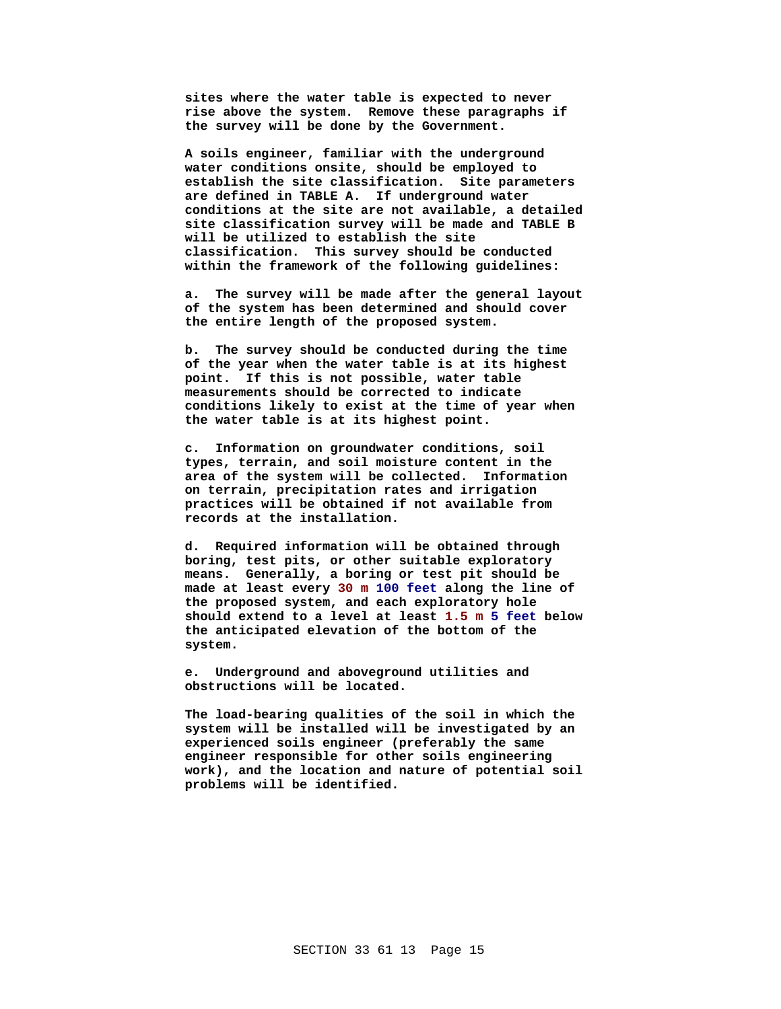**sites where the water table is expected to never rise above the system. Remove these paragraphs if the survey will be done by the Government.**

**A soils engineer, familiar with the underground water conditions onsite, should be employed to establish the site classification. Site parameters are defined in TABLE A. If underground water conditions at the site are not available, a detailed site classification survey will be made and TABLE B will be utilized to establish the site classification. This survey should be conducted within the framework of the following guidelines:**

**a. The survey will be made after the general layout of the system has been determined and should cover the entire length of the proposed system.**

**b. The survey should be conducted during the time of the year when the water table is at its highest point. If this is not possible, water table measurements should be corrected to indicate conditions likely to exist at the time of year when the water table is at its highest point.**

**c. Information on groundwater conditions, soil types, terrain, and soil moisture content in the area of the system will be collected. Information on terrain, precipitation rates and irrigation practices will be obtained if not available from records at the installation.**

**d. Required information will be obtained through boring, test pits, or other suitable exploratory means. Generally, a boring or test pit should be made at least every 30 m 100 feet along the line of the proposed system, and each exploratory hole should extend to a level at least 1.5 m 5 feet below the anticipated elevation of the bottom of the system.**

**e. Underground and aboveground utilities and obstructions will be located.**

**The load-bearing qualities of the soil in which the system will be installed will be investigated by an experienced soils engineer (preferably the same engineer responsible for other soils engineering work), and the location and nature of potential soil problems will be identified.**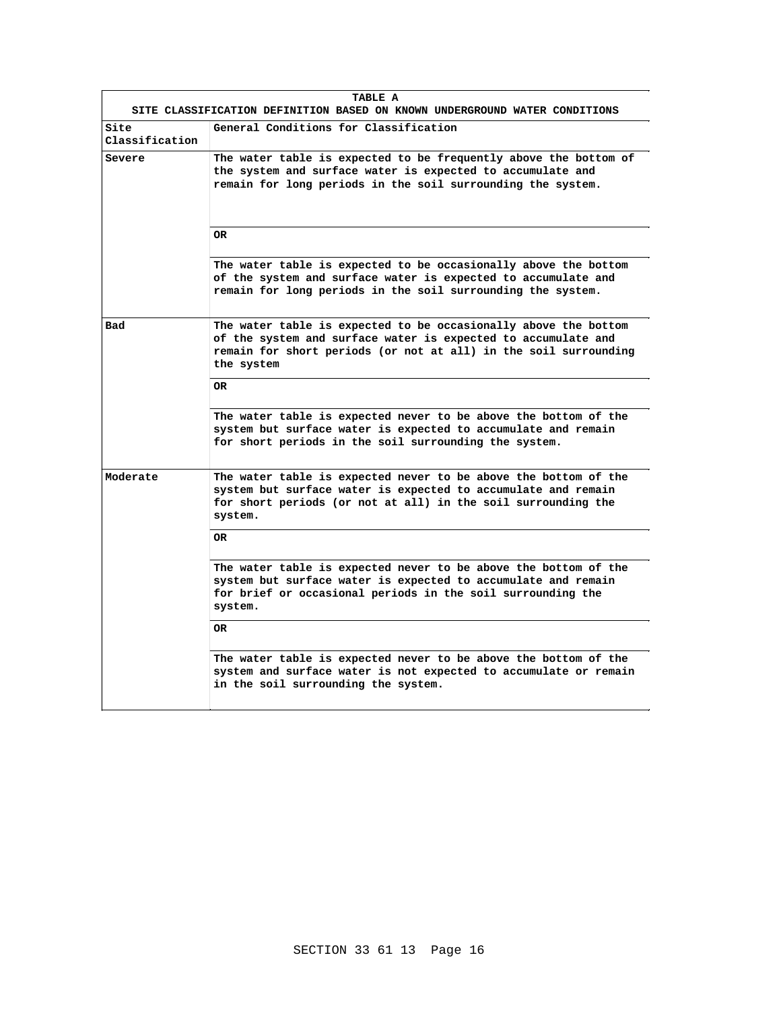|                        | TABLE A<br>SITE CLASSIFICATION DEFINITION BASED ON KNOWN UNDERGROUND WATER CONDITIONS                                                                                                                              |
|------------------------|--------------------------------------------------------------------------------------------------------------------------------------------------------------------------------------------------------------------|
| Site<br>Classification | General Conditions for Classification                                                                                                                                                                              |
| Severe                 | The water table is expected to be frequently above the bottom of<br>the system and surface water is expected to accumulate and<br>remain for long periods in the soil surrounding the system.                      |
|                        | 0R                                                                                                                                                                                                                 |
|                        | The water table is expected to be occasionally above the bottom<br>of the system and surface water is expected to accumulate and<br>remain for long periods in the soil surrounding the system.                    |
| Bad                    | The water table is expected to be occasionally above the bottom<br>of the system and surface water is expected to accumulate and<br>remain for short periods (or not at all) in the soil surrounding<br>the system |
|                        | OR.                                                                                                                                                                                                                |
|                        | The water table is expected never to be above the bottom of the<br>system but surface water is expected to accumulate and remain<br>for short periods in the soil surrounding the system.                          |
| Moderate               | The water table is expected never to be above the bottom of the<br>system but surface water is expected to accumulate and remain<br>for short periods (or not at all) in the soil surrounding the<br>system.       |
|                        | OR.                                                                                                                                                                                                                |
|                        | The water table is expected never to be above the bottom of the<br>system but surface water is expected to accumulate and remain<br>for brief or occasional periods in the soil surrounding the<br>system.         |
|                        | <b>OR</b>                                                                                                                                                                                                          |
|                        | The water table is expected never to be above the bottom of the<br>system and surface water is not expected to accumulate or remain<br>in the soil surrounding the system.                                         |
|                        |                                                                                                                                                                                                                    |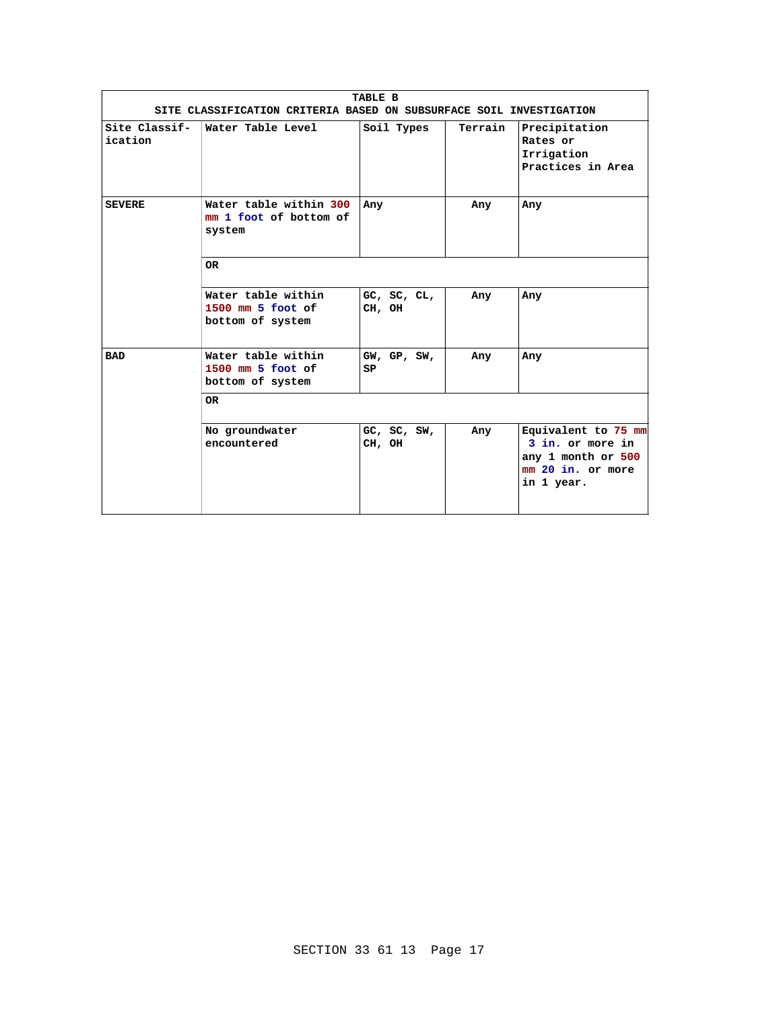| TABLE B<br>SITE CLASSIFICATION CRITERIA BASED ON SUBSURFACE SOIL INVESTIGATION |                                                                 |                          |         |                                                                                                  |  |  |
|--------------------------------------------------------------------------------|-----------------------------------------------------------------|--------------------------|---------|--------------------------------------------------------------------------------------------------|--|--|
| Site Classif-<br>ication                                                       | Water Table Level                                               | Soil Types               | Terrain | Precipitation<br>Rates or<br>Irrigation<br>Practices in Area                                     |  |  |
| <b>SEVERE</b>                                                                  | Water table within 300<br>mm 1 foot of bottom of<br>system      | Any                      | Any     | Any                                                                                              |  |  |
|                                                                                | OR.                                                             |                          |         |                                                                                                  |  |  |
|                                                                                | Water table within<br>$1500$ mm $5$ foot of<br>bottom of system | GC, SC, CL,<br>CH, OH    | Any     | Any                                                                                              |  |  |
| <b>BAD</b>                                                                     | Water table within<br>$1500$ mm $5$ foot of<br>bottom of system | GW, GP, SW,<br><b>SP</b> | Any     | Any                                                                                              |  |  |
|                                                                                | <b>OR</b>                                                       |                          |         |                                                                                                  |  |  |
|                                                                                | No groundwater<br>encountered                                   | GC, SC, SW,<br>CH, OH    | Any     | Equivalent to 75 mm<br>3 in. or more in<br>any 1 month or 500<br>mm 20 in. or more<br>in 1 year. |  |  |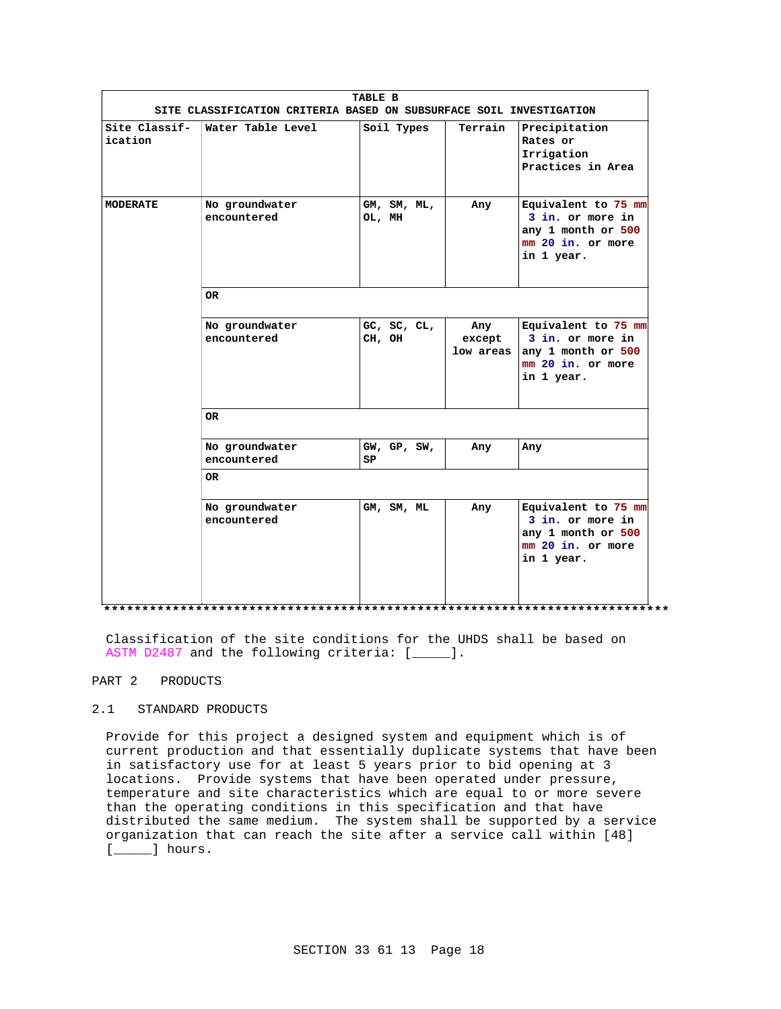|                          |                                                                     | TABLE B               |               |                                                                                                            |  |  |  |
|--------------------------|---------------------------------------------------------------------|-----------------------|---------------|------------------------------------------------------------------------------------------------------------|--|--|--|
|                          | SITE CLASSIFICATION CRITERIA BASED ON SUBSURFACE SOIL INVESTIGATION |                       |               |                                                                                                            |  |  |  |
| Site Classif-<br>ication | Water Table Level                                                   | Soil Types            | Terrain       | Precipitation<br>Rates or<br>Irrigation<br>Practices in Area                                               |  |  |  |
| <b>MODERATE</b>          | No groundwater<br>encountered                                       | GM, SM, ML,<br>OL, MH | Any           | Equivalent to 75 mm<br>3 in. or more in<br>any 1 month or 500<br>mm 20 in. or more<br>in 1 year.           |  |  |  |
|                          | OR                                                                  |                       |               |                                                                                                            |  |  |  |
|                          | No groundwater<br>encountered                                       | GC, SC, CL,<br>CH, OH | Any<br>except | Equivalent to 75 mm<br>3 in. or more in<br>low areas any 1 month or 500<br>mm 20 in. or more<br>in 1 year. |  |  |  |
|                          | OR.                                                                 |                       |               |                                                                                                            |  |  |  |
|                          | No groundwater<br>encountered                                       | GW, GP, SW,<br>SP     | Any           | Any                                                                                                        |  |  |  |
|                          | OR.                                                                 |                       |               |                                                                                                            |  |  |  |
|                          | No groundwater<br>encountered                                       | GM, SM, ML            | Any           | Equivalent to 75 mm<br>3 in. or more in<br>any 1 month or 500<br>mm 20 in. or more<br>in 1 year.           |  |  |  |
|                          |                                                                     |                       |               |                                                                                                            |  |  |  |

Classification of the site conditions for the UHDS shall be based on ASTM D2487 and the following criteria: [\_\_\_\_\_].

# PART 2 PRODUCTS

### 2.1 STANDARD PRODUCTS

Provide for this project a designed system and equipment which is of current production and that essentially duplicate systems that have been in satisfactory use for at least 5 years prior to bid opening at 3 locations. Provide systems that have been operated under pressure, temperature and site characteristics which are equal to or more severe than the operating conditions in this specification and that have distributed the same medium. The system shall be supported by a service organization that can reach the site after a service call within [48] [*\_\_\_\_\_*] hours.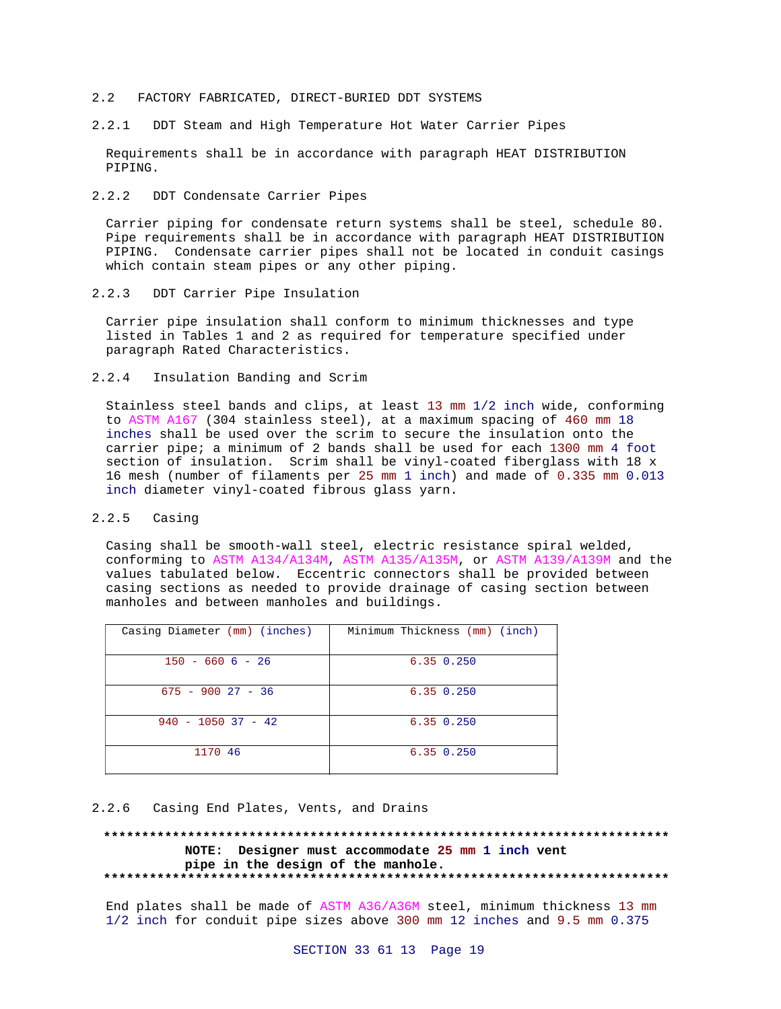### 2.2 FACTORY FABRICATED, DIRECT-BURIED DDT SYSTEMS

2.2.1 DDT Steam and High Temperature Hot Water Carrier Pipes

Requirements shall be in accordance with paragraph HEAT DISTRIBUTION PIPING.

2.2.2 DDT Condensate Carrier Pipes

Carrier piping for condensate return systems shall be steel, schedule 80. Pipe requirements shall be in accordance with paragraph HEAT DISTRIBUTION PIPING. Condensate carrier pipes shall not be located in conduit casings which contain steam pipes or any other piping.

2.2.3 DDT Carrier Pipe Insulation

Carrier pipe insulation shall conform to minimum thicknesses and type listed in Tables 1 and 2 as required for temperature specified under paragraph Rated Characteristics.

2.2.4 Insulation Banding and Scrim

Stainless steel bands and clips, at least 13 mm 1/2 inch wide, conforming to ASTM A167 (304 stainless steel), at a maximum spacing of 460 mm 18 inches shall be used over the scrim to secure the insulation onto the carrier pipe; a minimum of 2 bands shall be used for each 1300 mm 4 foot section of insulation. Scrim shall be vinyl-coated fiberglass with 18 x 16 mesh (number of filaments per 25 mm 1 inch) and made of 0.335 mm 0.013 inch diameter vinyl-coated fibrous glass yarn.

2.2.5 Casing

Casing shall be smooth-wall steel, electric resistance spiral welded, conforming to ASTM A134/A134M, ASTM A135/A135M, or ASTM A139/A139M and the values tabulated below. Eccentric connectors shall be provided between casing sections as needed to provide drainage of casing section between manholes and between manholes and buildings.

| Casing Diameter (mm) (inches) | Minimum Thickness (mm) (inch) |
|-------------------------------|-------------------------------|
| $150 - 660 6 - 26$            | $6.35$ $0.250$                |
| $675 - 900$ 27 - 36           | $6.35$ $0.250$                |
| $940 - 1050$ 37 - 42          | $6.35 \quad 0.250$            |
| 1170 46                       | $6.35$ $0.250$                |

## 2.2.6 Casing End Plates, Vents, and Drains

## **\*\*\*\*\*\*\*\*\*\*\*\*\*\*\*\*\*\*\*\*\*\*\*\*\*\*\*\*\*\*\*\*\*\*\*\*\*\*\*\*\*\*\*\*\*\*\*\*\*\*\*\*\*\*\*\*\*\*\*\*\*\*\*\*\*\*\*\*\*\*\*\*\*\* NOTE: Designer must accommodate 25 mm 1 inch vent pipe in the design of the manhole. \*\*\*\*\*\*\*\*\*\*\*\*\*\*\*\*\*\*\*\*\*\*\*\*\*\*\*\*\*\*\*\*\*\*\*\*\*\*\*\*\*\*\*\*\*\*\*\*\*\*\*\*\*\*\*\*\*\*\*\*\*\*\*\*\*\*\*\*\*\*\*\*\*\***

End plates shall be made of ASTM A36/A36M steel, minimum thickness 13 mm 1/2 inch for conduit pipe sizes above 300 mm 12 inches and 9.5 mm 0.375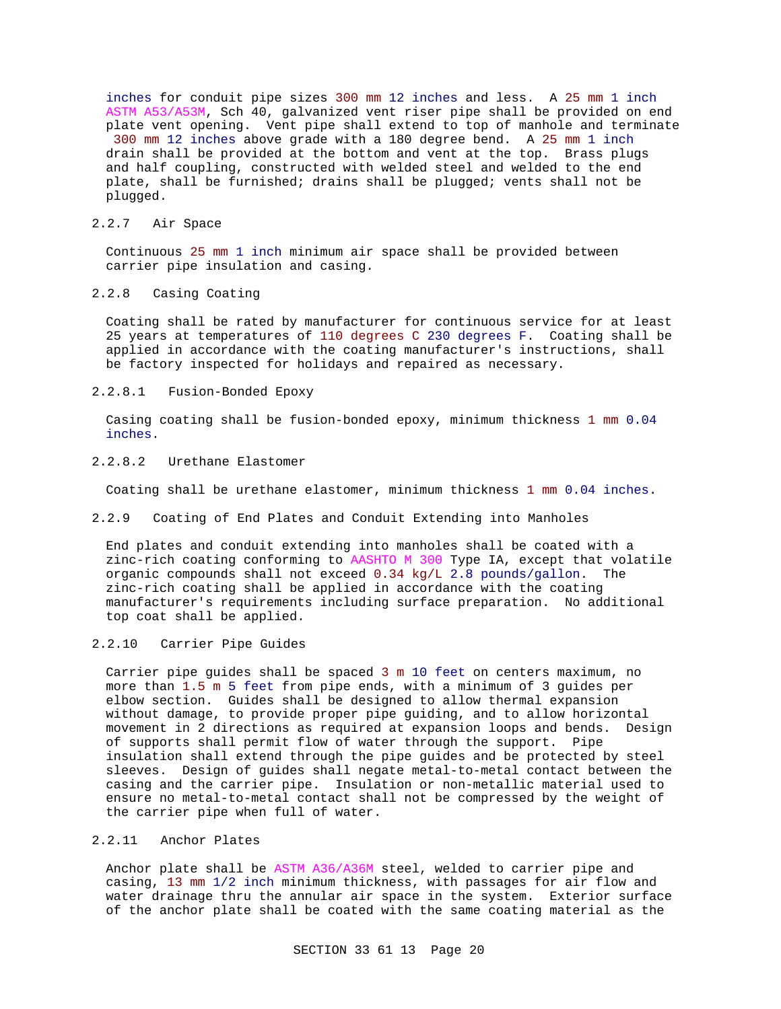inches for conduit pipe sizes 300 mm 12 inches and less. A 25 mm 1 inch ASTM A53/A53M, Sch 40, galvanized vent riser pipe shall be provided on end plate vent opening. Vent pipe shall extend to top of manhole and terminate 300 mm 12 inches above grade with a 180 degree bend. A 25 mm 1 inch drain shall be provided at the bottom and vent at the top. Brass plugs and half coupling, constructed with welded steel and welded to the end plate, shall be furnished; drains shall be plugged; vents shall not be plugged.

### 2.2.7 Air Space

Continuous 25 mm 1 inch minimum air space shall be provided between carrier pipe insulation and casing.

## 2.2.8 Casing Coating

Coating shall be rated by manufacturer for continuous service for at least 25 years at temperatures of 110 degrees C 230 degrees F. Coating shall be applied in accordance with the coating manufacturer's instructions, shall be factory inspected for holidays and repaired as necessary.

## 2.2.8.1 Fusion-Bonded Epoxy

Casing coating shall be fusion-bonded epoxy, minimum thickness 1 mm 0.04 inches.

2.2.8.2 Urethane Elastomer

Coating shall be urethane elastomer, minimum thickness 1 mm 0.04 inches.

2.2.9 Coating of End Plates and Conduit Extending into Manholes

End plates and conduit extending into manholes shall be coated with a zinc-rich coating conforming to AASHTO M 300 Type IA, except that volatile organic compounds shall not exceed 0.34 kg/L 2.8 pounds/gallon. The zinc-rich coating shall be applied in accordance with the coating manufacturer's requirements including surface preparation. No additional top coat shall be applied.

## 2.2.10 Carrier Pipe Guides

Carrier pipe guides shall be spaced 3 m 10 feet on centers maximum, no more than 1.5 m 5 feet from pipe ends, with a minimum of 3 guides per elbow section. Guides shall be designed to allow thermal expansion without damage, to provide proper pipe guiding, and to allow horizontal movement in 2 directions as required at expansion loops and bends. Design of supports shall permit flow of water through the support. Pipe insulation shall extend through the pipe guides and be protected by steel sleeves. Design of guides shall negate metal-to-metal contact between the casing and the carrier pipe. Insulation or non-metallic material used to ensure no metal-to-metal contact shall not be compressed by the weight of the carrier pipe when full of water.

## 2.2.11 Anchor Plates

Anchor plate shall be ASTM A36/A36M steel, welded to carrier pipe and casing, 13 mm 1/2 inch minimum thickness, with passages for air flow and water drainage thru the annular air space in the system. Exterior surface of the anchor plate shall be coated with the same coating material as the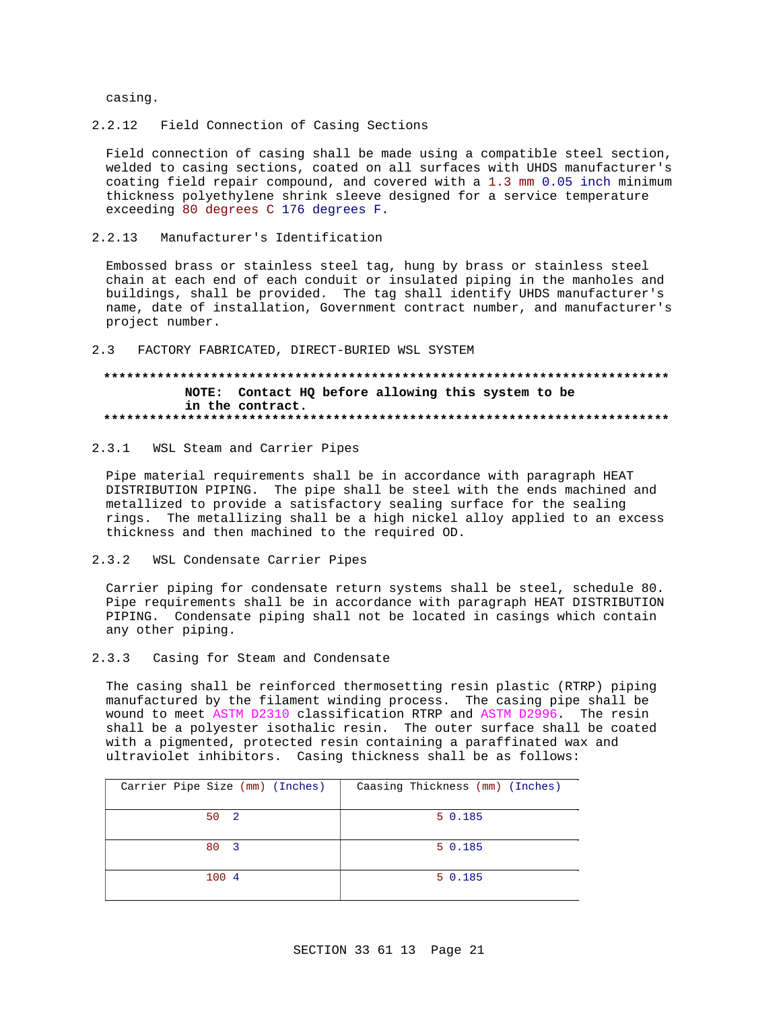casing.

2.2.12 Field Connection of Casing Sections

Field connection of casing shall be made using a compatible steel section, welded to casing sections, coated on all surfaces with UHDS manufacturer's coating field repair compound, and covered with a 1.3 mm 0.05 inch minimum thickness polyethylene shrink sleeve designed for a service temperature exceeding 80 degrees C 176 degrees F.

 $2.2.13$ Manufacturer's Identification

Embossed brass or stainless steel tag, hung by brass or stainless steel chain at each end of each conduit or insulated piping in the manholes and buildings, shall be provided. The tag shall identify UHDS manufacturer's name, date of installation, Government contract number, and manufacturer's project number.

FACTORY FABRICATED, DIRECT-BURIED WSL SYSTEM  $2<sup>2</sup>$ 

## NOTE: Contact HQ before allowing this system to be in the contract.

2.3.1 WSL Steam and Carrier Pipes

Pipe material requirements shall be in accordance with paragraph HEAT DISTRIBUTION PIPING. The pipe shall be steel with the ends machined and metallized to provide a satisfactory sealing surface for the sealing rings. The metallizing shall be a high nickel alloy applied to an excess thickness and then machined to the required OD.

 $2, 3, 2$ WSL Condensate Carrier Pipes

Carrier piping for condensate return systems shall be steel, schedule 80. Pipe requirements shall be in accordance with paragraph HEAT DISTRIBUTION PIPING. Condensate piping shall not be located in casings which contain any other piping.

 $2.3.3$ Casing for Steam and Condensate

The casing shall be reinforced thermosetting resin plastic (RTRP) piping manufactured by the filament winding process. The casing pipe shall be wound to meet ASTM D2310 classification RTRP and ASTM D2996. The resin shall be a polyester isothalic resin. The outer surface shall be coated with a pigmented, protected resin containing a paraffinated wax and ultraviolet inhibitors. Casing thickness shall be as follows:

| Carrier Pipe Size (mm) (Inches) | Caasing Thickness (mm) (Inches) |
|---------------------------------|---------------------------------|
| 50 2                            | 50.185                          |
| 80 3                            | 50.185                          |
| 100 4                           | 50.185                          |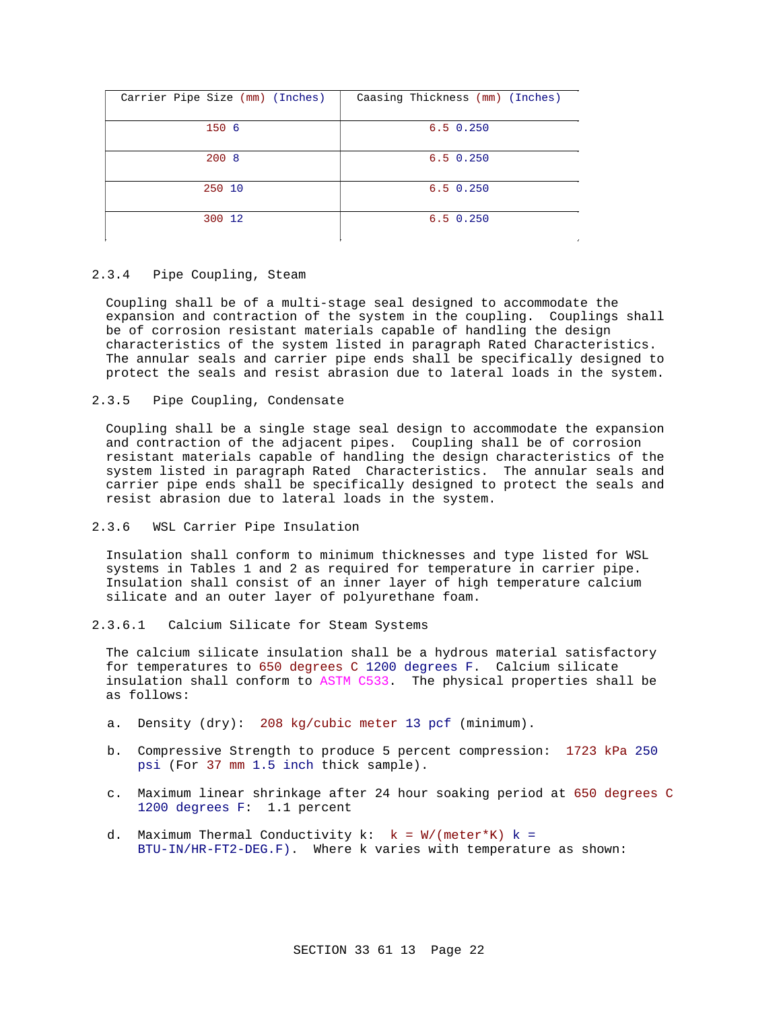| Carrier Pipe Size (mm) (Inches) | Caasing Thickness (mm) (Inches) |
|---------------------------------|---------------------------------|
| 150 6                           | $6.5 \t0.250$                   |
| 200 8                           | $6.5 \t0.250$                   |
| 250 10                          | $6.5 \t0.250$                   |
| 300 12                          | $6.5 \t0.250$                   |

## 2.3.4 Pipe Coupling, Steam

Coupling shall be of a multi-stage seal designed to accommodate the expansion and contraction of the system in the coupling. Couplings shall be of corrosion resistant materials capable of handling the design characteristics of the system listed in paragraph Rated Characteristics. The annular seals and carrier pipe ends shall be specifically designed to protect the seals and resist abrasion due to lateral loads in the system.

## 2.3.5 Pipe Coupling, Condensate

Coupling shall be a single stage seal design to accommodate the expansion and contraction of the adjacent pipes. Coupling shall be of corrosion resistant materials capable of handling the design characteristics of the system listed in paragraph Rated Characteristics. The annular seals and carrier pipe ends shall be specifically designed to protect the seals and resist abrasion due to lateral loads in the system.

### 2.3.6 WSL Carrier Pipe Insulation

Insulation shall conform to minimum thicknesses and type listed for WSL systems in Tables 1 and 2 as required for temperature in carrier pipe. Insulation shall consist of an inner layer of high temperature calcium silicate and an outer layer of polyurethane foam.

## 2.3.6.1 Calcium Silicate for Steam Systems

The calcium silicate insulation shall be a hydrous material satisfactory for temperatures to 650 degrees C 1200 degrees F. Calcium silicate insulation shall conform to ASTM C533. The physical properties shall be as follows:

- a. Density (dry): 208 kg/cubic meter 13 pcf (minimum).
- b. Compressive Strength to produce 5 percent compression: 1723 kPa 250 psi (For 37 mm 1.5 inch thick sample).
- c. Maximum linear shrinkage after 24 hour soaking period at 650 degrees C 1200 degrees F: 1.1 percent
- d. Maximum Thermal Conductivity k:  $k = W/(meter*K)$  k = BTU-IN/HR-FT2-DEG.F). Where k varies with temperature as shown: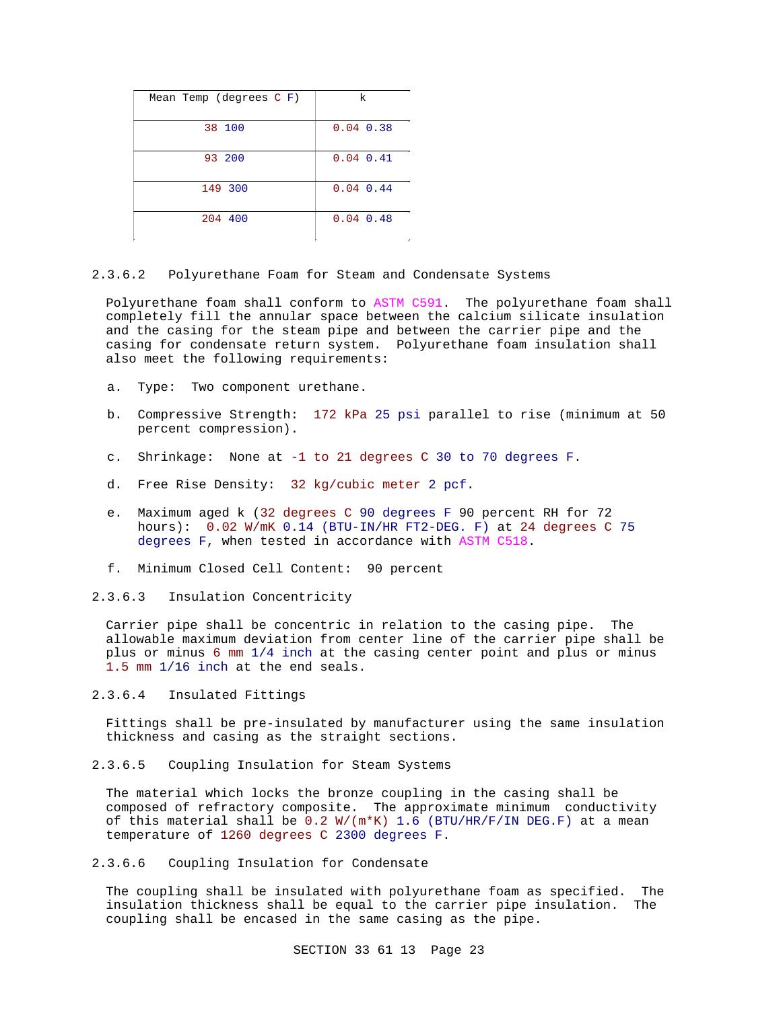| Mean Temp (degrees C F) | k             |
|-------------------------|---------------|
| 38 100                  | $0.04$ 0.38   |
| 93 200                  | $0.04$ $0.41$ |
| 149 300                 | $0.04$ 0.44   |
| 204 400                 | $0.04$ 0.48   |

### 2.3.6.2 Polyurethane Foam for Steam and Condensate Systems

Polyurethane foam shall conform to ASTM C591. The polyurethane foam shall completely fill the annular space between the calcium silicate insulation and the casing for the steam pipe and between the carrier pipe and the casing for condensate return system. Polyurethane foam insulation shall also meet the following requirements:

- a. Type: Two component urethane.
- b. Compressive Strength: 172 kPa 25 psi parallel to rise (minimum at 50 percent compression).
- c. Shrinkage: None at -1 to 21 degrees C 30 to 70 degrees F.
- d. Free Rise Density: 32 kg/cubic meter 2 pcf.
- e. Maximum aged k (32 degrees C 90 degrees F 90 percent RH for 72 hours): 0.02 W/mK 0.14 (BTU-IN/HR FT2-DEG. F) at 24 degrees C 75 degrees F, when tested in accordance with ASTM C518.
- f. Minimum Closed Cell Content: 90 percent
- 2.3.6.3 Insulation Concentricity

Carrier pipe shall be concentric in relation to the casing pipe. The allowable maximum deviation from center line of the carrier pipe shall be plus or minus 6 mm 1/4 inch at the casing center point and plus or minus 1.5 mm 1/16 inch at the end seals.

2.3.6.4 Insulated Fittings

Fittings shall be pre-insulated by manufacturer using the same insulation thickness and casing as the straight sections.

2.3.6.5 Coupling Insulation for Steam Systems

The material which locks the bronze coupling in the casing shall be composed of refractory composite. The approximate minimum conductivity of this material shall be  $0.2$  W/(m\*K) 1.6 (BTU/HR/F/IN DEG.F) at a mean temperature of 1260 degrees C 2300 degrees F.

2.3.6.6 Coupling Insulation for Condensate

The coupling shall be insulated with polyurethane foam as specified. The insulation thickness shall be equal to the carrier pipe insulation. The coupling shall be encased in the same casing as the pipe.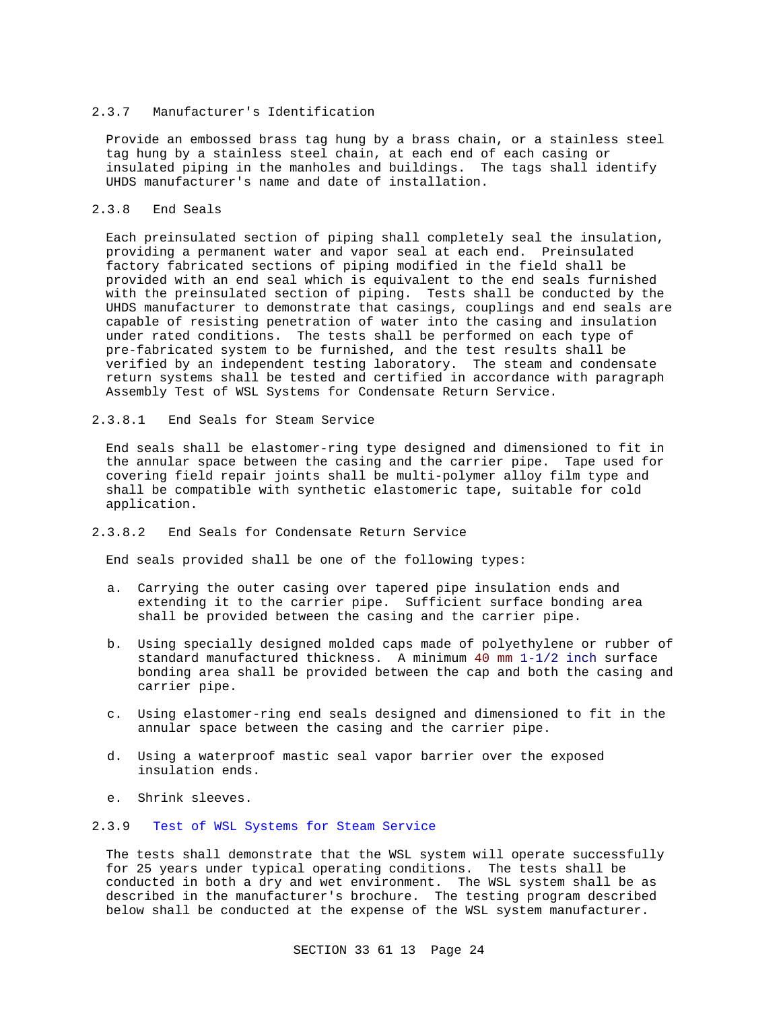### 2.3.7 Manufacturer's Identification

Provide an embossed brass tag hung by a brass chain, or a stainless steel tag hung by a stainless steel chain, at each end of each casing or insulated piping in the manholes and buildings. The tags shall identify UHDS manufacturer's name and date of installation.

## 2.3.8 End Seals

Each preinsulated section of piping shall completely seal the insulation, providing a permanent water and vapor seal at each end. Preinsulated factory fabricated sections of piping modified in the field shall be provided with an end seal which is equivalent to the end seals furnished with the preinsulated section of piping. Tests shall be conducted by the UHDS manufacturer to demonstrate that casings, couplings and end seals are capable of resisting penetration of water into the casing and insulation under rated conditions. The tests shall be performed on each type of pre-fabricated system to be furnished, and the test results shall be verified by an independent testing laboratory. The steam and condensate return systems shall be tested and certified in accordance with paragraph Assembly Test of WSL Systems for Condensate Return Service.

### 2.3.8.1 End Seals for Steam Service

End seals shall be elastomer-ring type designed and dimensioned to fit in the annular space between the casing and the carrier pipe. Tape used for covering field repair joints shall be multi-polymer alloy film type and shall be compatible with synthetic elastomeric tape, suitable for cold application.

### 2.3.8.2 End Seals for Condensate Return Service

End seals provided shall be one of the following types:

- a. Carrying the outer casing over tapered pipe insulation ends and extending it to the carrier pipe. Sufficient surface bonding area shall be provided between the casing and the carrier pipe.
- b. Using specially designed molded caps made of polyethylene or rubber of standard manufactured thickness. A minimum 40 mm 1-1/2 inch surface bonding area shall be provided between the cap and both the casing and carrier pipe.
- c. Using elastomer-ring end seals designed and dimensioned to fit in the annular space between the casing and the carrier pipe.
- d. Using a waterproof mastic seal vapor barrier over the exposed insulation ends.
- e. Shrink sleeves.

## 2.3.9 Test of WSL Systems for Steam Service

The tests shall demonstrate that the WSL system will operate successfully for 25 years under typical operating conditions. The tests shall be conducted in both a dry and wet environment. The WSL system shall be as described in the manufacturer's brochure. The testing program described below shall be conducted at the expense of the WSL system manufacturer.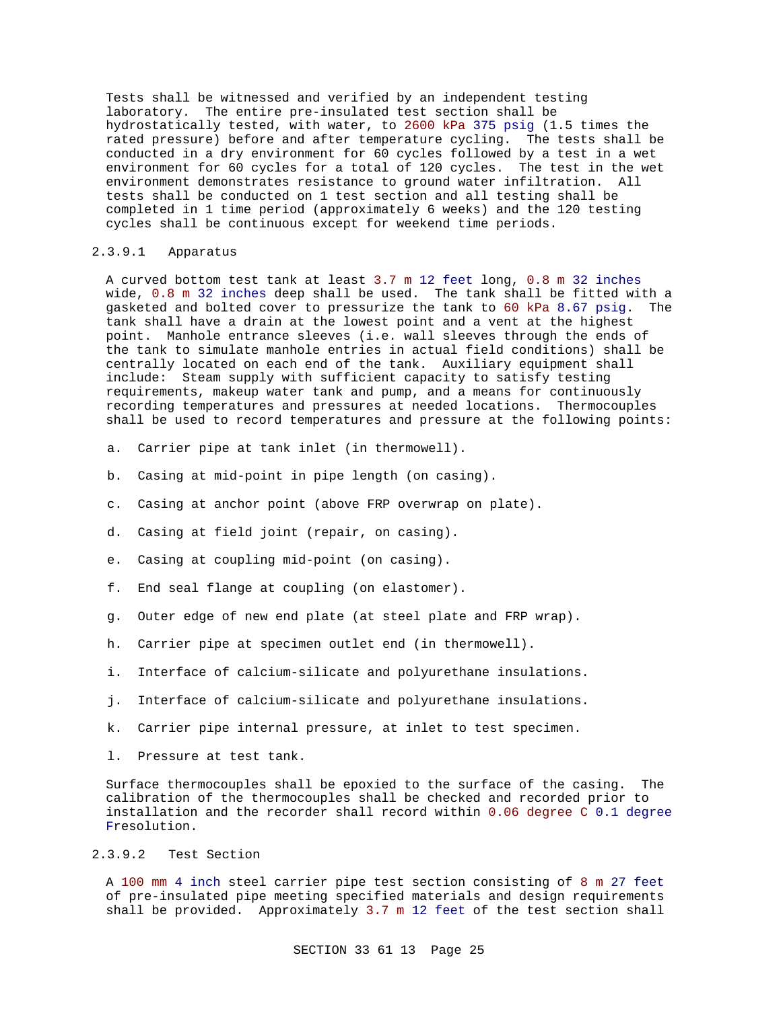Tests shall be witnessed and verified by an independent testing laboratory. The entire pre-insulated test section shall be hydrostatically tested, with water, to 2600 kPa 375 psig (1.5 times the rated pressure) before and after temperature cycling. The tests shall be conducted in a dry environment for 60 cycles followed by a test in a wet environment for 60 cycles for a total of 120 cycles. The test in the wet environment demonstrates resistance to ground water infiltration. All tests shall be conducted on 1 test section and all testing shall be completed in 1 time period (approximately 6 weeks) and the 120 testing cycles shall be continuous except for weekend time periods.

## 2.3.9.1 Apparatus

A curved bottom test tank at least 3.7 m 12 feet long, 0.8 m 32 inches wide, 0.8 m 32 inches deep shall be used. The tank shall be fitted with a gasketed and bolted cover to pressurize the tank to 60 kPa 8.67 psig. The tank shall have a drain at the lowest point and a vent at the highest point. Manhole entrance sleeves (i.e. wall sleeves through the ends of the tank to simulate manhole entries in actual field conditions) shall be centrally located on each end of the tank. Auxiliary equipment shall include: Steam supply with sufficient capacity to satisfy testing requirements, makeup water tank and pump, and a means for continuously recording temperatures and pressures at needed locations. Thermocouples shall be used to record temperatures and pressure at the following points:

- a. Carrier pipe at tank inlet (in thermowell).
- b. Casing at mid-point in pipe length (on casing).
- c. Casing at anchor point (above FRP overwrap on plate).
- d. Casing at field joint (repair, on casing).
- e. Casing at coupling mid-point (on casing).
- f. End seal flange at coupling (on elastomer).
- g. Outer edge of new end plate (at steel plate and FRP wrap).
- h. Carrier pipe at specimen outlet end (in thermowell).
- i. Interface of calcium-silicate and polyurethane insulations.
- j. Interface of calcium-silicate and polyurethane insulations.
- k. Carrier pipe internal pressure, at inlet to test specimen.
- l. Pressure at test tank.

Surface thermocouples shall be epoxied to the surface of the casing. The calibration of the thermocouples shall be checked and recorded prior to installation and the recorder shall record within 0.06 degree C 0.1 degree Fresolution.

## 2.3.9.2 Test Section

A 100 mm 4 inch steel carrier pipe test section consisting of 8 m 27 feet of pre-insulated pipe meeting specified materials and design requirements shall be provided. Approximately 3.7 m 12 feet of the test section shall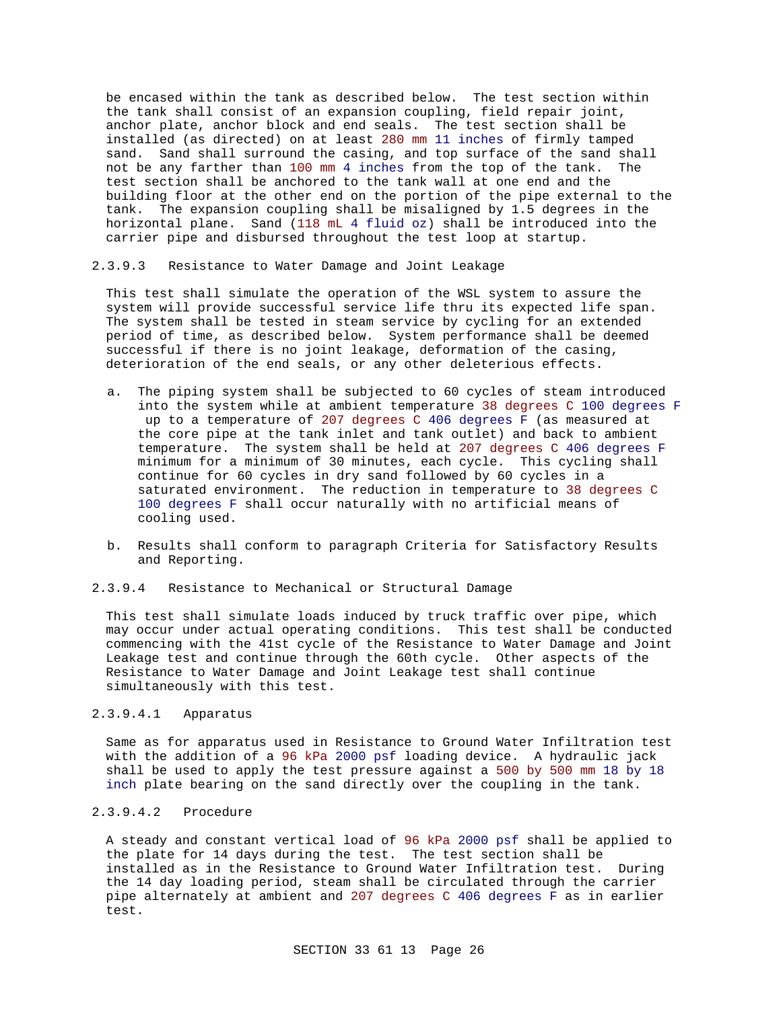be encased within the tank as described below. The test section within the tank shall consist of an expansion coupling, field repair joint, anchor plate, anchor block and end seals. The test section shall be installed (as directed) on at least 280 mm 11 inches of firmly tamped sand. Sand shall surround the casing, and top surface of the sand shall not be any farther than 100 mm 4 inches from the top of the tank. The test section shall be anchored to the tank wall at one end and the building floor at the other end on the portion of the pipe external to the tank. The expansion coupling shall be misaligned by 1.5 degrees in the horizontal plane. Sand (118 mL 4 fluid oz) shall be introduced into the carrier pipe and disbursed throughout the test loop at startup.

2.3.9.3 Resistance to Water Damage and Joint Leakage

This test shall simulate the operation of the WSL system to assure the system will provide successful service life thru its expected life span. The system shall be tested in steam service by cycling for an extended period of time, as described below. System performance shall be deemed successful if there is no joint leakage, deformation of the casing, deterioration of the end seals, or any other deleterious effects.

- a. The piping system shall be subjected to 60 cycles of steam introduced into the system while at ambient temperature 38 degrees C 100 degrees F up to a temperature of 207 degrees C 406 degrees F (as measured at the core pipe at the tank inlet and tank outlet) and back to ambient temperature. The system shall be held at 207 degrees C 406 degrees F minimum for a minimum of 30 minutes, each cycle. This cycling shall continue for 60 cycles in dry sand followed by 60 cycles in a saturated environment. The reduction in temperature to 38 degrees C 100 degrees F shall occur naturally with no artificial means of cooling used.
- b. Results shall conform to paragraph Criteria for Satisfactory Results and Reporting.
- 2.3.9.4 Resistance to Mechanical or Structural Damage

This test shall simulate loads induced by truck traffic over pipe, which may occur under actual operating conditions. This test shall be conducted commencing with the 41st cycle of the Resistance to Water Damage and Joint Leakage test and continue through the 60th cycle. Other aspects of the Resistance to Water Damage and Joint Leakage test shall continue simultaneously with this test.

## 2.3.9.4.1 Apparatus

Same as for apparatus used in Resistance to Ground Water Infiltration test with the addition of a 96 kPa 2000 psf loading device. A hydraulic jack shall be used to apply the test pressure against a 500 by 500 mm 18 by 18 inch plate bearing on the sand directly over the coupling in the tank.

## 2.3.9.4.2 Procedure

A steady and constant vertical load of 96 kPa 2000 psf shall be applied to the plate for 14 days during the test. The test section shall be installed as in the Resistance to Ground Water Infiltration test. During the 14 day loading period, steam shall be circulated through the carrier pipe alternately at ambient and 207 degrees C 406 degrees F as in earlier test.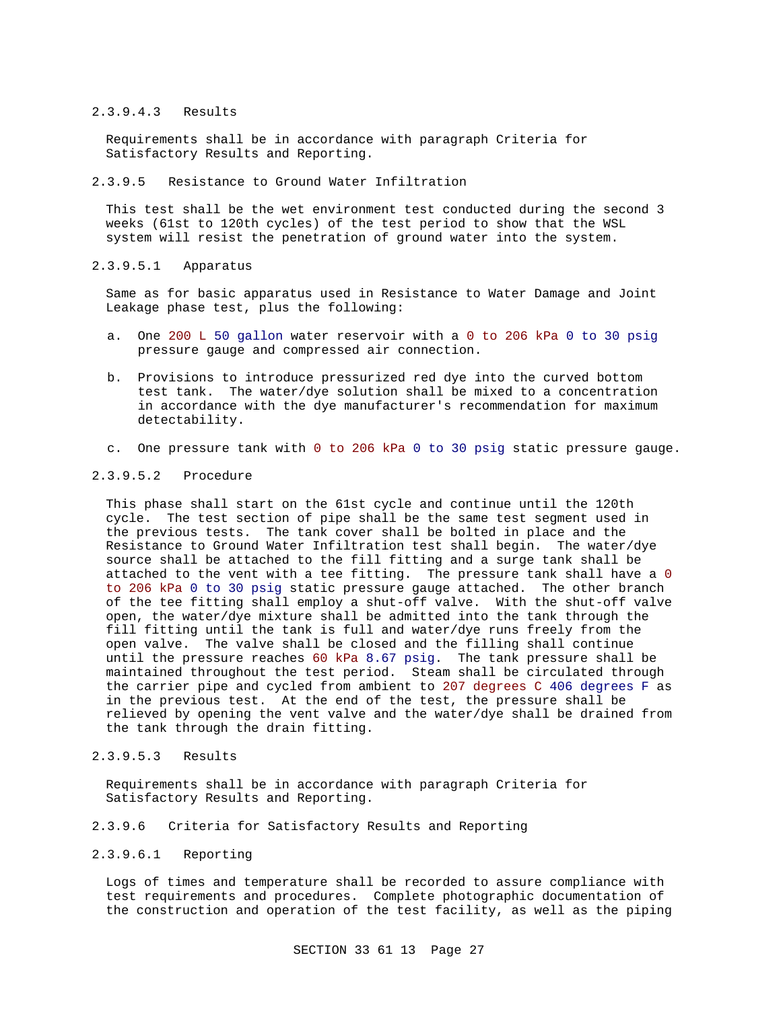### 2.3.9.4.3 Results

Requirements shall be in accordance with paragraph Criteria for Satisfactory Results and Reporting.

### 2.3.9.5 Resistance to Ground Water Infiltration

This test shall be the wet environment test conducted during the second 3 weeks (61st to 120th cycles) of the test period to show that the WSL system will resist the penetration of ground water into the system.

## 2.3.9.5.1 Apparatus

Same as for basic apparatus used in Resistance to Water Damage and Joint Leakage phase test, plus the following:

- a. One 200 L 50 gallon water reservoir with a 0 to 206 kPa 0 to 30 psig pressure gauge and compressed air connection.
- b. Provisions to introduce pressurized red dye into the curved bottom test tank. The water/dye solution shall be mixed to a concentration in accordance with the dye manufacturer's recommendation for maximum detectability.
- c. One pressure tank with 0 to 206 kPa 0 to 30 psig static pressure gauge.

### 2.3.9.5.2 Procedure

This phase shall start on the 61st cycle and continue until the 120th cycle. The test section of pipe shall be the same test segment used in the previous tests. The tank cover shall be bolted in place and the Resistance to Ground Water Infiltration test shall begin. The water/dye source shall be attached to the fill fitting and a surge tank shall be attached to the vent with a tee fitting. The pressure tank shall have a 0 to 206 kPa 0 to 30 psig static pressure gauge attached. The other branch of the tee fitting shall employ a shut-off valve. With the shut-off valve open, the water/dye mixture shall be admitted into the tank through the fill fitting until the tank is full and water/dye runs freely from the open valve. The valve shall be closed and the filling shall continue until the pressure reaches 60 kPa 8.67 psig. The tank pressure shall be maintained throughout the test period. Steam shall be circulated through the carrier pipe and cycled from ambient to 207 degrees C 406 degrees F as in the previous test. At the end of the test, the pressure shall be relieved by opening the vent valve and the water/dye shall be drained from the tank through the drain fitting.

## 2.3.9.5.3 Results

Requirements shall be in accordance with paragraph Criteria for Satisfactory Results and Reporting.

## 2.3.9.6 Criteria for Satisfactory Results and Reporting

### 2.3.9.6.1 Reporting

Logs of times and temperature shall be recorded to assure compliance with test requirements and procedures. Complete photographic documentation of the construction and operation of the test facility, as well as the piping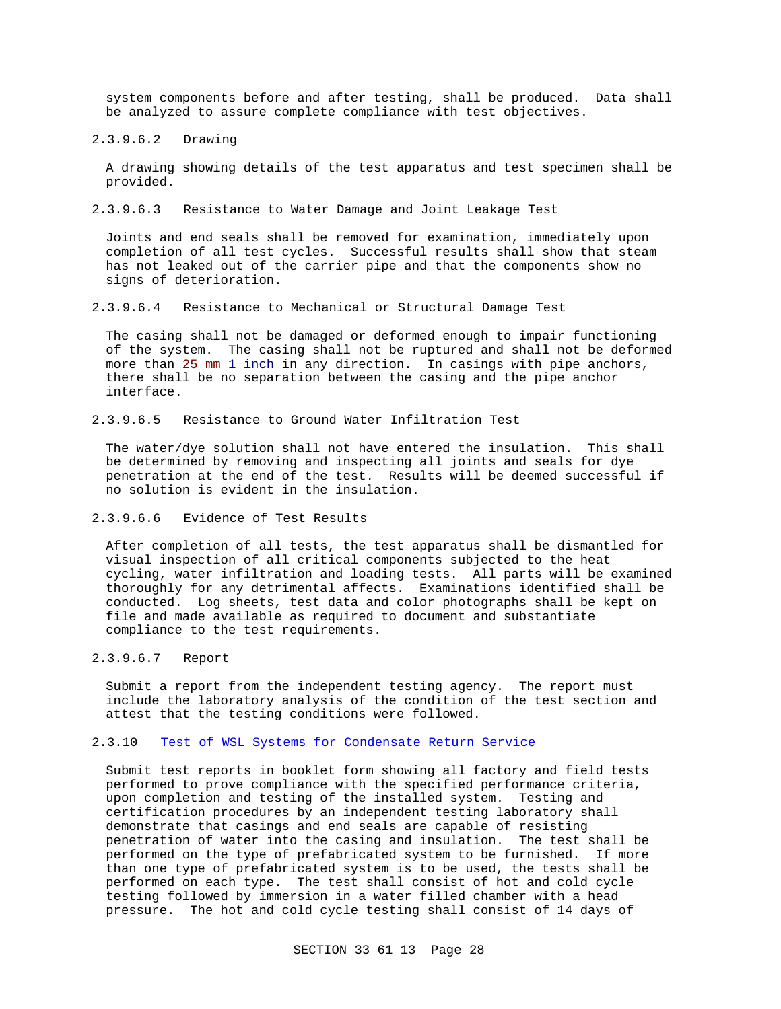system components before and after testing, shall be produced. Data shall be analyzed to assure complete compliance with test objectives.

2.3.9.6.2 Drawing

A drawing showing details of the test apparatus and test specimen shall be provided.

2.3.9.6.3 Resistance to Water Damage and Joint Leakage Test

Joints and end seals shall be removed for examination, immediately upon completion of all test cycles. Successful results shall show that steam has not leaked out of the carrier pipe and that the components show no signs of deterioration.

2.3.9.6.4 Resistance to Mechanical or Structural Damage Test

The casing shall not be damaged or deformed enough to impair functioning of the system. The casing shall not be ruptured and shall not be deformed more than 25 mm 1 inch in any direction. In casings with pipe anchors, there shall be no separation between the casing and the pipe anchor interface.

2.3.9.6.5 Resistance to Ground Water Infiltration Test

The water/dye solution shall not have entered the insulation. This shall be determined by removing and inspecting all joints and seals for dye penetration at the end of the test. Results will be deemed successful if no solution is evident in the insulation.

2.3.9.6.6 Evidence of Test Results

After completion of all tests, the test apparatus shall be dismantled for visual inspection of all critical components subjected to the heat cycling, water infiltration and loading tests. All parts will be examined thoroughly for any detrimental affects. Examinations identified shall be conducted. Log sheets, test data and color photographs shall be kept on file and made available as required to document and substantiate compliance to the test requirements.

2.3.9.6.7 Report

Submit a report from the independent testing agency. The report must include the laboratory analysis of the condition of the test section and attest that the testing conditions were followed.

#### 2.3.10 Test of WSL Systems for Condensate Return Service

Submit test reports in booklet form showing all factory and field tests performed to prove compliance with the specified performance criteria, upon completion and testing of the installed system. Testing and certification procedures by an independent testing laboratory shall demonstrate that casings and end seals are capable of resisting penetration of water into the casing and insulation. The test shall be performed on the type of prefabricated system to be furnished. If more than one type of prefabricated system is to be used, the tests shall be performed on each type. The test shall consist of hot and cold cycle testing followed by immersion in a water filled chamber with a head pressure. The hot and cold cycle testing shall consist of 14 days of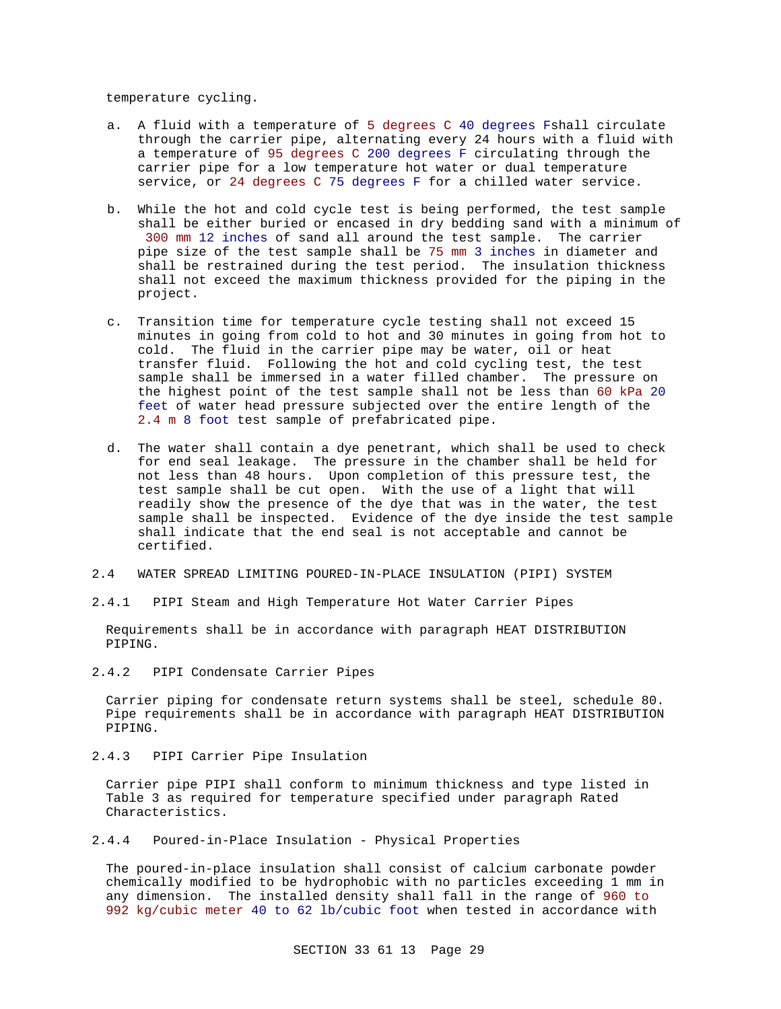temperature cycling.

- a. A fluid with a temperature of 5 degrees C 40 degrees Fshall circulate through the carrier pipe, alternating every 24 hours with a fluid with a temperature of 95 degrees C 200 degrees F circulating through the carrier pipe for a low temperature hot water or dual temperature service, or 24 degrees C 75 degrees F for a chilled water service.
- b. While the hot and cold cycle test is being performed, the test sample shall be either buried or encased in dry bedding sand with a minimum of 300 mm 12 inches of sand all around the test sample. The carrier pipe size of the test sample shall be 75 mm 3 inches in diameter and shall be restrained during the test period. The insulation thickness shall not exceed the maximum thickness provided for the piping in the project.
- c. Transition time for temperature cycle testing shall not exceed 15 minutes in going from cold to hot and 30 minutes in going from hot to cold. The fluid in the carrier pipe may be water, oil or heat transfer fluid. Following the hot and cold cycling test, the test sample shall be immersed in a water filled chamber. The pressure on the highest point of the test sample shall not be less than 60 kPa 20 feet of water head pressure subjected over the entire length of the 2.4 m 8 foot test sample of prefabricated pipe.
- d. The water shall contain a dye penetrant, which shall be used to check for end seal leakage. The pressure in the chamber shall be held for not less than 48 hours. Upon completion of this pressure test, the test sample shall be cut open. With the use of a light that will readily show the presence of the dye that was in the water, the test sample shall be inspected. Evidence of the dye inside the test sample shall indicate that the end seal is not acceptable and cannot be certified.
- 2.4 WATER SPREAD LIMITING POURED-IN-PLACE INSULATION (PIPI) SYSTEM
- 2.4.1 PIPI Steam and High Temperature Hot Water Carrier Pipes

Requirements shall be in accordance with paragraph HEAT DISTRIBUTION PIPING.

2.4.2 PIPI Condensate Carrier Pipes

Carrier piping for condensate return systems shall be steel, schedule 80. Pipe requirements shall be in accordance with paragraph HEAT DISTRIBUTION PIPING.

2.4.3 PIPI Carrier Pipe Insulation

Carrier pipe PIPI shall conform to minimum thickness and type listed in Table 3 as required for temperature specified under paragraph Rated Characteristics.

2.4.4 Poured-in-Place Insulation - Physical Properties

The poured-in-place insulation shall consist of calcium carbonate powder chemically modified to be hydrophobic with no particles exceeding 1 mm in any dimension. The installed density shall fall in the range of 960 to 992 kg/cubic meter 40 to 62 lb/cubic foot when tested in accordance with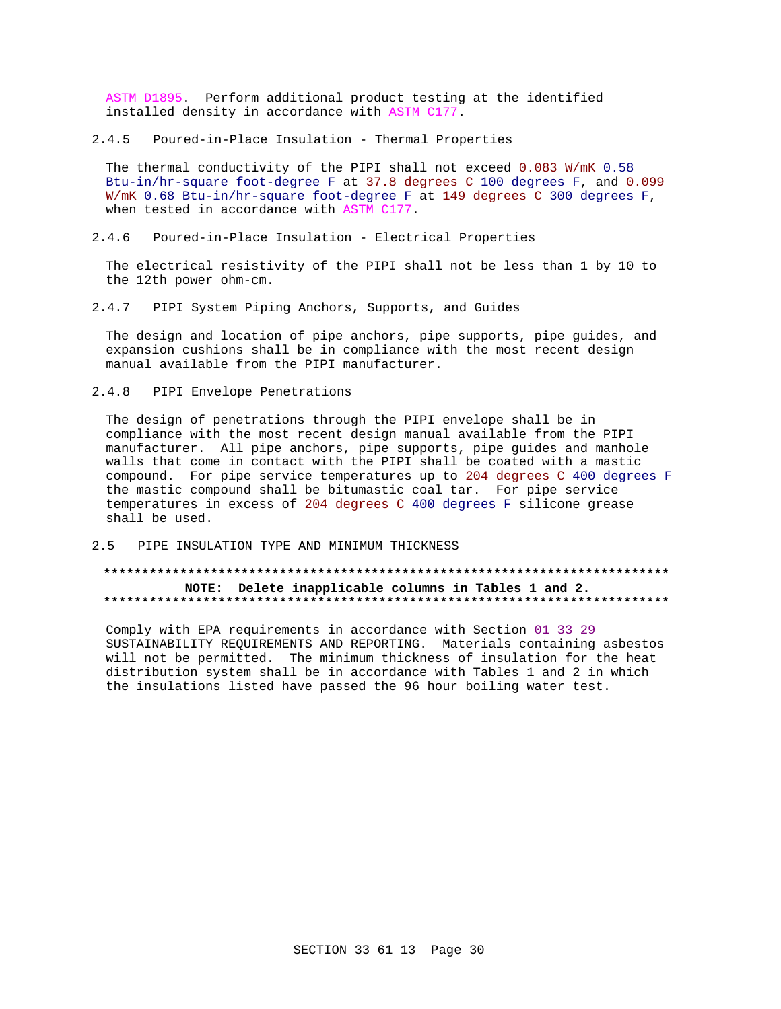ASTM D1895 Perform additional product testing at the identified installed density in accordance with ASTM C177.

 $2.4.5$ Poured-in-Place Insulation - Thermal Properties

The thermal conductivity of the PIPI shall not exceed 0.083 W/mK 0.58 Btu-in/hr-square foot-degree F at 37.8 degrees C 100 degrees F, and 0.099 W/mK 0.68 Btu-in/hr-square foot-degree F at 149 degrees C 300 degrees F, when tested in accordance with ASTM C177.

 $2.4.6$ Poured-in-Place Insulation - Electrical Properties

The electrical resistivity of the PIPI shall not be less than 1 by 10 to the 12th power ohm-cm.

 $2.4.7$ PIPI System Piping Anchors, Supports, and Guides

The design and location of pipe anchors, pipe supports, pipe guides, and expansion cushions shall be in compliance with the most recent design manual available from the PIPI manufacturer.

 $2, 4, 8$ PIPI Envelope Penetrations

The design of penetrations through the PIPI envelope shall be in compliance with the most recent design manual available from the PIPI manufacturer. All pipe anchors, pipe supports, pipe guides and manhole walls that come in contact with the PIPI shall be coated with a mastic compound. For pipe service temperatures up to 204 degrees C 400 degrees F the mastic compound shall be bitumastic coal tar. For pipe service temperatures in excess of 204 degrees C 400 degrees F silicone grease shall be used.

 $2.5$ PIPE INSULATION TYPE AND MINIMUM THICKNESS

## NOTE: Delete inapplicable columns in Tables 1 and 2.

Comply with EPA requirements in accordance with Section 01 33 29 SUSTAINABILITY REQUIREMENTS AND REPORTING. Materials containing asbestos will not be permitted. The minimum thickness of insulation for the heat distribution system shall be in accordance with Tables 1 and 2 in which the insulations listed have passed the 96 hour boiling water test.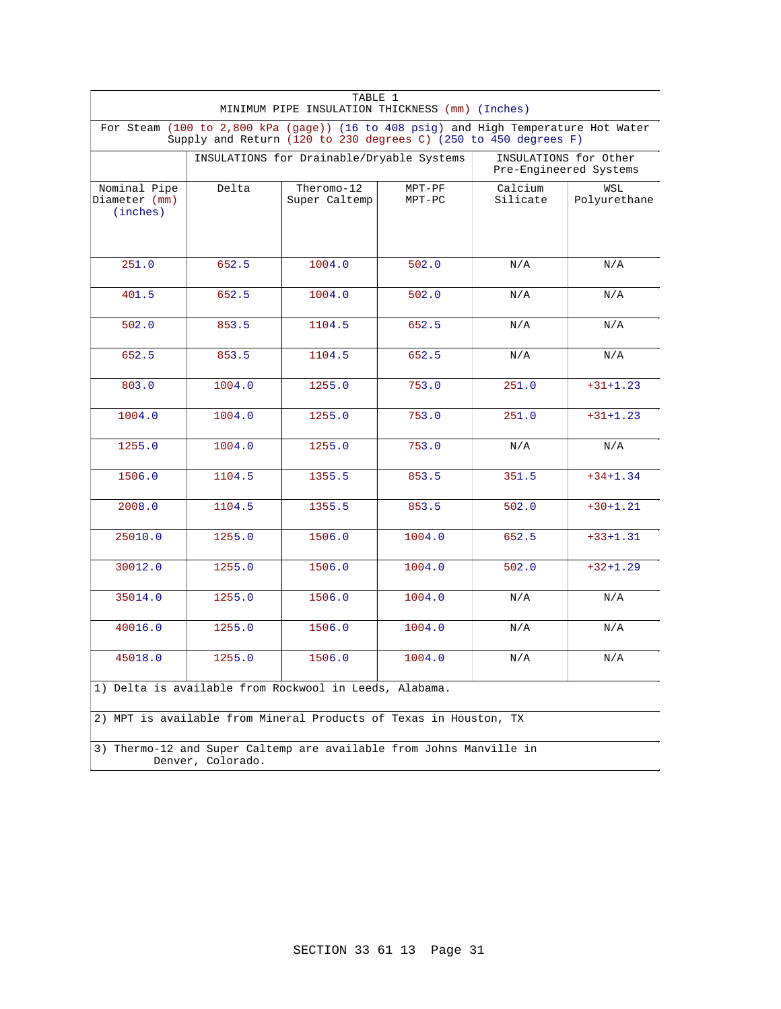| TABLE 1<br>MINIMUM PIPE INSULATION THICKNESS (mm) (Inches)                                                                                             |                                                                                              |                             |                      |                     |                     |
|--------------------------------------------------------------------------------------------------------------------------------------------------------|----------------------------------------------------------------------------------------------|-----------------------------|----------------------|---------------------|---------------------|
| For Steam (100 to 2,800 kPa (gage)) (16 to 408 psig) and High Temperature Hot Water<br>Supply and Return (120 to 230 degrees C) (250 to 450 degrees F) |                                                                                              |                             |                      |                     |                     |
|                                                                                                                                                        | INSULATIONS for Drainable/Dryable Systems<br>INSULATIONS for Other<br>Pre-Engineered Systems |                             |                      |                     |                     |
| Nominal Pipe<br>Diameter (mm)<br>(inches)                                                                                                              | Delta                                                                                        | Theromo-12<br>Super Caltemp | $MPT-PF$<br>$MPT-PC$ | Calcium<br>Silicate | WSL<br>Polyurethane |
| 251.0                                                                                                                                                  | 652.5                                                                                        | 1004.0                      | 502.0                | N/A                 | N/A                 |
| 401.5                                                                                                                                                  | 652.5                                                                                        | 1004.0                      | 502.0                | N/A                 | N/A                 |
| 502.0                                                                                                                                                  | 853.5                                                                                        | 1104.5                      | 652.5                | N/A                 | N/A                 |
| 652.5                                                                                                                                                  | 853.5                                                                                        | 1104.5                      | 652.5                | N/A                 | N/A                 |
| 803.0                                                                                                                                                  | 1004.0                                                                                       | 1255.0                      | 753.0                | 251.0               | $+31+1.23$          |
| 1004.0                                                                                                                                                 | 1004.0                                                                                       | 1255.0                      | 753.0                | 251.0               | $+31+1.23$          |
| 1255.0                                                                                                                                                 | 1004.0                                                                                       | 1255.0                      | 753.0                | N/A                 | N/A                 |
| 1506.0                                                                                                                                                 | 1104.5                                                                                       | 1355.5                      | 853.5                | 351.5               | $+34+1.34$          |
| 2008.0                                                                                                                                                 | 1104.5                                                                                       | 1355.5                      | 853.5                | 502.0               | $+30+1.21$          |
| 25010.0                                                                                                                                                | 1255.0                                                                                       | 1506.0                      | 1004.0               | 652.5               | $+33+1.31$          |
| 30012.0                                                                                                                                                | 1255.0                                                                                       | 1506.0                      | 1004.0               | 502.0               | $+32+1.29$          |
| 35014.0                                                                                                                                                | 1255.0                                                                                       | 1506.0                      | 1004.0               | N/A                 | N/A                 |
| 40016.0                                                                                                                                                | 1255.0                                                                                       | 1506.0                      | 1004.0               | N/A                 | N/A                 |
| 45018.0                                                                                                                                                | 1255.0                                                                                       | 1506.0                      | 1004.0               | N/A                 | N/A                 |
| 1) Delta is available from Rockwool in Leeds, Alabama.                                                                                                 |                                                                                              |                             |                      |                     |                     |
| 2) MPT is available from Mineral Products of Texas in Houston, TX                                                                                      |                                                                                              |                             |                      |                     |                     |
| 3) Thermo-12 and Super Caltemp are available from Johns Manville in<br>Denver, Colorado.                                                               |                                                                                              |                             |                      |                     |                     |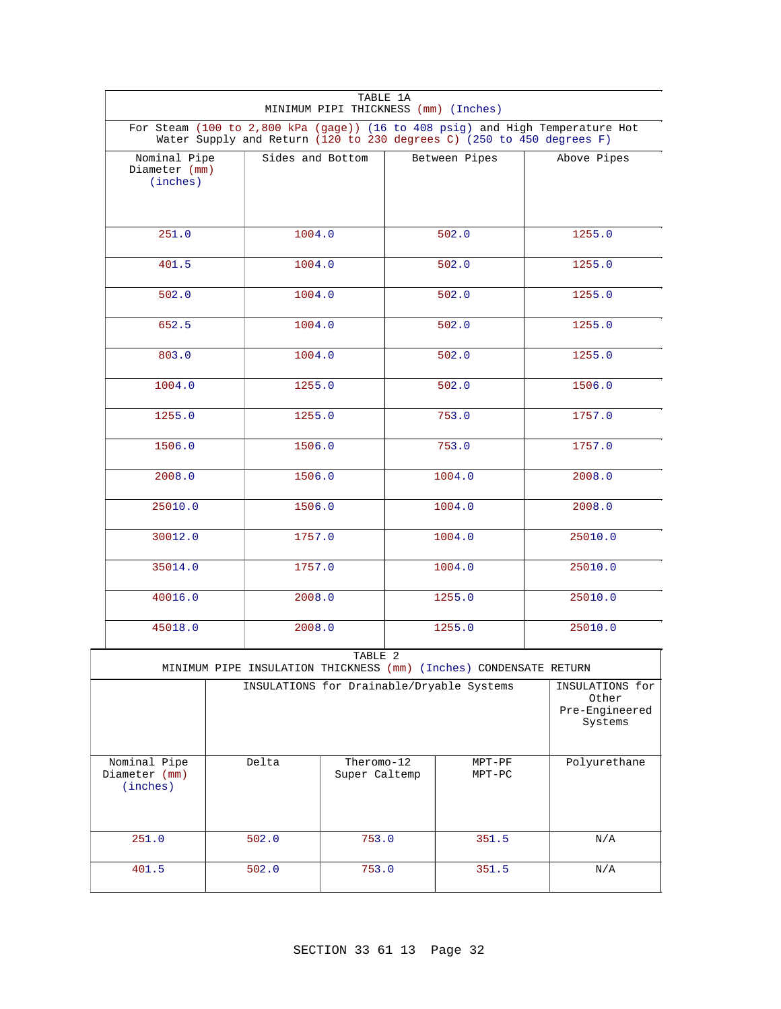| TABLE 1A<br>MINIMUM PIPI THICKNESS (mm) (Inches)                                                                                                       |                                                                                                    |                  |        |                      |             |              |
|--------------------------------------------------------------------------------------------------------------------------------------------------------|----------------------------------------------------------------------------------------------------|------------------|--------|----------------------|-------------|--------------|
| For Steam (100 to 2,800 kPa (gage)) (16 to 408 psig) and High Temperature Hot<br>Water Supply and Return (120 to 230 degrees C) (250 to 450 degrees F) |                                                                                                    |                  |        |                      |             |              |
| Nominal Pipe<br>Diameter (mm)<br>(inches)                                                                                                              |                                                                                                    | Sides and Bottom |        | Between Pipes        | Above Pipes |              |
| 251.0                                                                                                                                                  |                                                                                                    | 1004.0           |        | 502.0                | 1255.0      |              |
| 401.5                                                                                                                                                  |                                                                                                    | 1004.0           |        | 502.0                | 1255.0      |              |
| 1004.0<br>502.0                                                                                                                                        |                                                                                                    |                  | 502.0  | 1255.0               |             |              |
| 652.5<br>1004.0                                                                                                                                        |                                                                                                    |                  |        | 502.0                | 1255.0      |              |
| 803.0                                                                                                                                                  | 1004.0                                                                                             |                  | 502.0  |                      | 1255.0      |              |
| 1004.0                                                                                                                                                 | 1255.0                                                                                             |                  |        | 502.0                |             | 1506.0       |
| 1255.0                                                                                                                                                 |                                                                                                    | 1255.0           |        | 753.0                | 1757.0      |              |
| 1506.0<br>1506.0                                                                                                                                       |                                                                                                    |                  |        | 753.0                | 1757.0      |              |
| 2008.0                                                                                                                                                 |                                                                                                    | 1506.0           |        | 1004.0               |             | 2008.0       |
| 25010.0                                                                                                                                                |                                                                                                    | 1506.0           |        | 1004.0               |             | 2008.0       |
| 30012.0<br>1757.0                                                                                                                                      |                                                                                                    |                  |        | 1004.0               | 25010.0     |              |
| 35014.0                                                                                                                                                | 1757.0                                                                                             |                  | 1004.0 |                      | 25010.0     |              |
| 40016.0                                                                                                                                                | 2008.0                                                                                             |                  | 1255.0 |                      | 25010.0     |              |
| 45018.0                                                                                                                                                |                                                                                                    | 2008.0           |        | 1255.0               | 25010.0     |              |
| TABLE 2<br>MINIMUM PIPE INSULATION THICKNESS (mm) (Inches) CONDENSATE RETURN                                                                           |                                                                                                    |                  |        |                      |             |              |
|                                                                                                                                                        | INSULATIONS for Drainable/Dryable Systems<br>INSULATIONS for<br>Other<br>Pre-Engineered<br>Systems |                  |        |                      |             |              |
| Nominal Pipe<br>Diameter (mm)<br>(inches)                                                                                                              | Delta<br>Theromo-12<br>Super Caltemp                                                               |                  |        | $MPT-PF$<br>$MPT-PC$ |             | Polyurethane |
| 251.0                                                                                                                                                  | 502.0                                                                                              | 753.0            |        | 351.5                |             | N/A          |
| 401.5                                                                                                                                                  | 502.0                                                                                              | 753.0            |        | 351.5                |             | N/A          |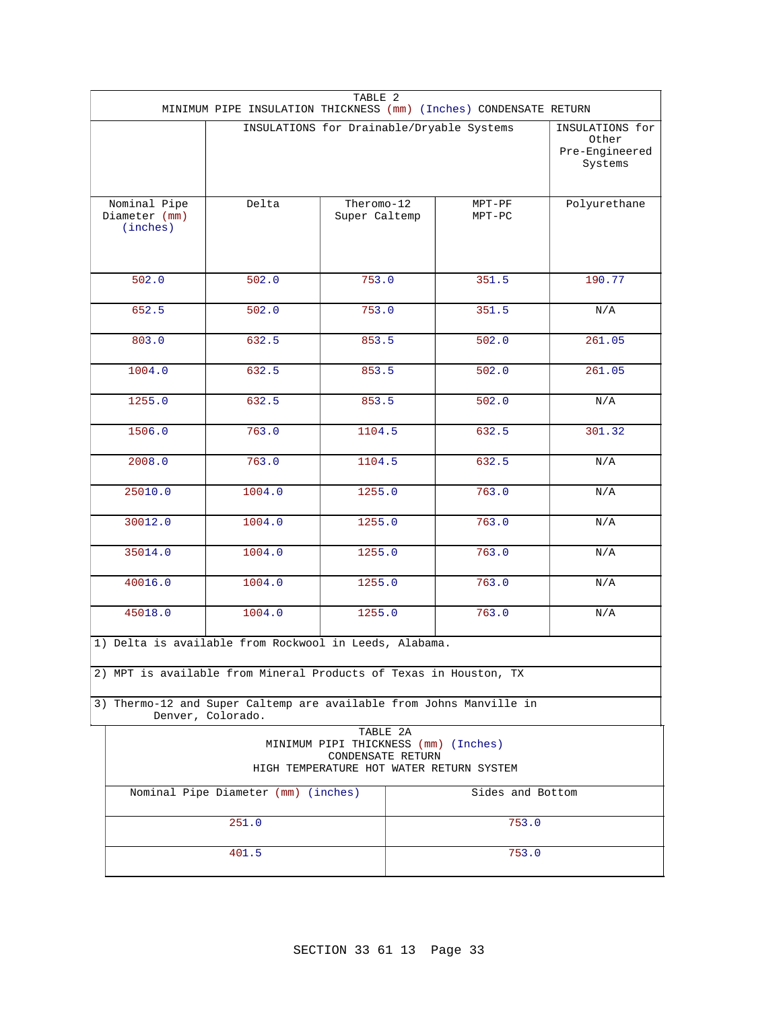| TABLE 2<br>MINIMUM PIPE INSULATION THICKNESS (mm) (Inches) CONDENSATE RETURN                                      |        |                             |                  |                                           |                                                       |
|-------------------------------------------------------------------------------------------------------------------|--------|-----------------------------|------------------|-------------------------------------------|-------------------------------------------------------|
|                                                                                                                   |        |                             |                  | INSULATIONS for Drainable/Dryable Systems | INSULATIONS for<br>Other<br>Pre-Engineered<br>Systems |
| Nominal Pipe<br>Diameter (mm)<br>(inches)                                                                         | Delta  | Theromo-12<br>Super Caltemp |                  | $MPT-PF$<br>$MPT-PC$                      | Polyurethane                                          |
| 502.0                                                                                                             | 502.0  | 753.0                       |                  | 351.5                                     | 190.77                                                |
| 652.5                                                                                                             | 502.0  | 753.0                       |                  | 351.5                                     | N/A                                                   |
| 803.0                                                                                                             | 632.5  | 853.5                       |                  | 502.0                                     | 261.05                                                |
| 1004.0                                                                                                            | 632.5  | 853.5                       |                  | 502.0                                     | 261.05                                                |
| 1255.0                                                                                                            | 632.5  | 853.5                       |                  | 502.0                                     | N/A                                                   |
| 1506.0                                                                                                            | 763.0  | 1104.5                      |                  | 632.5                                     | 301.32                                                |
| 2008.0                                                                                                            | 763.0  | 1104.5                      |                  | 632.5                                     | N/A                                                   |
| 25010.0                                                                                                           | 1004.0 | 1255.0                      |                  | 763.0                                     | N/A                                                   |
| 30012.0                                                                                                           | 1004.0 | 1255.0                      |                  | 763.0                                     | N/A                                                   |
| 35014.0                                                                                                           | 1004.0 | 1255.0                      |                  | 763.0                                     | N/A                                                   |
| 40016.0                                                                                                           | 1004.0 | 1255.0                      |                  | 763.0                                     | N/A                                                   |
| 45018.0                                                                                                           | 1004.0 | 1255.0                      |                  | 763.0                                     | N/A                                                   |
| 1) Delta is available from Rockwool in Leeds, Alabama.                                                            |        |                             |                  |                                           |                                                       |
| 2) MPT is available from Mineral Products of Texas in Houston, TX                                                 |        |                             |                  |                                           |                                                       |
| 3) Thermo-12 and Super Caltemp are available from Johns Manville in<br>Denver, Colorado.                          |        |                             |                  |                                           |                                                       |
| TABLE 2A<br>MINIMUM PIPI THICKNESS (mm) (Inches)<br>CONDENSATE RETURN<br>HIGH TEMPERATURE HOT WATER RETURN SYSTEM |        |                             |                  |                                           |                                                       |
| Nominal Pipe Diameter (mm) (inches)                                                                               |        |                             | Sides and Bottom |                                           |                                                       |
|                                                                                                                   | 251.0  |                             | 753.0            |                                           |                                                       |
| 401.5                                                                                                             |        | 753.0                       |                  |                                           |                                                       |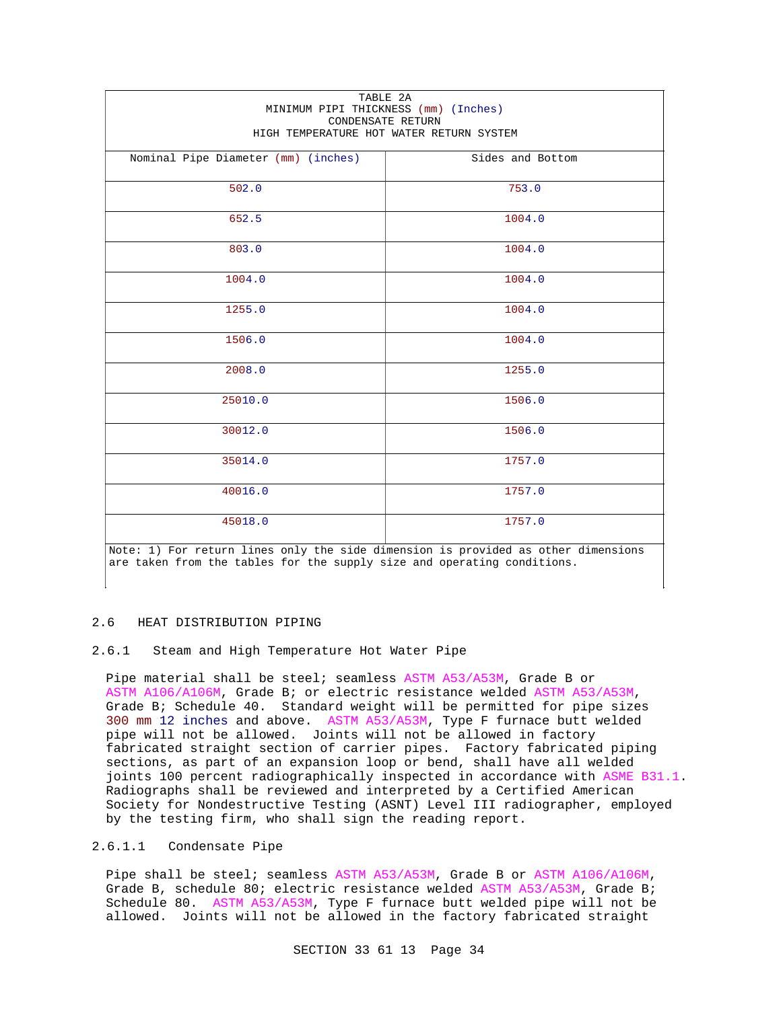| TABLE 2A<br>MINIMUM PIPI THICKNESS (mm) (Inches)<br>CONDENSATE RETURN<br>HIGH TEMPERATURE HOT WATER RETURN SYSTEM |                  |  |
|-------------------------------------------------------------------------------------------------------------------|------------------|--|
| Nominal Pipe Diameter (mm) (inches)                                                                               | Sides and Bottom |  |
| 502.0                                                                                                             | 753.0            |  |
| 652.5                                                                                                             | 1004.0           |  |
| 803.0                                                                                                             | 1004.0           |  |
| 1004.0                                                                                                            | 1004.0           |  |
| 1255.0                                                                                                            | 1004.0           |  |
| 1506.0                                                                                                            | 1004.0           |  |
| 2008.0                                                                                                            | 1255.0           |  |
| 25010.0                                                                                                           | 1506.0           |  |
| 30012.0                                                                                                           | 1506.0           |  |
| 35014.0                                                                                                           | 1757.0           |  |
| 40016.0                                                                                                           | 1757.0           |  |
| 45018.0                                                                                                           | 1757.0           |  |
| Note: 1) For return lines only the side dimension is provided as other dimensions                                 |                  |  |

are taken from the tables for the supply size and operating conditions.

### 2.6 HEAT DISTRIBUTION PIPING

## 2.6.1 Steam and High Temperature Hot Water Pipe

Pipe material shall be steel; seamless ASTM A53/A53M, Grade B or ASTM A106/A106M, Grade B; or electric resistance welded ASTM A53/A53M, Grade B; Schedule 40. Standard weight will be permitted for pipe sizes 300 mm 12 inches and above. ASTM A53/A53M, Type F furnace butt welded pipe will not be allowed. Joints will not be allowed in factory fabricated straight section of carrier pipes. Factory fabricated piping sections, as part of an expansion loop or bend, shall have all welded joints 100 percent radiographically inspected in accordance with ASME B31.1. Radiographs shall be reviewed and interpreted by a Certified American Society for Nondestructive Testing (ASNT) Level III radiographer, employed by the testing firm, who shall sign the reading report.

## 2.6.1.1 Condensate Pipe

Pipe shall be steel; seamless ASTM A53/A53M, Grade B or ASTM A106/A106M, Grade B, schedule 80; electric resistance welded ASTM A53/A53M, Grade B; Schedule 80. ASTM A53/A53M, Type F furnace butt welded pipe will not be allowed. Joints will not be allowed in the factory fabricated straight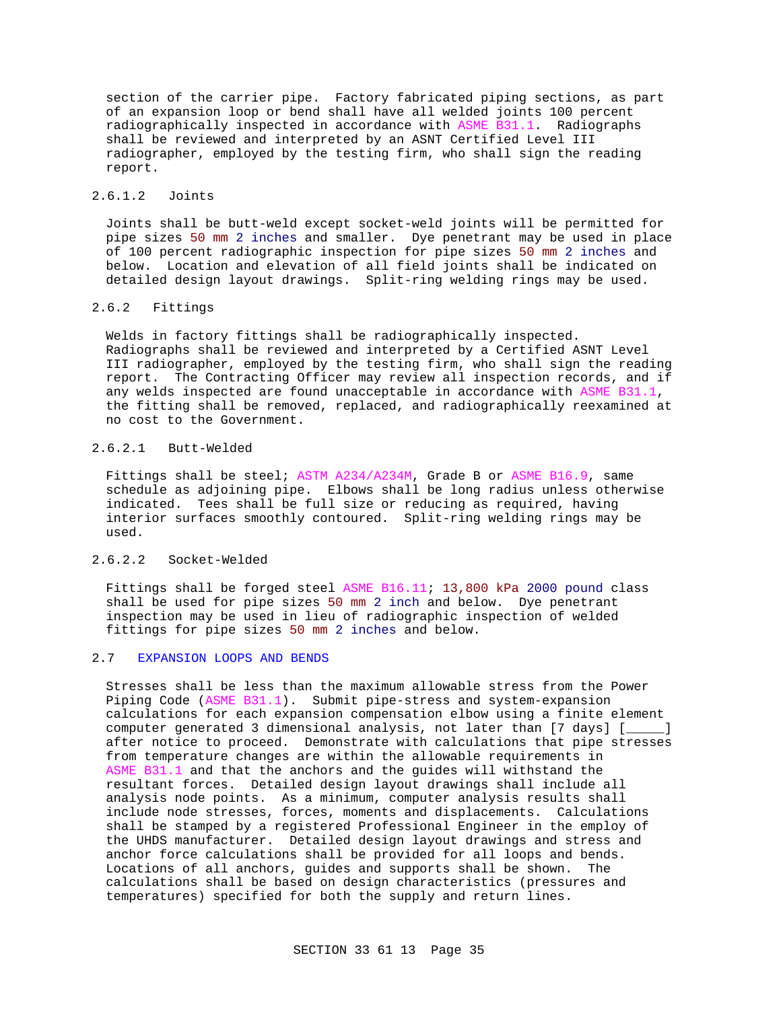section of the carrier pipe. Factory fabricated piping sections, as part of an expansion loop or bend shall have all welded joints 100 percent radiographically inspected in accordance with ASME B31.1. Radiographs shall be reviewed and interpreted by an ASNT Certified Level III radiographer, employed by the testing firm, who shall sign the reading report.

## 2.6.1.2 Joints

Joints shall be butt-weld except socket-weld joints will be permitted for pipe sizes 50 mm 2 inches and smaller. Dye penetrant may be used in place of 100 percent radiographic inspection for pipe sizes 50 mm 2 inches and below. Location and elevation of all field joints shall be indicated on detailed design layout drawings. Split-ring welding rings may be used.

## 2.6.2 Fittings

Welds in factory fittings shall be radiographically inspected. Radiographs shall be reviewed and interpreted by a Certified ASNT Level III radiographer, employed by the testing firm, who shall sign the reading report. The Contracting Officer may review all inspection records, and if any welds inspected are found unacceptable in accordance with ASME B31.1, the fitting shall be removed, replaced, and radiographically reexamined at no cost to the Government.

## 2.6.2.1 Butt-Welded

Fittings shall be steel; ASTM A234/A234M, Grade B or ASME B16.9, same schedule as adjoining pipe. Elbows shall be long radius unless otherwise indicated. Tees shall be full size or reducing as required, having interior surfaces smoothly contoured. Split-ring welding rings may be used.

## 2.6.2.2 Socket-Welded

Fittings shall be forged steel ASME B16.11; 13,800 kPa 2000 pound class shall be used for pipe sizes 50 mm 2 inch and below. Dye penetrant inspection may be used in lieu of radiographic inspection of welded fittings for pipe sizes 50 mm 2 inches and below.

### 2.7 EXPANSION LOOPS AND BENDS

Stresses shall be less than the maximum allowable stress from the Power Piping Code (ASME B31.1). Submit pipe-stress and system-expansion calculations for each expansion compensation elbow using a finite element computer generated 3 dimensional analysis, not later than [7 days] [\_\_\_\_\_] after notice to proceed. Demonstrate with calculations that pipe stresses from temperature changes are within the allowable requirements in ASME B31.1 and that the anchors and the guides will withstand the resultant forces. Detailed design layout drawings shall include all analysis node points. As a minimum, computer analysis results shall include node stresses, forces, moments and displacements. Calculations shall be stamped by a registered Professional Engineer in the employ of the UHDS manufacturer. Detailed design layout drawings and stress and anchor force calculations shall be provided for all loops and bends. Locations of all anchors, guides and supports shall be shown. The calculations shall be based on design characteristics (pressures and temperatures) specified for both the supply and return lines.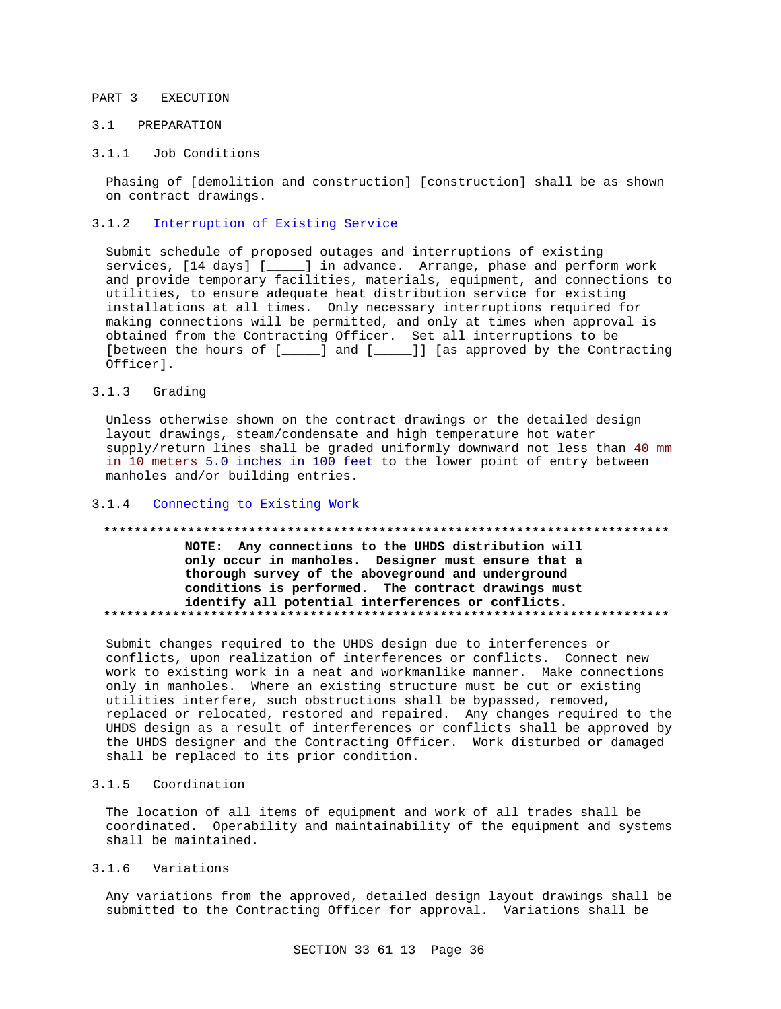### PART 3 EXECUTION

## 3.1 PREPARATION

#### $3.1.1$ Job Conditions

Phasing of [demolition and construction] [construction] shall be as shown on contract drawings.

#### $3.1.2$ Interruption of Existing Service

Submit schedule of proposed outages and interruptions of existing services, [14 days] [\_\_\_\_\_] in advance. Arrange, phase and perform work and provide temporary facilities, materials, equipment, and connections to utilities, to ensure adequate heat distribution service for existing installations at all times. Only necessary interruptions required for making connections will be permitted, and only at times when approval is obtained from the Contracting Officer. Set all interruptions to be [between the hours of [\_\_\_\_] and [\_\_\_\_]] [as approved by the Contracting Officerl.

#### $3.1.3$ Grading

Unless otherwise shown on the contract drawings or the detailed design layout drawings, steam/condensate and high temperature hot water supply/return lines shall be graded uniformly downward not less than 40 mm in 10 meters 5.0 inches in 100 feet to the lower point of entry between manholes and/or building entries.

## 3.1.4 Connecting to Existing Work

## NOTE: Any connections to the UHDS distribution will only occur in manholes. Designer must ensure that a thorough survey of the aboveground and underground conditions is performed. The contract drawings must identify all potential interferences or conflicts.

Submit changes required to the UHDS design due to interferences or conflicts, upon realization of interferences or conflicts. Connect new work to existing work in a neat and workmanlike manner. Make connections only in manholes. Where an existing structure must be cut or existing utilities interfere, such obstructions shall be bypassed, removed, replaced or relocated, restored and repaired. Any changes required to the UHDS design as a result of interferences or conflicts shall be approved by the UHDS designer and the Contracting Officer. Work disturbed or damaged shall be replaced to its prior condition.

#### $3.1.5$ Coordination

The location of all items of equipment and work of all trades shall be coordinated. Operability and maintainability of the equipment and systems shall be maintained.

#### $3.1.6$ Variations

Any variations from the approved, detailed design layout drawings shall be submitted to the Contracting Officer for approval. Variations shall be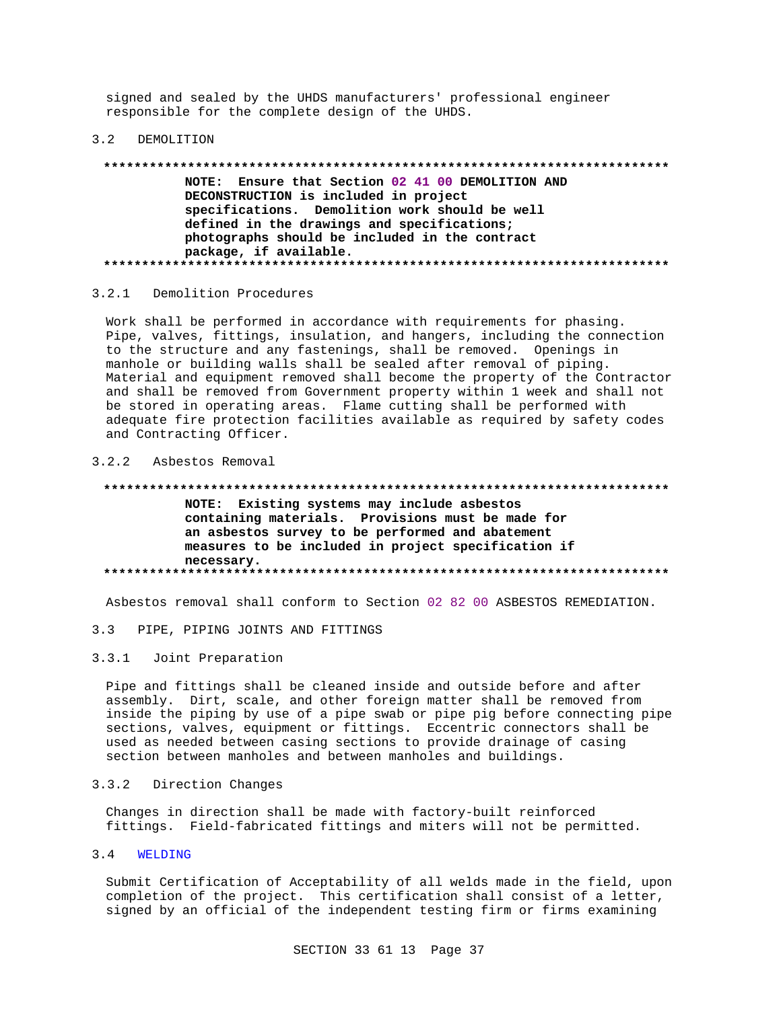signed and sealed by the UHDS manufacturers' professional engineer responsible for the complete design of the UHDS.

#### $3.2$ DEMOLITION

## NOTE: Ensure that Section 02 41 00 DEMOLITION AND DECONSTRUCTION is included in project specifications. Demolition work should be well defined in the drawings and specifications; photographs should be included in the contract package, if available.

#### $3.2.1$ Demolition Procedures

Work shall be performed in accordance with requirements for phasing. Pipe, valves, fittings, insulation, and hangers, including the connection to the structure and any fastenings, shall be removed. Openings in manhole or building walls shall be sealed after removal of piping. Material and equipment removed shall become the property of the Contractor and shall be removed from Government property within 1 week and shall not be stored in operating areas. Flame cutting shall be performed with adequate fire protection facilities available as required by safety codes and Contracting Officer.

## 3.2.2 Asbestos Removal

## NOTE: Existing systems may include asbestos containing materials. Provisions must be made for an asbestos survey to be performed and abatement measures to be included in project specification if necessary.

Asbestos removal shall conform to Section 02 82 00 ASBESTOS REMEDIATION.

#### $3.3$ PIPE, PIPING JOINTS AND FITTINGS

#### $3.3.1$ Joint Preparation

Pipe and fittings shall be cleaned inside and outside before and after assembly. Dirt, scale, and other foreign matter shall be removed from inside the piping by use of a pipe swab or pipe pig before connecting pipe sections, valves, equipment or fittings. Eccentric connectors shall be used as needed between casing sections to provide drainage of casing section between manholes and between manholes and buildings.

#### $3.3.2$ Direction Changes

Changes in direction shall be made with factory-built reinforced fittings. Field-fabricated fittings and miters will not be permitted.

#### $3.4$ WELDING

Submit Certification of Acceptability of all welds made in the field, upon completion of the project. This certification shall consist of a letter, signed by an official of the independent testing firm or firms examining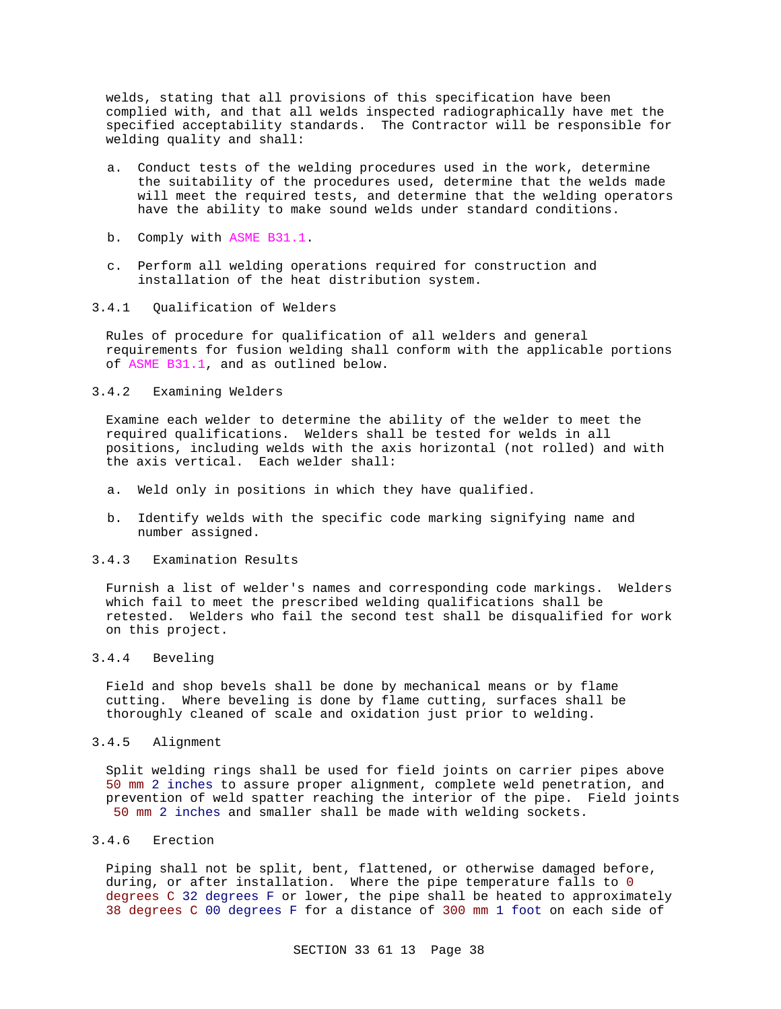welds, stating that all provisions of this specification have been complied with, and that all welds inspected radiographically have met the specified acceptability standards. The Contractor will be responsible for welding quality and shall:

- a. Conduct tests of the welding procedures used in the work, determine the suitability of the procedures used, determine that the welds made will meet the required tests, and determine that the welding operators have the ability to make sound welds under standard conditions.
- b. Comply with ASME B31.1.
- c. Perform all welding operations required for construction and installation of the heat distribution system.
- 3.4.1 Qualification of Welders

Rules of procedure for qualification of all welders and general requirements for fusion welding shall conform with the applicable portions of ASME B31.1, and as outlined below.

3.4.2 Examining Welders

Examine each welder to determine the ability of the welder to meet the required qualifications. Welders shall be tested for welds in all positions, including welds with the axis horizontal (not rolled) and with the axis vertical. Each welder shall:

- a. Weld only in positions in which they have qualified.
- b. Identify welds with the specific code marking signifying name and number assigned.
- 3.4.3 Examination Results

Furnish a list of welder's names and corresponding code markings. Welders which fail to meet the prescribed welding qualifications shall be retested. Welders who fail the second test shall be disqualified for work on this project.

## 3.4.4 Beveling

Field and shop bevels shall be done by mechanical means or by flame cutting. Where beveling is done by flame cutting, surfaces shall be thoroughly cleaned of scale and oxidation just prior to welding.

3.4.5 Alignment

Split welding rings shall be used for field joints on carrier pipes above 50 mm 2 inches to assure proper alignment, complete weld penetration, and prevention of weld spatter reaching the interior of the pipe. Field joints 50 mm 2 inches and smaller shall be made with welding sockets.

## 3.4.6 Erection

Piping shall not be split, bent, flattened, or otherwise damaged before, during, or after installation. Where the pipe temperature falls to 0 degrees C 32 degrees F or lower, the pipe shall be heated to approximately 38 degrees C 00 degrees F for a distance of 300 mm 1 foot on each side of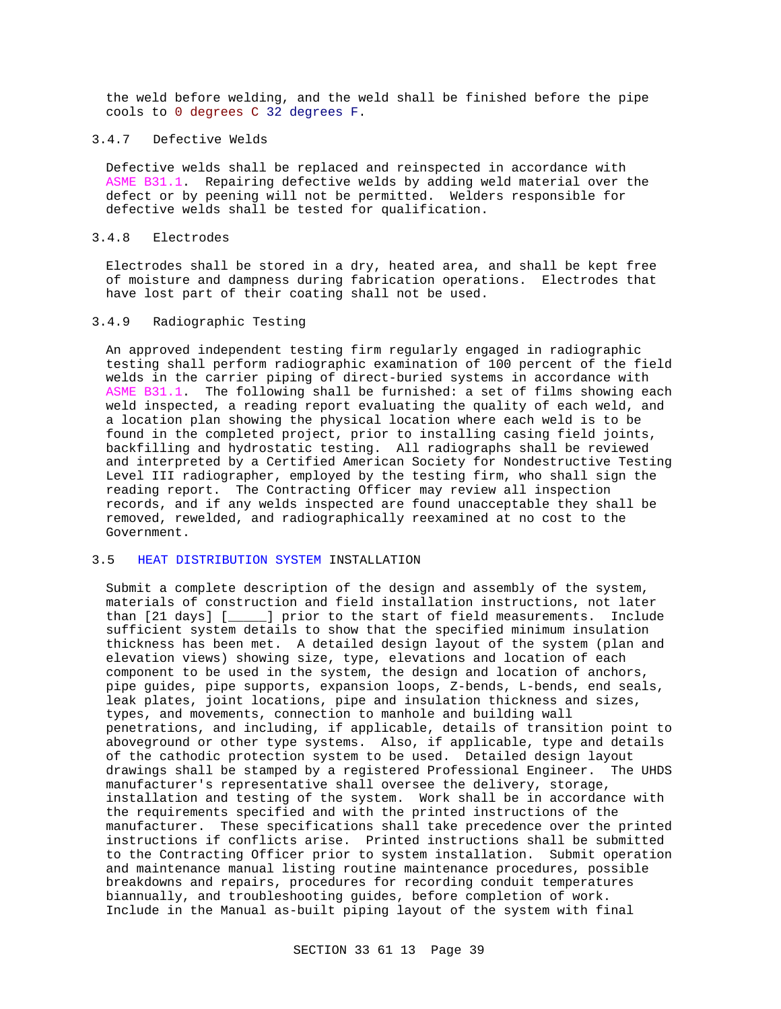the weld before welding, and the weld shall be finished before the pipe cools to 0 degrees C 32 degrees F.

## 3.4.7 Defective Welds

Defective welds shall be replaced and reinspected in accordance with ASME B31.1. Repairing defective welds by adding weld material over the defect or by peening will not be permitted. Welders responsible for defective welds shall be tested for qualification.

## 3.4.8 Electrodes

Electrodes shall be stored in a dry, heated area, and shall be kept free of moisture and dampness during fabrication operations. Electrodes that have lost part of their coating shall not be used.

## 3.4.9 Radiographic Testing

An approved independent testing firm regularly engaged in radiographic testing shall perform radiographic examination of 100 percent of the field welds in the carrier piping of direct-buried systems in accordance with ASME B31.1. The following shall be furnished: a set of films showing each weld inspected, a reading report evaluating the quality of each weld, and a location plan showing the physical location where each weld is to be found in the completed project, prior to installing casing field joints, backfilling and hydrostatic testing. All radiographs shall be reviewed and interpreted by a Certified American Society for Nondestructive Testing Level III radiographer, employed by the testing firm, who shall sign the reading report. The Contracting Officer may review all inspection records, and if any welds inspected are found unacceptable they shall be removed, rewelded, and radiographically reexamined at no cost to the Government.

## 3.5 HEAT DISTRIBUTION SYSTEM INSTALLATION

Submit a complete description of the design and assembly of the system, materials of construction and field installation instructions, not later than [21 days] [\_\_\_\_\_] prior to the start of field measurements. Include sufficient system details to show that the specified minimum insulation thickness has been met. A detailed design layout of the system (plan and elevation views) showing size, type, elevations and location of each component to be used in the system, the design and location of anchors, pipe guides, pipe supports, expansion loops, Z-bends, L-bends, end seals, leak plates, joint locations, pipe and insulation thickness and sizes, types, and movements, connection to manhole and building wall penetrations, and including, if applicable, details of transition point to aboveground or other type systems. Also, if applicable, type and details of the cathodic protection system to be used. Detailed design layout drawings shall be stamped by a registered Professional Engineer. The UHDS manufacturer's representative shall oversee the delivery, storage, installation and testing of the system. Work shall be in accordance with the requirements specified and with the printed instructions of the manufacturer. These specifications shall take precedence over the printed instructions if conflicts arise. Printed instructions shall be submitted to the Contracting Officer prior to system installation. Submit operation and maintenance manual listing routine maintenance procedures, possible breakdowns and repairs, procedures for recording conduit temperatures biannually, and troubleshooting guides, before completion of work. Include in the Manual as-built piping layout of the system with final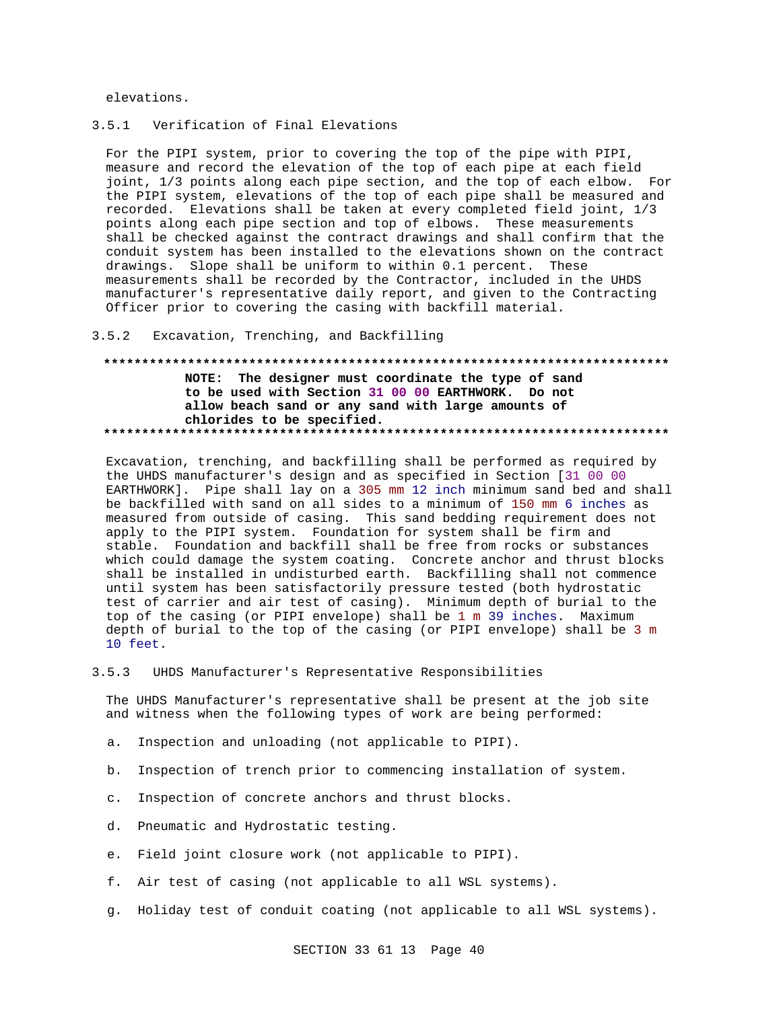elevations.

#### Verification of Final Elevations  $3.5.1$

For the PIPI system, prior to covering the top of the pipe with PIPI, measure and record the elevation of the top of each pipe at each field joint, 1/3 points along each pipe section, and the top of each elbow. For the PIPI system, elevations of the top of each pipe shall be measured and recorded. Elevations shall be taken at every completed field joint, 1/3 points along each pipe section and top of elbows. These measurements shall be checked against the contract drawings and shall confirm that the conduit system has been installed to the elevations shown on the contract drawings. Slope shall be uniform to within 0.1 percent. These measurements shall be recorded by the Contractor, included in the UHDS manufacturer's representative daily report, and given to the Contracting Officer prior to covering the casing with backfill material.

#### $3.5.2$ Excavation, Trenching, and Backfilling

## NOTE: The designer must coordinate the type of sand to be used with Section 31 00 00 EARTHWORK. Do not allow beach sand or any sand with large amounts of chlorides to be specified.

Excavation, trenching, and backfilling shall be performed as required by the UHDS manufacturer's design and as specified in Section [31 00 00 EARTHWORK]. Pipe shall lay on a 305 mm 12 inch minimum sand bed and shall be backfilled with sand on all sides to a minimum of 150 mm 6 inches as measured from outside of casing. This sand bedding requirement does not apply to the PIPI system. Foundation for system shall be firm and stable. Foundation and backfill shall be free from rocks or substances which could damage the system coating. Concrete anchor and thrust blocks shall be installed in undisturbed earth. Backfilling shall not commence until system has been satisfactorily pressure tested (both hydrostatic test of carrier and air test of casing). Minimum depth of burial to the top of the casing (or PIPI envelope) shall be 1 m 39 inches. Maximum depth of burial to the top of the casing (or PIPI envelope) shall be 3 m 10 feet.

#### $3.5.3$ UHDS Manufacturer's Representative Responsibilities

The UHDS Manufacturer's representative shall be present at the job site and witness when the following types of work are being performed:

- Inspection and unloading (not applicable to PIPI).  $a.$
- Inspection of trench prior to commencing installation of system.  $h$
- c. Inspection of concrete anchors and thrust blocks.
- d. Pneumatic and Hydrostatic testing.
- e. Field joint closure work (not applicable to PIPI).
- f. Air test of casing (not applicable to all WSL systems).
- g. Holiday test of conduit coating (not applicable to all WSL systems).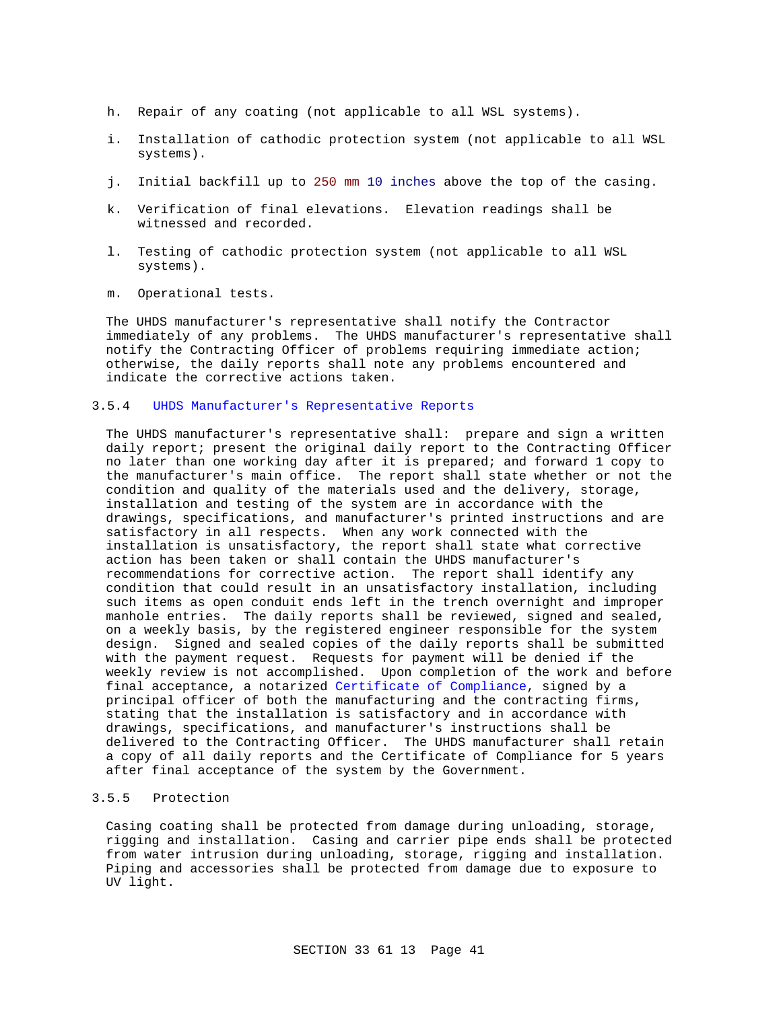- h. Repair of any coating (not applicable to all WSL systems).
- i. Installation of cathodic protection system (not applicable to all WSL systems).
- j. Initial backfill up to 250 mm 10 inches above the top of the casing.
- k. Verification of final elevations. Elevation readings shall be witnessed and recorded.
- l. Testing of cathodic protection system (not applicable to all WSL systems).
- m. Operational tests.

The UHDS manufacturer's representative shall notify the Contractor immediately of any problems. The UHDS manufacturer's representative shall notify the Contracting Officer of problems requiring immediate action; otherwise, the daily reports shall note any problems encountered and indicate the corrective actions taken.

## 3.5.4 UHDS Manufacturer's Representative Reports

The UHDS manufacturer's representative shall: prepare and sign a written daily report; present the original daily report to the Contracting Officer no later than one working day after it is prepared; and forward 1 copy to the manufacturer's main office. The report shall state whether or not the condition and quality of the materials used and the delivery, storage, installation and testing of the system are in accordance with the drawings, specifications, and manufacturer's printed instructions and are satisfactory in all respects. When any work connected with the installation is unsatisfactory, the report shall state what corrective action has been taken or shall contain the UHDS manufacturer's recommendations for corrective action. The report shall identify any condition that could result in an unsatisfactory installation, including such items as open conduit ends left in the trench overnight and improper manhole entries. The daily reports shall be reviewed, signed and sealed, on a weekly basis, by the registered engineer responsible for the system design. Signed and sealed copies of the daily reports shall be submitted with the payment request. Requests for payment will be denied if the weekly review is not accomplished. Upon completion of the work and before final acceptance, a notarized Certificate of Compliance, signed by a principal officer of both the manufacturing and the contracting firms, stating that the installation is satisfactory and in accordance with drawings, specifications, and manufacturer's instructions shall be delivered to the Contracting Officer. The UHDS manufacturer shall retain a copy of all daily reports and the Certificate of Compliance for 5 years after final acceptance of the system by the Government.

## 3.5.5 Protection

Casing coating shall be protected from damage during unloading, storage, rigging and installation. Casing and carrier pipe ends shall be protected from water intrusion during unloading, storage, rigging and installation. Piping and accessories shall be protected from damage due to exposure to UV light.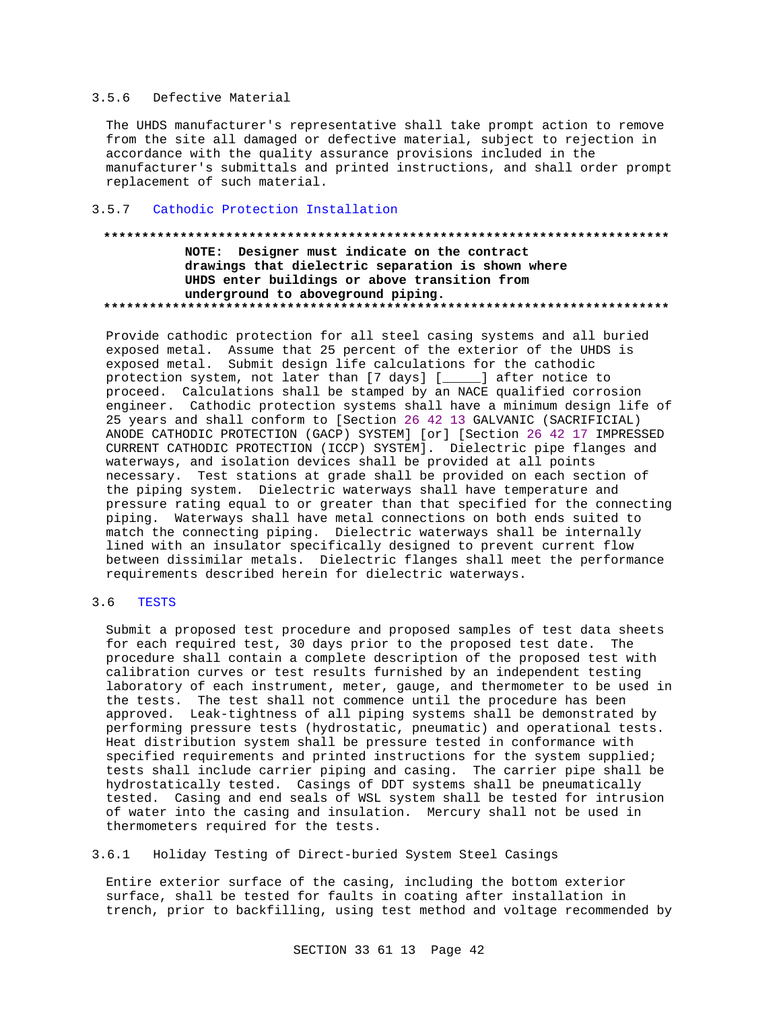## 3.5.6 Defective Material

The UHDS manufacturer's representative shall take prompt action to remove from the site all damaged or defective material, subject to rejection in accordance with the quality assurance provisions included in the manufacturer's submittals and printed instructions, and shall order prompt replacement of such material.

## 3.5.7 Cathodic Protection Installation

## NOTE: Designer must indicate on the contract drawings that dielectric separation is shown where UHDS enter buildings or above transition from underground to aboveground piping.

Provide cathodic protection for all steel casing systems and all buried exposed metal. Assume that 25 percent of the exterior of the UHDS is exposed metal. Submit design life calculations for the cathodic protection system, not later than [7 days] [\_\_\_\_] after notice to proceed. Calculations shall be stamped by an NACE qualified corrosion engineer. Cathodic protection systems shall have a minimum design life of 25 years and shall conform to [Section 26 42 13 GALVANIC (SACRIFICIAL) ANODE CATHODIC PROTECTION (GACP) SYSTEM] [or] [Section 26 42 17 IMPRESSED CURRENT CATHODIC PROTECTION (ICCP) SYSTEM]. Dielectric pipe flanges and waterways, and isolation devices shall be provided at all points necessary. Test stations at grade shall be provided on each section of the piping system. Dielectric waterways shall have temperature and pressure rating equal to or greater than that specified for the connecting piping. Waterways shall have metal connections on both ends suited to match the connecting piping. Dielectric waterways shall be internally lined with an insulator specifically designed to prevent current flow between dissimilar metals. Dielectric flanges shall meet the performance requirements described herein for dielectric waterways.

#### $3.6$ **TESTS**

Submit a proposed test procedure and proposed samples of test data sheets for each required test, 30 days prior to the proposed test date. The procedure shall contain a complete description of the proposed test with calibration curves or test results furnished by an independent testing laboratory of each instrument, meter, gauge, and thermometer to be used in the tests. The test shall not commence until the procedure has been approved. Leak-tightness of all piping systems shall be demonstrated by performing pressure tests (hydrostatic, pneumatic) and operational tests. Heat distribution system shall be pressure tested in conformance with specified requirements and printed instructions for the system supplied; tests shall include carrier piping and casing. The carrier pipe shall be hydrostatically tested. Casings of DDT systems shall be pneumatically tested. Casing and end seals of WSL system shall be tested for intrusion of water into the casing and insulation. Mercury shall not be used in thermometers required for the tests.

#### $3.6.1$ Holiday Testing of Direct-buried System Steel Casings

Entire exterior surface of the casing, including the bottom exterior surface, shall be tested for faults in coating after installation in trench, prior to backfilling, using test method and voltage recommended by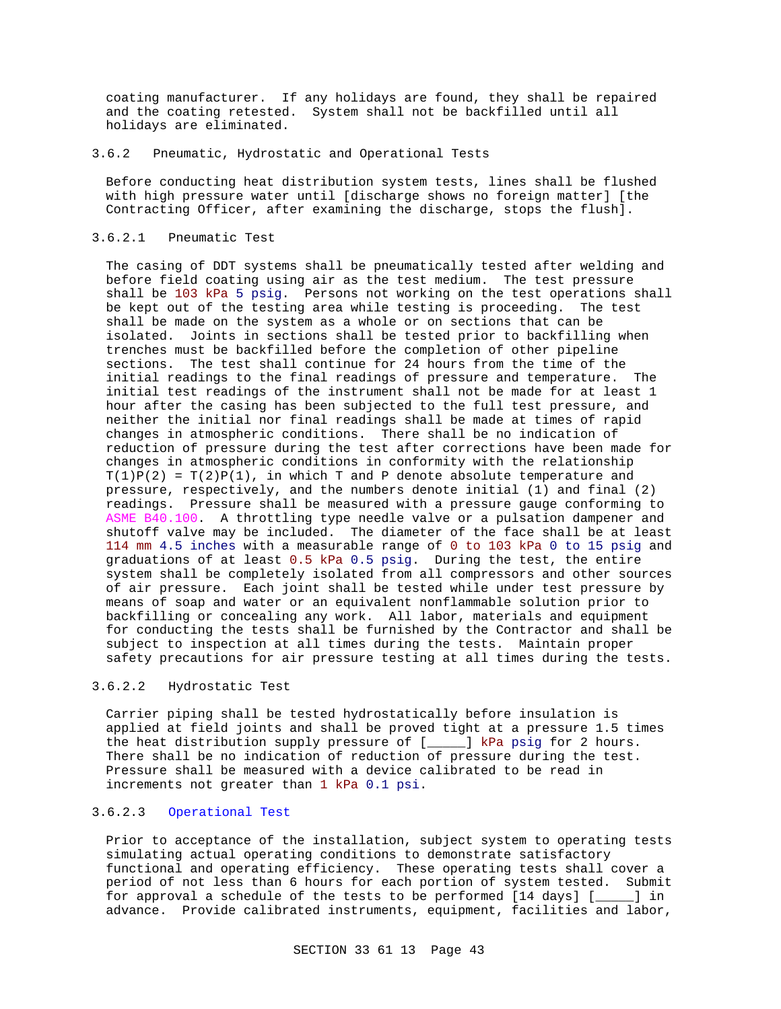coating manufacturer. If any holidays are found, they shall be repaired and the coating retested. System shall not be backfilled until all holidays are eliminated.

## 3.6.2 Pneumatic, Hydrostatic and Operational Tests

Before conducting heat distribution system tests, lines shall be flushed with high pressure water until [discharge shows no foreign matter] [the Contracting Officer, after examining the discharge, stops the flush].

## 3.6.2.1 Pneumatic Test

The casing of DDT systems shall be pneumatically tested after welding and before field coating using air as the test medium. The test pressure shall be 103 kPa 5 psig. Persons not working on the test operations shall be kept out of the testing area while testing is proceeding. The test shall be made on the system as a whole or on sections that can be isolated. Joints in sections shall be tested prior to backfilling when trenches must be backfilled before the completion of other pipeline sections. The test shall continue for 24 hours from the time of the initial readings to the final readings of pressure and temperature. The initial test readings of the instrument shall not be made for at least 1 hour after the casing has been subjected to the full test pressure, and neither the initial nor final readings shall be made at times of rapid changes in atmospheric conditions. There shall be no indication of reduction of pressure during the test after corrections have been made for changes in atmospheric conditions in conformity with the relationship  $T(1)P(2) = T(2)P(1)$ , in which T and P denote absolute temperature and pressure, respectively, and the numbers denote initial (1) and final (2) readings. Pressure shall be measured with a pressure gauge conforming to ASME B40.100. A throttling type needle valve or a pulsation dampener and shutoff valve may be included. The diameter of the face shall be at least 114 mm 4.5 inches with a measurable range of 0 to 103 kPa 0 to 15 psig and graduations of at least 0.5 kPa 0.5 psig. During the test, the entire system shall be completely isolated from all compressors and other sources of air pressure. Each joint shall be tested while under test pressure by means of soap and water or an equivalent nonflammable solution prior to backfilling or concealing any work. All labor, materials and equipment for conducting the tests shall be furnished by the Contractor and shall be subject to inspection at all times during the tests. Maintain proper safety precautions for air pressure testing at all times during the tests.

## 3.6.2.2 Hydrostatic Test

Carrier piping shall be tested hydrostatically before insulation is applied at field joints and shall be proved tight at a pressure 1.5 times the heat distribution supply pressure of [\_\_\_\_\_] kPa psig for 2 hours. There shall be no indication of reduction of pressure during the test. Pressure shall be measured with a device calibrated to be read in increments not greater than 1 kPa 0.1 psi.

## 3.6.2.3 Operational Test

Prior to acceptance of the installation, subject system to operating tests simulating actual operating conditions to demonstrate satisfactory functional and operating efficiency. These operating tests shall cover a period of not less than 6 hours for each portion of system tested. Submit for approval a schedule of the tests to be performed [14 days] [\_\_\_\_\_] in advance. Provide calibrated instruments, equipment, facilities and labor,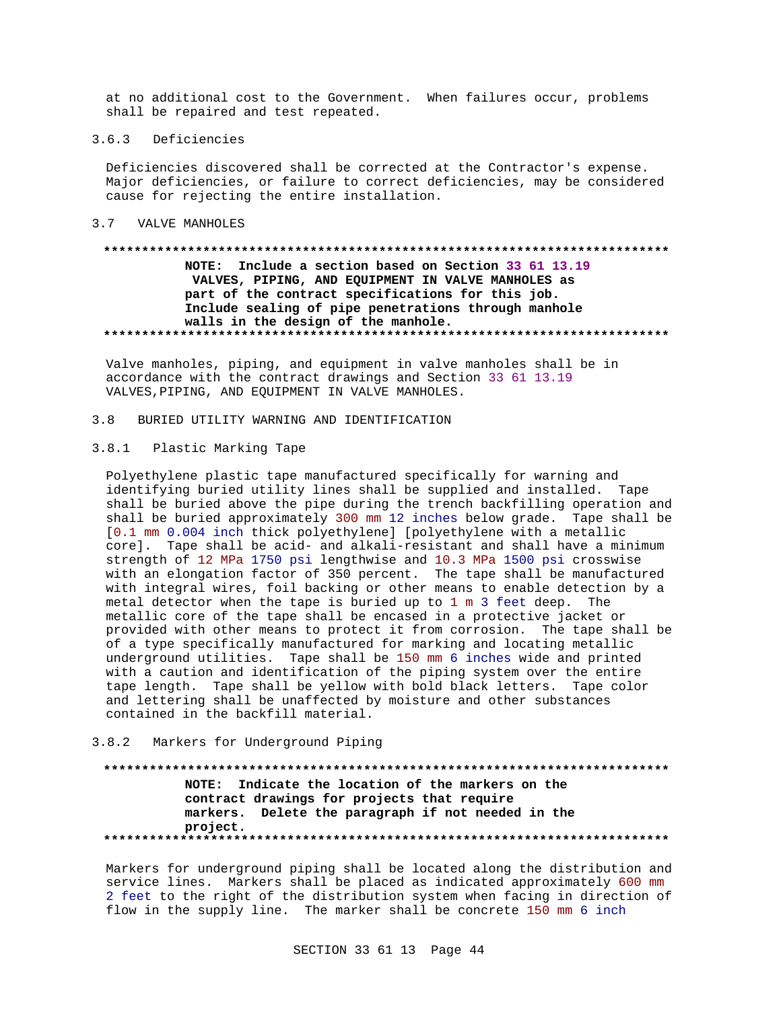at no additional cost to the Government. When failures occur, problems shall be repaired and test repeated.

3.6.3 Deficiencies

Deficiencies discovered shall be corrected at the Contractor's expense. Major deficiencies, or failure to correct deficiencies, may be considered cause for rejecting the entire installation.

#### 3.7 VALVE MANHOLES

#### **\*\*\*\*\*\*\*\*\*\*\*\*\*\*\*\*\*\*\*\*\*\*\*\*\*\*\*\*\*\*\*\*\*\*\*\*\*\*\*\*\*\*\*\*\*\*\*\*\*\*\*\*\*\*\*\*\*\*\*\*\*\*\*\*\*\*\*\*\*\*\*\*\*\***

**NOTE: Include a section based on Section 33 61 13.19 VALVES, PIPING, AND EQUIPMENT IN VALVE MANHOLES as part of the contract specifications for this job. Include sealing of pipe penetrations through manhole walls in the design of the manhole. \*\*\*\*\*\*\*\*\*\*\*\*\*\*\*\*\*\*\*\*\*\*\*\*\*\*\*\*\*\*\*\*\*\*\*\*\*\*\*\*\*\*\*\*\*\*\*\*\*\*\*\*\*\*\*\*\*\*\*\*\*\*\*\*\*\*\*\*\*\*\*\*\*\***

Valve manholes, piping, and equipment in valve manholes shall be in accordance with the contract drawings and Section 33 61 13.19 VALVES,PIPING, AND EQUIPMENT IN VALVE MANHOLES.

### 3.8 BURIED UTILITY WARNING AND IDENTIFICATION

## 3.8.1 Plastic Marking Tape

Polyethylene plastic tape manufactured specifically for warning and identifying buried utility lines shall be supplied and installed. Tape shall be buried above the pipe during the trench backfilling operation and shall be buried approximately 300 mm 12 inches below grade. Tape shall be [0.1 mm 0.004 inch thick polyethylene] [polyethylene with a metallic core]. Tape shall be acid- and alkali-resistant and shall have a minimum strength of 12 MPa 1750 psi lengthwise and 10.3 MPa 1500 psi crosswise with an elongation factor of 350 percent. The tape shall be manufactured with integral wires, foil backing or other means to enable detection by a metal detector when the tape is buried up to 1 m 3 feet deep. The metallic core of the tape shall be encased in a protective jacket or provided with other means to protect it from corrosion. The tape shall be of a type specifically manufactured for marking and locating metallic underground utilities. Tape shall be 150 mm 6 inches wide and printed with a caution and identification of the piping system over the entire tape length. Tape shall be yellow with bold black letters. Tape color and lettering shall be unaffected by moisture and other substances contained in the backfill material.

#### 3.8.2 Markers for Underground Piping

## **\*\*\*\*\*\*\*\*\*\*\*\*\*\*\*\*\*\*\*\*\*\*\*\*\*\*\*\*\*\*\*\*\*\*\*\*\*\*\*\*\*\*\*\*\*\*\*\*\*\*\*\*\*\*\*\*\*\*\*\*\*\*\*\*\*\*\*\*\*\*\*\*\*\* NOTE: Indicate the location of the markers on the contract drawings for projects that require markers. Delete the paragraph if not needed in the project. \*\*\*\*\*\*\*\*\*\*\*\*\*\*\*\*\*\*\*\*\*\*\*\*\*\*\*\*\*\*\*\*\*\*\*\*\*\*\*\*\*\*\*\*\*\*\*\*\*\*\*\*\*\*\*\*\*\*\*\*\*\*\*\*\*\*\*\*\*\*\*\*\*\***

Markers for underground piping shall be located along the distribution and service lines. Markers shall be placed as indicated approximately 600 mm 2 feet to the right of the distribution system when facing in direction of flow in the supply line. The marker shall be concrete 150 mm 6 inch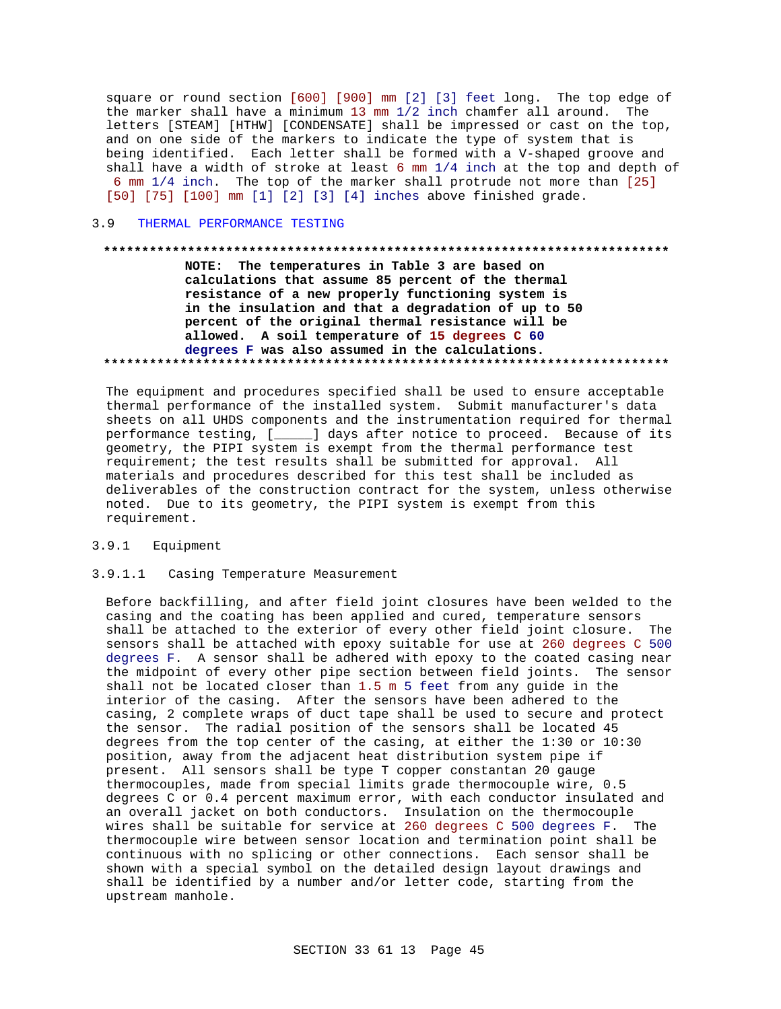square or round section [600] [900] mm [2] [3] feet long. The top edge of the marker shall have a minimum 13 mm  $1/2$  inch chamfer all around. The letters [STEAM] [HTHW] [CONDENSATE] shall be impressed or cast on the top, and on one side of the markers to indicate the type of system that is being identified. Each letter shall be formed with a V-shaped groove and shall have a width of stroke at least 6 mm 1/4 inch at the top and depth of 6 mm 1/4 inch. The top of the marker shall protrude not more than [25] [50] [75] [100] mm [1] [2] [3] [4] inches above finished grade.

#### THERMAL PERFORMANCE TESTING  $3.9$

### 

NOTE: The temperatures in Table 3 are based on calculations that assume 85 percent of the thermal resistance of a new properly functioning system is in the insulation and that a degradation of up to 50 percent of the original thermal resistance will be allowed. A soil temperature of 15 degrees C 60 degrees F was also assumed in the calculations. 

The equipment and procedures specified shall be used to ensure acceptable thermal performance of the installed system. Submit manufacturer's data sheets on all UHDS components and the instrumentation required for thermal performance testing, [\_\_\_\_\_] days after notice to proceed. Because of its geometry, the PIPI system is exempt from the thermal performance test requirement; the test results shall be submitted for approval. All materials and procedures described for this test shall be included as deliverables of the construction contract for the system, unless otherwise noted. Due to its geometry, the PIPI system is exempt from this requirement.

#### $3.9.1$ Equipment

#### $3.9.1.1$ Casing Temperature Measurement

Before backfilling, and after field joint closures have been welded to the casing and the coating has been applied and cured, temperature sensors shall be attached to the exterior of every other field joint closure. The sensors shall be attached with epoxy suitable for use at 260 degrees C 500 degrees F. A sensor shall be adhered with epoxy to the coated casing near the midpoint of every other pipe section between field joints. The sensor shall not be located closer than 1.5 m 5 feet from any guide in the interior of the casing. After the sensors have been adhered to the casing, 2 complete wraps of duct tape shall be used to secure and protect the sensor. The radial position of the sensors shall be located 45 degrees from the top center of the casing, at either the 1:30 or 10:30 position, away from the adjacent heat distribution system pipe if present. All sensors shall be type T copper constantan 20 gauge thermocouples, made from special limits grade thermocouple wire, 0.5 degrees C or 0.4 percent maximum error, with each conductor insulated and an overall jacket on both conductors. Insulation on the thermocouple wires shall be suitable for service at 260 degrees C 500 degrees F. The thermocouple wire between sensor location and termination point shall be continuous with no splicing or other connections. Each sensor shall be shown with a special symbol on the detailed design layout drawings and shall be identified by a number and/or letter code, starting from the upstream manhole.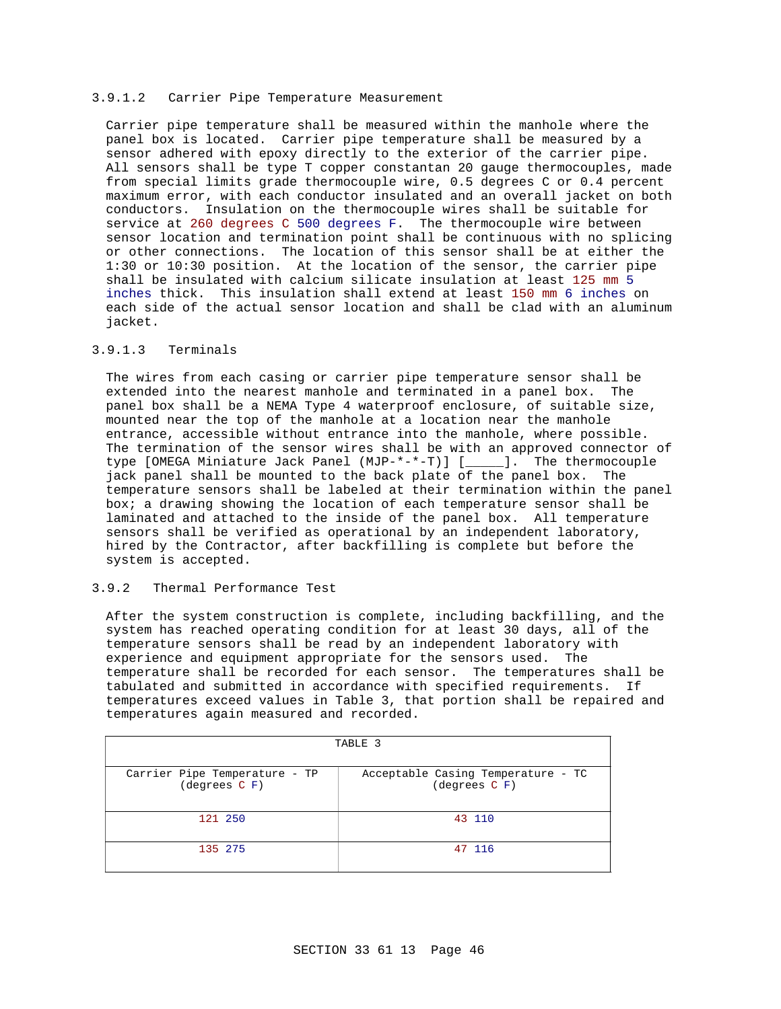### 3.9.1.2 Carrier Pipe Temperature Measurement

Carrier pipe temperature shall be measured within the manhole where the panel box is located. Carrier pipe temperature shall be measured by a sensor adhered with epoxy directly to the exterior of the carrier pipe. All sensors shall be type T copper constantan 20 gauge thermocouples, made from special limits grade thermocouple wire, 0.5 degrees C or 0.4 percent maximum error, with each conductor insulated and an overall jacket on both conductors. Insulation on the thermocouple wires shall be suitable for service at 260 degrees C 500 degrees F. The thermocouple wire between sensor location and termination point shall be continuous with no splicing or other connections. The location of this sensor shall be at either the 1:30 or 10:30 position. At the location of the sensor, the carrier pipe shall be insulated with calcium silicate insulation at least 125 mm 5 inches thick. This insulation shall extend at least 150 mm 6 inches on each side of the actual sensor location and shall be clad with an aluminum jacket.

### 3.9.1.3 Terminals

The wires from each casing or carrier pipe temperature sensor shall be extended into the nearest manhole and terminated in a panel box. The panel box shall be a NEMA Type 4 waterproof enclosure, of suitable size, mounted near the top of the manhole at a location near the manhole entrance, accessible without entrance into the manhole, where possible. The termination of the sensor wires shall be with an approved connector of type [OMEGA Miniature Jack Panel (MJP-\*-\*-T)] [\_\_\_\_\_]. The thermocouple jack panel shall be mounted to the back plate of the panel box. The temperature sensors shall be labeled at their termination within the panel box; a drawing showing the location of each temperature sensor shall be laminated and attached to the inside of the panel box. All temperature sensors shall be verified as operational by an independent laboratory, hired by the Contractor, after backfilling is complete but before the system is accepted.

## 3.9.2 Thermal Performance Test

After the system construction is complete, including backfilling, and the system has reached operating condition for at least 30 days, all of the temperature sensors shall be read by an independent laboratory with experience and equipment appropriate for the sensors used. The temperature shall be recorded for each sensor. The temperatures shall be tabulated and submitted in accordance with specified requirements. If temperatures exceed values in Table 3, that portion shall be repaired and temperatures again measured and recorded.

| TABLE 3                                        |                                                     |  |
|------------------------------------------------|-----------------------------------------------------|--|
| Carrier Pipe Temperature - TP<br>(deqrees C F) | Acceptable Casing Temperature - TC<br>(deqrees C F) |  |
| 121 250                                        | 43 110                                              |  |
| 135 275                                        | 47 116                                              |  |